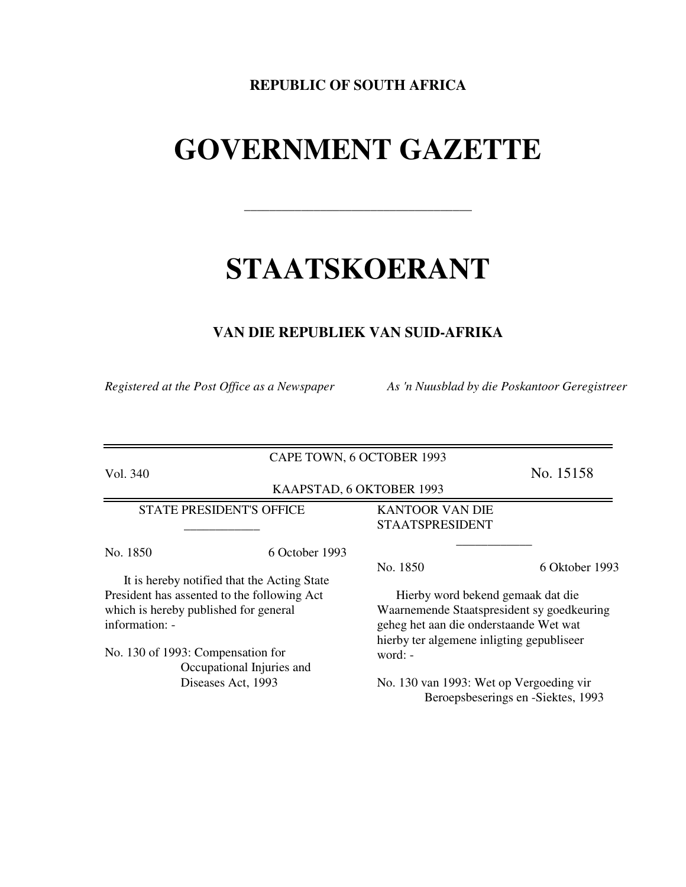## **REPUBLIC OF SOUTH AFRICA**

# **GOVERNMENT GAZETTE**

\_\_\_\_\_\_\_\_\_\_\_\_\_\_\_\_\_\_\_\_\_\_\_\_\_\_\_\_\_\_\_\_\_\_\_\_

# **STAATSKOERANT**

## **VAN DIE REPUBLIEK VAN SUID-AFRIKA**

*Registered at the Post Office as a Newspaper As 'n Nuusblad by die Poskantoor Geregistreer*

CAPE TOWN, 6 OCTOBER 1993

Vol. 340 No. 15158

KAAPSTAD, 6 OKTOBER 1993

STATE PRESIDENT'S OFFICE \_\_\_\_\_\_\_\_\_\_\_\_

No. 1850 6 October 1993

It is hereby notified that the Acting State President has assented to the following Act which is hereby published for general information: -

No. 130 of 1993: Compensation for Occupational Injuries and Diseases Act, 1993

KANTOOR VAN DIE STAATSPRESIDENT

No. 1850 6 Oktober 1993

Hierby word bekend gemaak dat die Waarnemende Staatspresident sy goedkeuring geheg het aan die onderstaande Wet wat hierby ter algemene inligting gepubliseer word: -

\_\_\_\_\_\_\_\_\_\_\_\_

No. 130 van 1993: Wet op Vergoeding vir Beroepsbeserings en -Siektes, 1993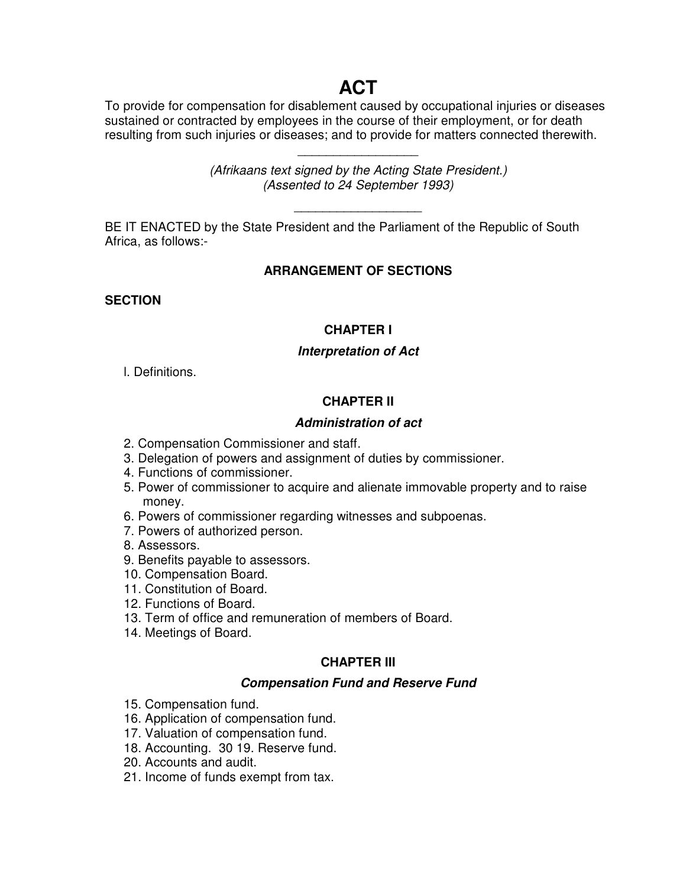## **ACT**

To provide for compensation for disablement caused by occupational injuries or diseases sustained or contracted by employees in the course of their employment, or for death resulting from such injuries or diseases; and to provide for matters connected therewith.

> *(Afrikaans text signed by the Acting State President.) (Assented to 24 September 1993)*

> > \_\_\_\_\_\_\_\_\_\_\_\_\_\_\_\_\_\_\_\_\_\_\_\_\_\_\_\_\_\_\_\_\_

\_\_\_\_\_\_\_\_\_\_\_\_\_\_\_\_\_

BE IT ENACTED by the State President and the Parliament of the Republic of South Africa, as follows:-

## **ARRANGEMENT OF SECTIONS**

**SECTION**

## **CHAPTER I**

## *Interpretation of Act*

l. Definitions.

## **CHAPTER II**

## *Administration of act*

- 2. Compensation Commissioner and staff.
- 3. Delegation of powers and assignment of duties by commissioner.
- 4. Functions of commissioner.
- 5. Power of commissioner to acquire and alienate immovable property and to raise money.
- 6. Powers of commissioner regarding witnesses and subpoenas.
- 7. Powers of authorized person.
- 8. Assessors.
- 9. Benefits payable to assessors.
- 10. Compensation Board.
- 11. Constitution of Board.
- 12. Functions of Board.
- 13. Term of office and remuneration of members of Board.
- 14. Meetings of Board.

## **CHAPTER III**

## *Compensation Fund and Reserve Fund*

- 15. Compensation fund.
- 16. Application of compensation fund.
- 17. Valuation of compensation fund.
- 18. Accounting. 30 19. Reserve fund.
- 20. Accounts and audit.
- 21. Income of funds exempt from tax.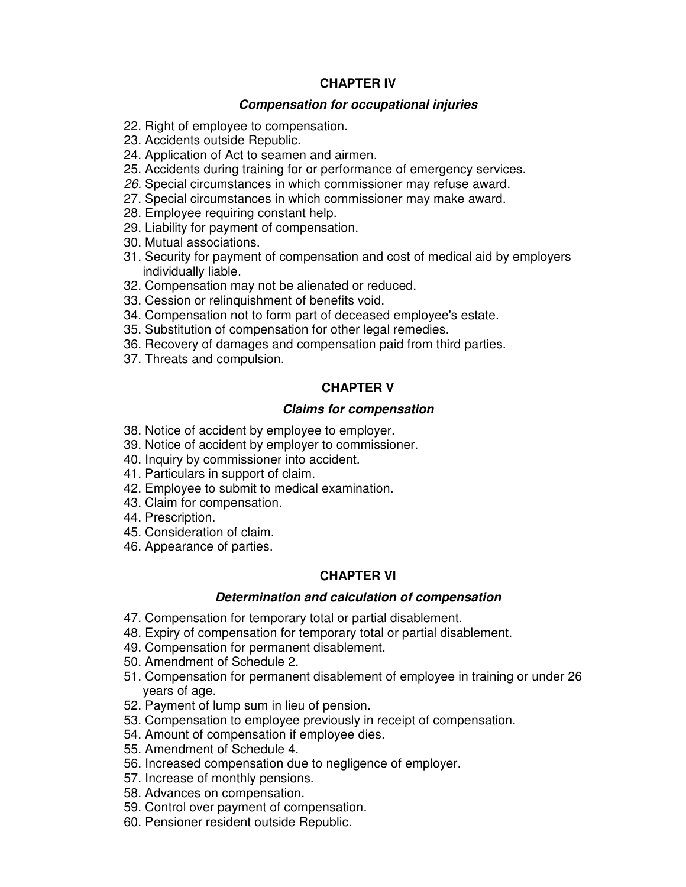#### **CHAPTER IV**

#### *Compensation for occupational injuries*

- 22. Right of employee to compensation.
- 23. Accidents outside Republic.
- 24. Application of Act to seamen and airmen.
- 25. Accidents during training for or performance of emergency services.
- *26.* Special circumstances in which commissioner may refuse award.
- 27. Special circumstances in which commissioner may make award.
- 28. Employee requiring constant help.
- 29. Liability for payment of compensation.
- 30. Mutual associations.
- 31. Security for payment of compensation and cost of medical aid by employers individually liable.
- 32. Compensation may not be alienated or reduced.
- 33. Cession or relinquishment of benefits void.
- 34. Compensation not to form part of deceased employee's estate.
- 35. Substitution of compensation for other legal remedies.
- 36. Recovery of damages and compensation paid from third parties.
- 37. Threats and compulsion.

## **CHAPTER V**

#### *Claims for compensation*

- 38. Notice of accident by employee to employer.
- 39. Notice of accident by employer to commissioner.
- 40. Inquiry by commissioner into accident.
- 41. Particulars in support of claim.
- 42. Employee to submit to medical examination.
- 43. Claim for compensation.
- 44. Prescription.
- 45. Consideration of claim.
- 46. Appearance of parties.

#### **CHAPTER VI**

#### *Determination and calculation of compensation*

- 47. Compensation for temporary total or partial disablement.
- 48. Expiry of compensation for temporary total or partial disablement.
- 49. Compensation for permanent disablement.
- 50. Amendment of Schedule 2.
- 51. Compensation for permanent disablement of employee in training or under 26 years of age.
- 52. Payment of lump sum in lieu of pension.
- 53. Compensation to employee previously in receipt of compensation.
- 54. Amount of compensation if employee dies.
- 55. Amendment of Schedule 4.
- 56. Increased compensation due to negligence of employer.
- 57. Increase of monthly pensions.
- 58. Advances on compensation.
- 59. Control over payment of compensation.
- 60. Pensioner resident outside Republic.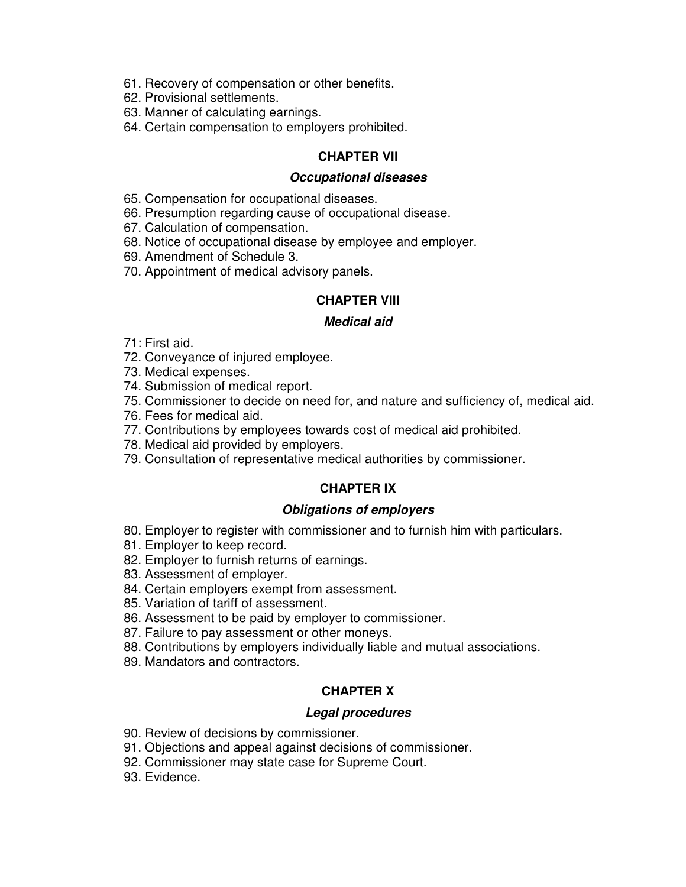- 61. Recovery of compensation or other benefits.
- 62. Provisional settlements.
- 63. Manner of calculating earnings.
- 64. Certain compensation to employers prohibited.

#### **CHAPTER VII**

#### *Occupational diseases*

- 65. Compensation for occupational diseases.
- 66. Presumption regarding cause of occupational disease.
- 67. Calculation of compensation.
- 68. Notice of occupational disease by employee and employer.
- 69. Amendment of Schedule 3.
- 70. Appointment of medical advisory panels.

#### **CHAPTER VIII**

#### *Medical aid*

- 71: First aid.
- 72. Conveyance of injured employee.
- 73. Medical expenses.
- 74. Submission of medical report.
- 75. Commissioner to decide on need for, and nature and sufficiency of, medical aid.
- 76. Fees for medical aid.
- 77. Contributions by employees towards cost of medical aid prohibited.
- 78. Medical aid provided by employers.
- 79. Consultation of representative medical authorities by commissioner.

#### **CHAPTER IX**

#### *Obligations of employers*

- 80. Employer to register with commissioner and to furnish him with particulars.
- 81. Employer to keep record.
- 82. Employer to furnish returns of earnings.
- 83. Assessment of employer.
- 84. Certain employers exempt from assessment.
- 85. Variation of tariff of assessment.
- 86. Assessment to be paid by employer to commissioner.
- 87. Failure to pay assessment or other moneys.
- 88. Contributions by employers individually liable and mutual associations.
- 89. Mandators and contractors.

## **CHAPTER X**

#### *Legal procedures*

- 90. Review of decisions by commissioner.
- 91. Objections and appeal against decisions of commissioner.
- 92. Commissioner may state case for Supreme Court.
- 93. Evidence.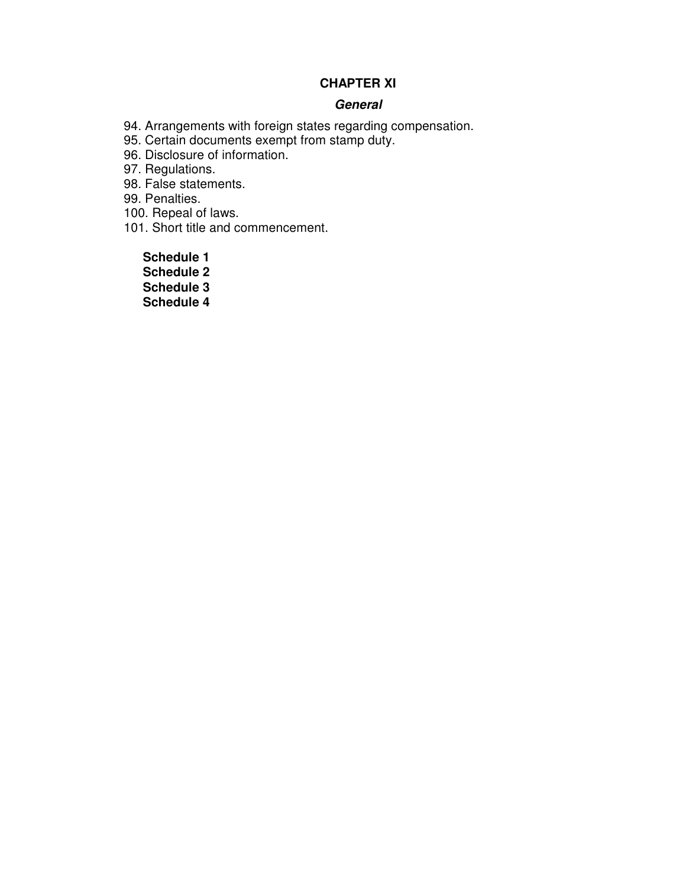## **CHAPTER XI**

#### *General*

94. Arrangements with foreign states regarding compensation.

95. Certain documents exempt from stamp duty.

96. Disclosure of information.

97. Regulations.

98. False statements.

99. Penalties.

100. Repeal of laws.

101. Short title and commencement.

**Schedule 1 Schedule 2 Schedule 3**

**Schedule 4**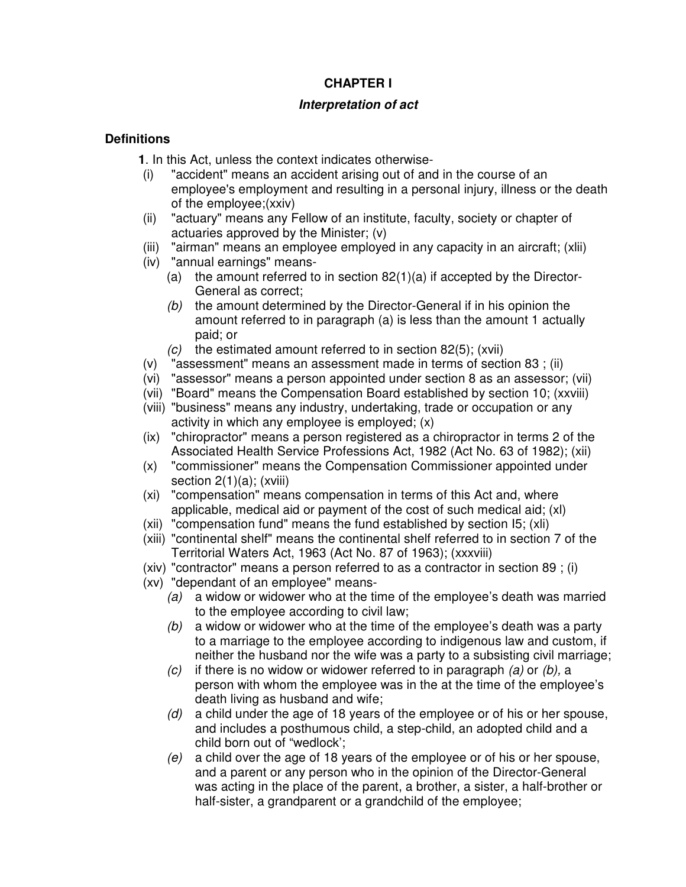## **CHAPTER I**

## *Interpretation of act*

## **Definitions**

- **1**. In this Act, unless the context indicates otherwise-
- (i) "accident" means an accident arising out of and in the course of an employee's employment and resulting in a personal injury, illness or the death of the employee;(xxiv)
- (ii) "actuary" means any Fellow of an institute, faculty, society or chapter of actuaries approved by the Minister; (v)
- (iii) "airman" means an employee employed in any capacity in an aircraft; (xlii)
- (iv) "annual earnings" means-
	- (a) the amount referred to in section 82(1)(a) if accepted by the Director-General as correct;
	- *(b)* the amount determined by the Director-General if in his opinion the amount referred to in paragraph (a) is less than the amount 1 actually paid; or
	- *(c)* the estimated amount referred to in section 82(5); (xvii)
- (v) "assessment" means an assessment made in terms of section 83 ; (ii)
- (vi) "assessor" means a person appointed under section 8 as an assessor; (vii)
- (vii) "Board" means the Compensation Board established by section 10; (xxviii)
- (viii) "business" means any industry, undertaking, trade or occupation or any activity in which any employee is employed; (x)
- (ix) "chiropractor" means a person registered as a chiropractor in terms 2 of the Associated Health Service Professions Act, 1982 (Act No. 63 of 1982); (xii)
- (x) "commissioner" means the Compensation Commissioner appointed under section 2(1)(a); (xviii)
- (xi) "compensation" means compensation in terms of this Act and, where applicable, medical aid or payment of the cost of such medical aid; (xl)
- (xii) "compensation fund" means the fund established by section I5; (xli)
- (xiii) "continental shelf" means the continental shelf referred to in section 7 of the Territorial Waters Act, 1963 (Act No. 87 of 1963); (xxxviii)
- (xiv) "contractor" means a person referred to as a contractor in section 89 ; (i)
- (xv) "dependant of an employee" means-
	- *(a)* a widow or widower who at the time of the employee's death was married to the employee according to civil law;
	- *(b)* a widow or widower who at the time of the employee's death was a party to a marriage to the employee according to indigenous law and custom, if neither the husband nor the wife was a party to a subsisting civil marriage;
	- *(c)* if there is no widow or widower referred to in paragraph *(a)* or *(b),* a person with whom the employee was in the at the time of the employee's death living as husband and wife;
	- *(d)* a child under the age of 18 years of the employee or of his or her spouse, and includes a posthumous child, a step-child, an adopted child and a child born out of "wedlock';
	- *(e)* a child over the age of 18 years of the employee or of his or her spouse, and a parent or any person who in the opinion of the Director-General was acting in the place of the parent, a brother, a sister, a half-brother or half-sister, a grandparent or a grandchild of the employee;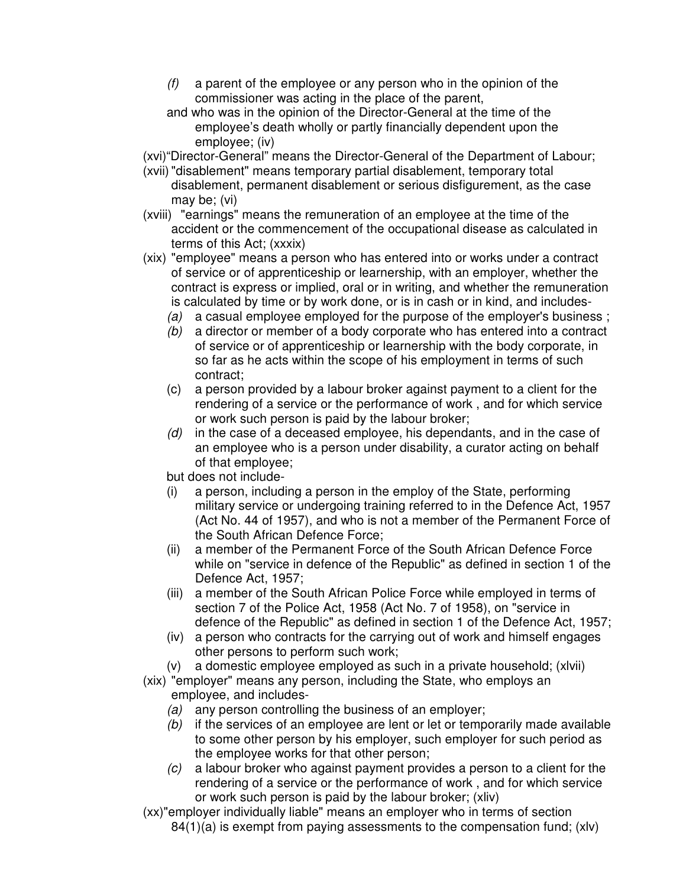- *(f)* a parent of the employee or any person who in the opinion of the commissioner was acting in the place of the parent,
- and who was in the opinion of the Director-General at the time of the employee's death wholly or partly financially dependent upon the employee; (iv)
- (xvi)"Director-General" means the Director-General of the Department of Labour;
- (xvii)"disablement" means temporary partial disablement, temporary total disablement, permanent disablement or serious disfigurement, as the case may be; (vi)
- (xviii) "earnings" means the remuneration of an employee at the time of the accident or the commencement of the occupational disease as calculated in terms of this Act; (xxxix)
- (xix) "employee" means a person who has entered into or works under a contract of service or of apprenticeship or learnership, with an employer, whether the contract is express or implied, oral or in writing, and whether the remuneration is calculated by time or by work done, or is in cash or in kind, and includes-
	- *(a)* a casual employee employed for the purpose of the employer's business ;
	- *(b)* a director or member of a body corporate who has entered into a contract of service or of apprenticeship or learnership with the body corporate, in so far as he acts within the scope of his employment in terms of such contract;
	- (c) a person provided by a labour broker against payment to a client for the rendering of a service or the performance of work , and for which service or work such person is paid by the labour broker;
	- *(d)* in the case of a deceased employee, his dependants, and in the case of an employee who is a person under disability, a curator acting on behalf of that employee;

but does not include-

- (i) a person, including a person in the employ of the State, performing military service or undergoing training referred to in the Defence Act, 1957 (Act No. 44 of 1957), and who is not a member of the Permanent Force of the South African Defence Force;
- (ii) a member of the Permanent Force of the South African Defence Force while on "service in defence of the Republic" as defined in section 1 of the Defence Act, 1957;
- (iii) a member of the South African Police Force while employed in terms of section 7 of the Police Act, 1958 (Act No. 7 of 1958), on "service in defence of the Republic" as defined in section 1 of the Defence Act, 1957;
- (iv) a person who contracts for the carrying out of work and himself engages other persons to perform such work;
- (v) a domestic employee employed as such in a private household; (xlvii)
- (xix) "employer" means any person, including the State, who employs an employee, and includes-
	- *(a)* any person controlling the business of an employer;
	- *(b)* if the services of an employee are lent or let or temporarily made available to some other person by his employer, such employer for such period as the employee works for that other person;
	- *(c)* a labour broker who against payment provides a person to a client for the rendering of a service or the performance of work , and for which service or work such person is paid by the labour broker; (xliv)
- (xx)"employer individually liable" means an employer who in terms of section 84(1)(a) is exempt from paying assessments to the compensation fund; (xlv)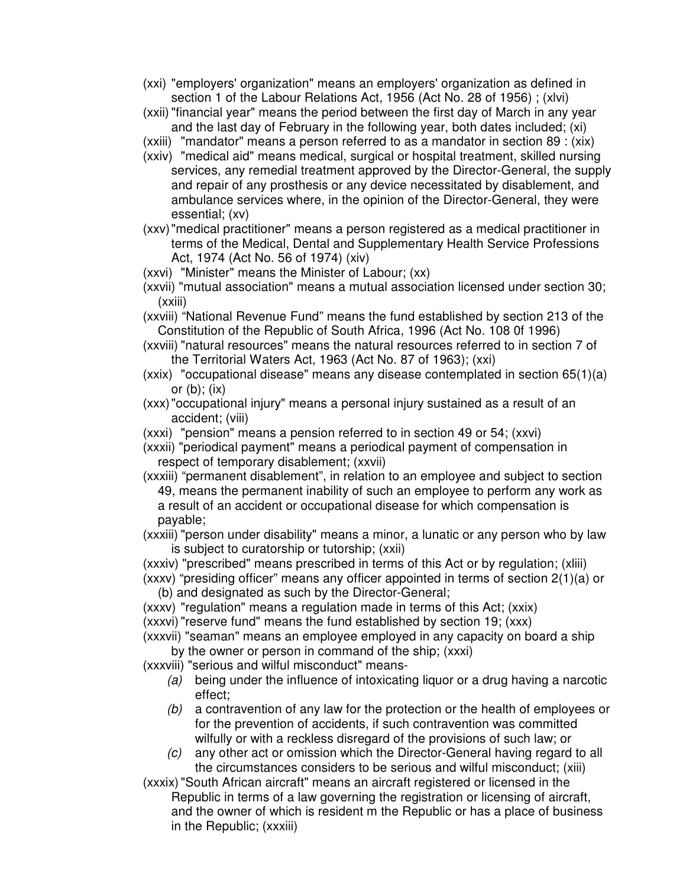- (xxi) "employers' organization" means an employers' organization as defined in section 1 of the Labour Relations Act, 1956 (Act No. 28 of 1956) ; (xlvi)
- (xxii)"financial year" means the period between the first day of March in any year and the last day of February in the following year, both dates included; (xi)
- (xxiii) "mandator" means a person referred to as a mandator in section 89 : (xix)
- (xxiv) "medical aid" means medical, surgical or hospital treatment, skilled nursing services, any remedial treatment approved by the Director-General, the supply and repair of any prosthesis or any device necessitated by disablement, and ambulance services where, in the opinion of the Director-General, they were essential; (xv)
- (xxv)"medical practitioner" means a person registered as a medical practitioner in terms of the Medical, Dental and Supplementary Health Service Professions Act, 1974 (Act No. 56 of 1974) (xiv)
- (xxvi) "Minister" means the Minister of Labour; (xx)
- (xxvii) "mutual association" means a mutual association licensed under section 30; (xxiii)
- (xxviii) "National Revenue Fund" means the fund established by section 213 of the Constitution of the Republic of South Africa, 1996 (Act No. 108 0f 1996)
- (xxviii) "natural resources" means the natural resources referred to in section 7 of the Territorial Waters Act, 1963 (Act No. 87 of 1963); (xxi)
- (xxix) "occupational disease" means any disease contemplated in section 65(1)(a) or  $(b)$ ;  $(ix)$
- (xxx)"occupational injury" means a personal injury sustained as a result of an accident; (viii)
- (xxxi) "pension" means a pension referred to in section 49 or 54; (xxvi)
- (xxxii) "periodical payment" means a periodical payment of compensation in respect of temporary disablement; (xxvii)
- (xxxiii) "permanent disablement", in relation to an employee and subject to section 49, means the permanent inability of such an employee to perform any work as a result of an accident or occupational disease for which compensation is payable;
- (xxxiii) "person under disability" means a minor, a lunatic or any person who by law is subject to curatorship or tutorship; (xxii)
- (xxxiv) "prescribed" means prescribed in terms of this Act or by regulation; (xliii)
- (xxxv) "presiding officer" means any officer appointed in terms of section 2(1)(a) or (b) and designated as such by the Director-General;
- (xxxv) "regulation" means a regulation made in terms of this Act; (xxix)
- (xxxvi)"reserve fund" means the fund established by section 19; (xxx)
- (xxxvii) "seaman" means an employee employed in any capacity on board a ship by the owner or person in command of the ship; (xxxi)

(xxxviii) "serious and wilful misconduct" means-

- *(a)* being under the influence of intoxicating liquor or a drug having a narcotic effect;
- *(b)* a contravention of any law for the protection or the health of employees or for the prevention of accidents, if such contravention was committed wilfully or with a reckless disregard of the provisions of such law; or
- *(c)* any other act or omission which the Director-General having regard to all the circumstances considers to be serious and wilful misconduct; (xiii)

(xxxix)"South African aircraft" means an aircraft registered or licensed in the Republic in terms of a law governing the registration or licensing of aircraft, and the owner of which is resident m the Republic or has a place of business in the Republic; (xxxiii)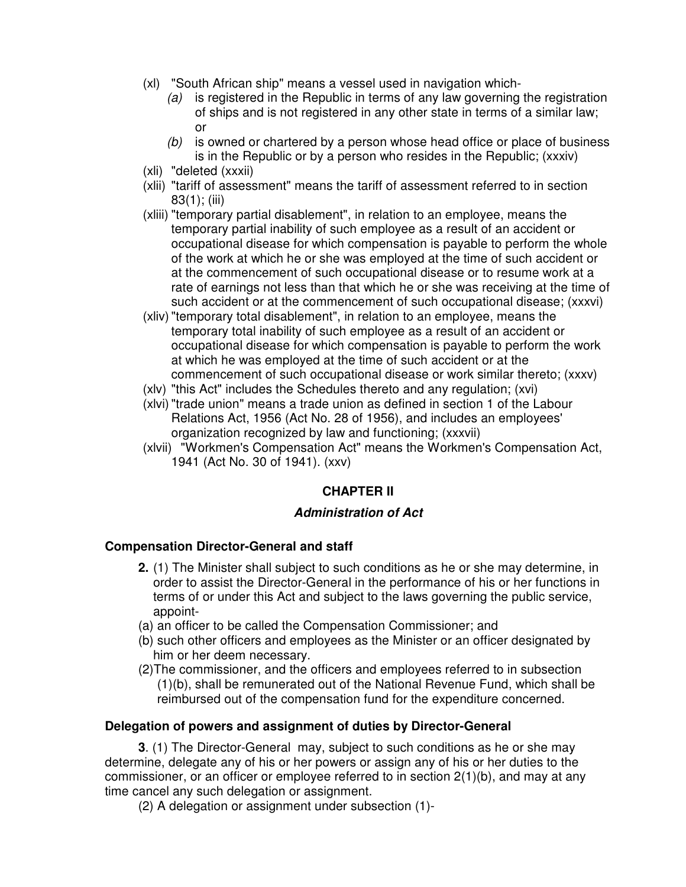- (xl) "South African ship" means a vessel used in navigation which-
	- *(a)* is registered in the Republic in terms of any law governing the registration of ships and is not registered in any other state in terms of a similar law; or
	- *(b)* is owned or chartered by a person whose head office or place of business is in the Republic or by a person who resides in the Republic; (xxxiv)
- (xli) "deleted (xxxii)
- (xlii) "tariff of assessment" means the tariff of assessment referred to in section 83(1); (iii)
- (xliii) "temporary partial disablement", in relation to an employee, means the temporary partial inability of such employee as a result of an accident or occupational disease for which compensation is payable to perform the whole of the work at which he or she was employed at the time of such accident or at the commencement of such occupational disease or to resume work at a rate of earnings not less than that which he or she was receiving at the time of such accident or at the commencement of such occupational disease; (xxxvi)
- (xliv)"temporary total disablement", in relation to an employee, means the temporary total inability of such employee as a result of an accident or occupational disease for which compensation is payable to perform the work at which he was employed at the time of such accident or at the commencement of such occupational disease or work similar thereto; (xxxv)
- (xlv) "this Act" includes the Schedules thereto and any regulation; (xvi)
- (xlvi)"trade union" means a trade union as defined in section 1 of the Labour Relations Act, 1956 (Act No. 28 of 1956), and includes an employees' organization recognized by law and functioning; (xxxvii)
- (xlvii) "Workmen's Compensation Act" means the Workmen's Compensation Act, 1941 (Act No. 30 of 1941). (xxv)

## **CHAPTER II**

## *Administration of Act*

## **Compensation Director-General and staff**

- **2.** (1) The Minister shall subject to such conditions as he or she may determine, in order to assist the Director-General in the performance of his or her functions in terms of or under this Act and subject to the laws governing the public service, appoint-
- (a) an officer to be called the Compensation Commissioner; and
- (b) such other officers and employees as the Minister or an officer designated by him or her deem necessary.
- (2)The commissioner, and the officers and employees referred to in subsection (1)(b), shall be remunerated out of the National Revenue Fund, which shall be reimbursed out of the compensation fund for the expenditure concerned.

#### **Delegation of powers and assignment of duties by Director-General**

**3**. (1) The Director-General may, subject to such conditions as he or she may determine, delegate any of his or her powers or assign any of his or her duties to the commissioner, or an officer or employee referred to in section 2(1)(b), and may at any time cancel any such delegation or assignment.

(2) A delegation or assignment under subsection (1)-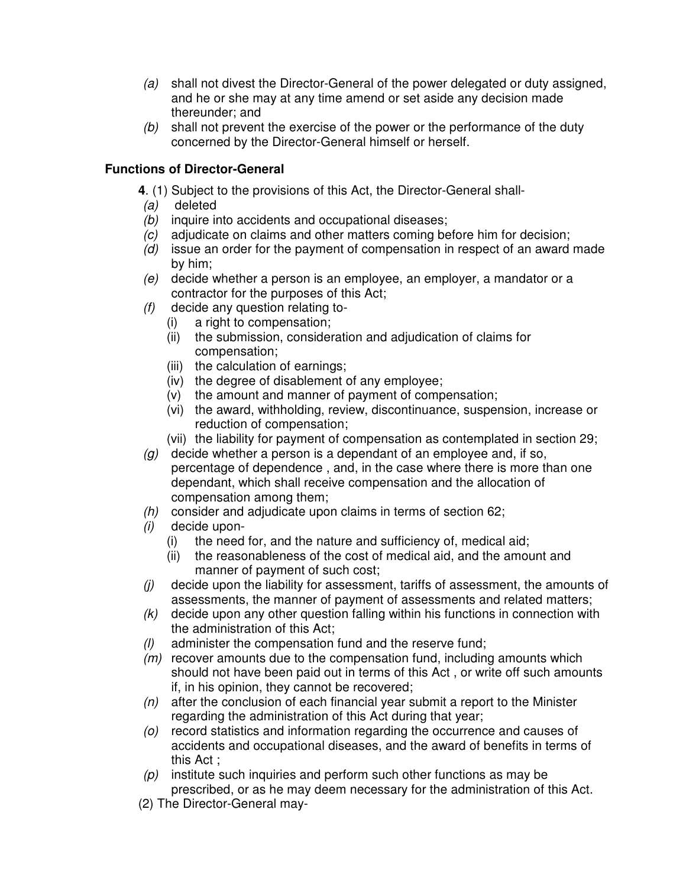- *(a)* shall not divest the Director-General of the power delegated or duty assigned, and he or she may at any time amend or set aside any decision made thereunder; and
- *(b)* shall not prevent the exercise of the power or the performance of the duty concerned by the Director-General himself or herself.

## **Functions of Director-General**

- **4**. (1) Subject to the provisions of this Act, the Director-General shall-
- *(a)* deleted
- *(b)* inquire into accidents and occupational diseases;
- *(c)* adjudicate on claims and other matters coming before him for decision;
- *(d)* issue an order for the payment of compensation in respect of an award made by him;
- *(e)* decide whether a person is an employee, an employer, a mandator or a contractor for the purposes of this Act;
- *(f)* decide any question relating to-
	- (i) a right to compensation;
	- (ii) the submission, consideration and adjudication of claims for compensation;
	- (iii) the calculation of earnings;
	- (iv) the degree of disablement of any employee;
	- (v) the amount and manner of payment of compensation;
	- (vi) the award, withholding, review, discontinuance, suspension, increase or reduction of compensation;
	- (vii) the liability for payment of compensation as contemplated in section 29;
- *(g)* decide whether a person is a dependant of an employee and, if so, percentage of dependence , and, in the case where there is more than one dependant, which shall receive compensation and the allocation of compensation among them;
- *(h)* consider and adjudicate upon claims in terms of section 62;
- *(i)* decide upon-
	- (i) the need for, and the nature and sufficiency of, medical aid;
	- (ii) the reasonableness of the cost of medical aid, and the amount and manner of payment of such cost;
- *(j)* decide upon the liability for assessment, tariffs of assessment, the amounts of assessments, the manner of payment of assessments and related matters;
- *(k)* decide upon any other question falling within his functions in connection with the administration of this Act;
- *(l)* administer the compensation fund and the reserve fund;
- *(m)* recover amounts due to the compensation fund, including amounts which should not have been paid out in terms of this Act , or write off such amounts if, in his opinion, they cannot be recovered;
- *(n)* after the conclusion of each financial year submit a report to the Minister regarding the administration of this Act during that year;
- *(o)* record statistics and information regarding the occurrence and causes of accidents and occupational diseases, and the award of benefits in terms of this Act ;
- *(p)* institute such inquiries and perform such other functions as may be prescribed, or as he may deem necessary for the administration of this Act.
- (2) The Director-General may-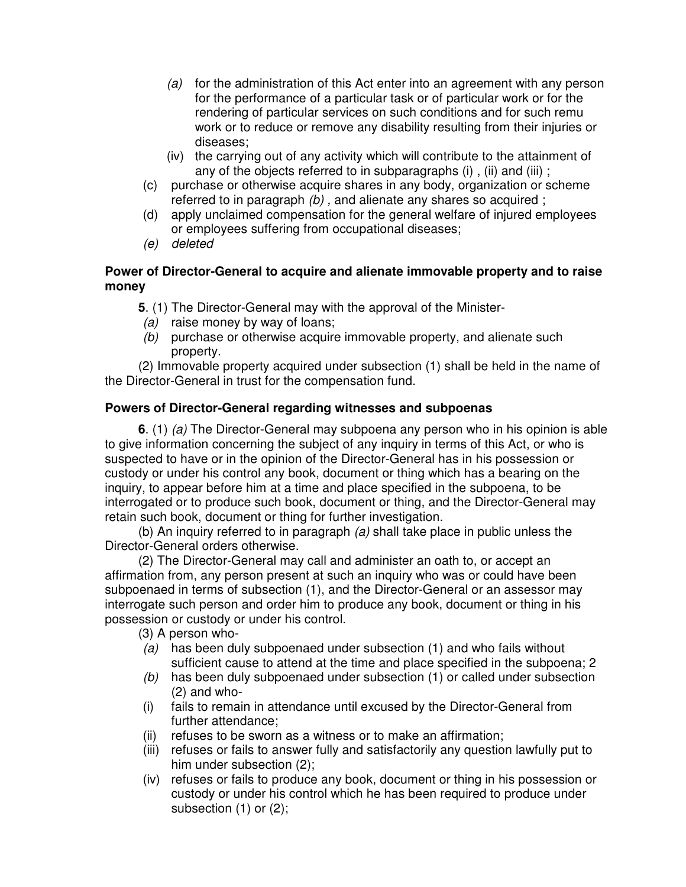- *(a)* for the administration of this Act enter into an agreement with any person for the performance of a particular task or of particular work or for the rendering of particular services on such conditions and for such remu work or to reduce or remove any disability resulting from their injuries or diseases;
- (iv) the carrying out of any activity which will contribute to the attainment of any of the objects referred to in subparagraphs (i) , (ii) and (iii) ;
- (c) purchase or otherwise acquire shares in any body, organization or scheme referred to in paragraph *(b) ,* and alienate any shares so acquired ;
- (d) apply unclaimed compensation for the general welfare of injured employees or employees suffering from occupational diseases;
- *(e) deleted*

## **Power of Director-General to acquire and alienate immovable property and to raise money**

**5**. (1) The Director-General may with the approval of the Minister-

- *(a)* raise money by way of loans;
- *(b)* purchase or otherwise acquire immovable property, and alienate such property.

(2) Immovable property acquired under subsection (1) shall be held in the name of the Director-General in trust for the compensation fund.

## **Powers of Director-General regarding witnesses and subpoenas**

**6**. (1) *(a)* The Director-General may subpoena any person who in his opinion is able to give information concerning the subject of any inquiry in terms of this Act, or who is suspected to have or in the opinion of the Director-General has in his possession or custody or under his control any book, document or thing which has a bearing on the inquiry, to appear before him at a time and place specified in the subpoena, to be interrogated or to produce such book, document or thing, and the Director-General may retain such book, document or thing for further investigation.

(b) An inquiry referred to in paragraph *(a)* shall take place in public unless the Director-General orders otherwise.

(2) The Director-General may call and administer an oath to, or accept an affirmation from, any person present at such an inquiry who was or could have been subpoenaed in terms of subsection (1), and the Director-General or an assessor may interrogate such person and order him to produce any book, document or thing in his possession or custody or under his control.

(3) A person who-

- *(a)* has been duly subpoenaed under subsection (1) and who fails without sufficient cause to attend at the time and place specified in the subpoena; 2
- *(b)* has been duly subpoenaed under subsection (1) or called under subsection (2) and who-
- (i) fails to remain in attendance until excused by the Director-General from further attendance;
- (ii) refuses to be sworn as a witness or to make an affirmation;
- (iii) refuses or fails to answer fully and satisfactorily any question lawfully put to him under subsection (2);
- (iv) refuses or fails to produce any book, document or thing in his possession or custody or under his control which he has been required to produce under subsection (1) or (2);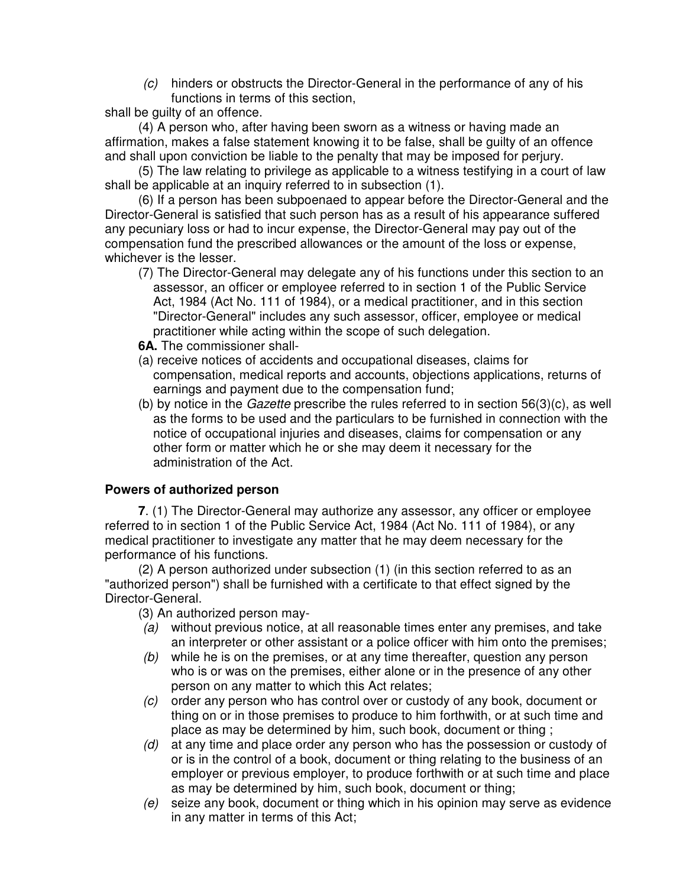*(c)* hinders or obstructs the Director-General in the performance of any of his functions in terms of this section,

shall be guilty of an offence.

(4) A person who, after having been sworn as a witness or having made an affirmation, makes a false statement knowing it to be false, shall be guilty of an offence and shall upon conviction be liable to the penalty that may be imposed for perjury.

(5) The law relating to privilege as applicable to a witness testifying in a court of law shall be applicable at an inquiry referred to in subsection (1).

(6) If a person has been subpoenaed to appear before the Director-General and the Director-General is satisfied that such person has as a result of his appearance suffered any pecuniary loss or had to incur expense, the Director-General may pay out of the compensation fund the prescribed allowances or the amount of the loss or expense, whichever is the lesser.

(7) The Director-General may delegate any of his functions under this section to an assessor, an officer or employee referred to in section 1 of the Public Service Act, 1984 (Act No. 111 of 1984), or a medical practitioner, and in this section "Director-General" includes any such assessor, officer, employee or medical practitioner while acting within the scope of such delegation.

**6A.** The commissioner shall-

- (a) receive notices of accidents and occupational diseases, claims for compensation, medical reports and accounts, objections applications, returns of earnings and payment due to the compensation fund;
- (b) by notice in the *Gazette* prescribe the rules referred to in section 56(3)(c), as well as the forms to be used and the particulars to be furnished in connection with the notice of occupational injuries and diseases, claims for compensation or any other form or matter which he or she may deem it necessary for the administration of the Act.

## **Powers of authorized person**

**7**. (1) The Director-General may authorize any assessor, any officer or employee referred to in section 1 of the Public Service Act, 1984 (Act No. 111 of 1984), or any medical practitioner to investigate any matter that he may deem necessary for the performance of his functions.

(2) A person authorized under subsection (1) (in this section referred to as an "authorized person") shall be furnished with a certificate to that effect signed by the Director-General.

(3) An authorized person may-

- *(a)* without previous notice, at all reasonable times enter any premises, and take an interpreter or other assistant or a police officer with him onto the premises;
- *(b)* while he is on the premises, or at any time thereafter, question any person who is or was on the premises, either alone or in the presence of any other person on any matter to which this Act relates;
- *(c)* order any person who has control over or custody of any book, document or thing on or in those premises to produce to him forthwith, or at such time and place as may be determined by him, such book, document or thing ;
- *(d)* at any time and place order any person who has the possession or custody of or is in the control of a book, document or thing relating to the business of an employer or previous employer, to produce forthwith or at such time and place as may be determined by him, such book, document or thing;
- *(e)* seize any book, document or thing which in his opinion may serve as evidence in any matter in terms of this Act;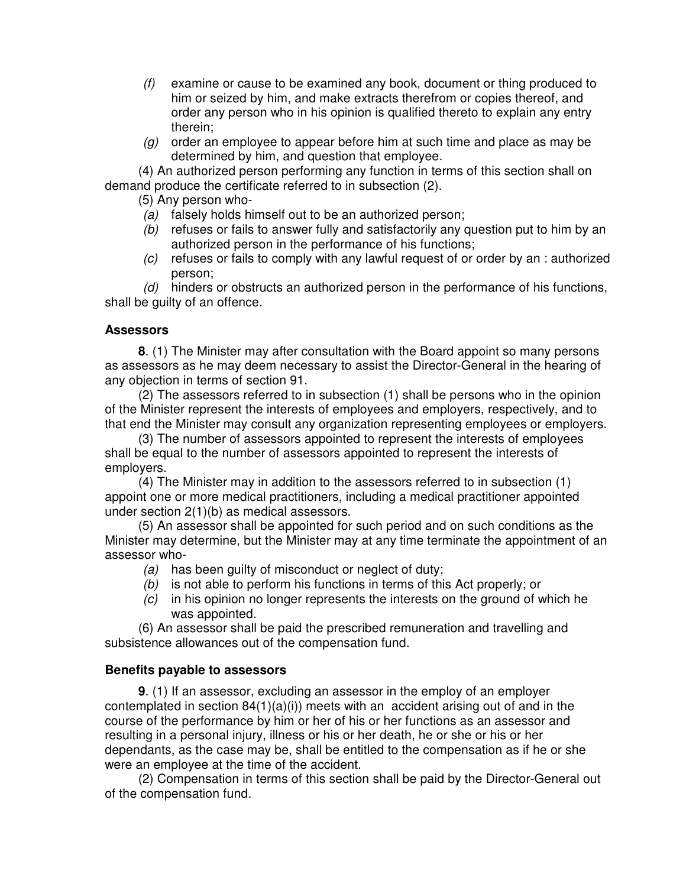- *(f)* examine or cause to be examined any book, document or thing produced to him or seized by him, and make extracts therefrom or copies thereof, and order any person who in his opinion is qualified thereto to explain any entry therein;
- *(g)* order an employee to appear before him at such time and place as may be determined by him, and question that employee.

(4) An authorized person performing any function in terms of this section shall on demand produce the certificate referred to in subsection (2).

(5) Any person who-

- *(a)* falsely holds himself out to be an authorized person;
- *(b)* refuses or fails to answer fully and satisfactorily any question put to him by an authorized person in the performance of his functions;
- *(c)* refuses or fails to comply with any lawful request of or order by an : authorized person;

*(d)* hinders or obstructs an authorized person in the performance of his functions, shall be guilty of an offence.

## **Assessors**

**8**. (1) The Minister may after consultation with the Board appoint so many persons as assessors as he may deem necessary to assist the Director-General in the hearing of any objection in terms of section 91.

(2) The assessors referred to in subsection (1) shall be persons who in the opinion of the Minister represent the interests of employees and employers, respectively, and to that end the Minister may consult any organization representing employees or employers.

(3) The number of assessors appointed to represent the interests of employees shall be equal to the number of assessors appointed to represent the interests of employers.

(4) The Minister may in addition to the assessors referred to in subsection (1) appoint one or more medical practitioners, including a medical practitioner appointed under section 2(1)(b) as medical assessors.

(5) An assessor shall be appointed for such period and on such conditions as the Minister may determine, but the Minister may at any time terminate the appointment of an assessor who-

- *(a)* has been guilty of misconduct or neglect of duty;
- *(b)* is not able to perform his functions in terms of this Act properly; or
- *(c)* in his opinion no longer represents the interests on the ground of which he was appointed.

(6) An assessor shall be paid the prescribed remuneration and travelling and subsistence allowances out of the compensation fund.

## **Benefits payable to assessors**

**9**. (1) If an assessor, excluding an assessor in the employ of an employer contemplated in section  $84(1)(a)(i)$  meets with an accident arising out of and in the course of the performance by him or her of his or her functions as an assessor and resulting in a personal injury, illness or his or her death, he or she or his or her dependants, as the case may be, shall be entitled to the compensation as if he or she were an employee at the time of the accident.

(2) Compensation in terms of this section shall be paid by the Director-General out of the compensation fund.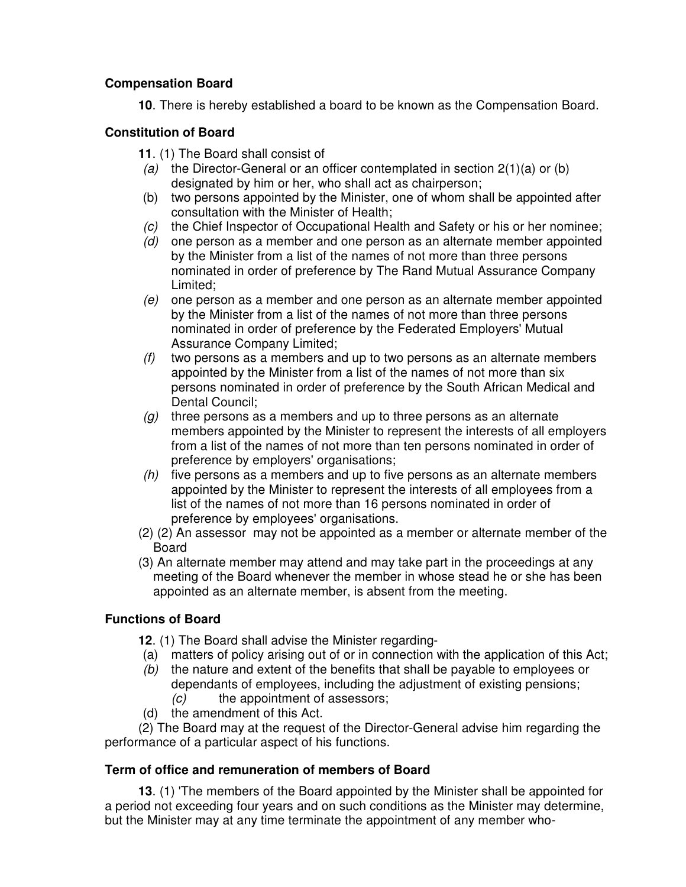## **Compensation Board**

**10**. There is hereby established a board to be known as the Compensation Board.

## **Constitution of Board**

- **11**. (1) The Board shall consist of
- *(a)* the Director-General or an officer contemplated in section 2(1)(a) or (b) designated by him or her, who shall act as chairperson;
- (b) two persons appointed by the Minister, one of whom shall be appointed after consultation with the Minister of Health;
- *(c)* the Chief Inspector of Occupational Health and Safety or his or her nominee;
- *(d)* one person as a member and one person as an alternate member appointed by the Minister from a list of the names of not more than three persons nominated in order of preference by The Rand Mutual Assurance Company Limited;
- *(e)* one person as a member and one person as an alternate member appointed by the Minister from a list of the names of not more than three persons nominated in order of preference by the Federated Employers' Mutual Assurance Company Limited;
- *(f)* two persons as a members and up to two persons as an alternate members appointed by the Minister from a list of the names of not more than six persons nominated in order of preference by the South African Medical and Dental Council;
- *(g)* three persons as a members and up to three persons as an alternate members appointed by the Minister to represent the interests of all employers from a list of the names of not more than ten persons nominated in order of preference by employers' organisations;
- *(h)* five persons as a members and up to five persons as an alternate members appointed by the Minister to represent the interests of all employees from a list of the names of not more than 16 persons nominated in order of preference by employees' organisations.
- (2) (2) An assessor may not be appointed as a member or alternate member of the **Board**
- (3) An alternate member may attend and may take part in the proceedings at any meeting of the Board whenever the member in whose stead he or she has been appointed as an alternate member, is absent from the meeting.

## **Functions of Board**

- **12**. (1) The Board shall advise the Minister regarding-
- (a) matters of policy arising out of or in connection with the application of this Act;
- *(b)* the nature and extent of the benefits that shall be payable to employees or dependants of employees, including the adjustment of existing pensions; *(c)* the appointment of assessors;
- (d) the amendment of this Act.

(2) The Board may at the request of the Director-General advise him regarding the performance of a particular aspect of his functions.

## **Term of office and remuneration of members of Board**

**13**. (1) 'The members of the Board appointed by the Minister shall be appointed for a period not exceeding four years and on such conditions as the Minister may determine, but the Minister may at any time terminate the appointment of any member who-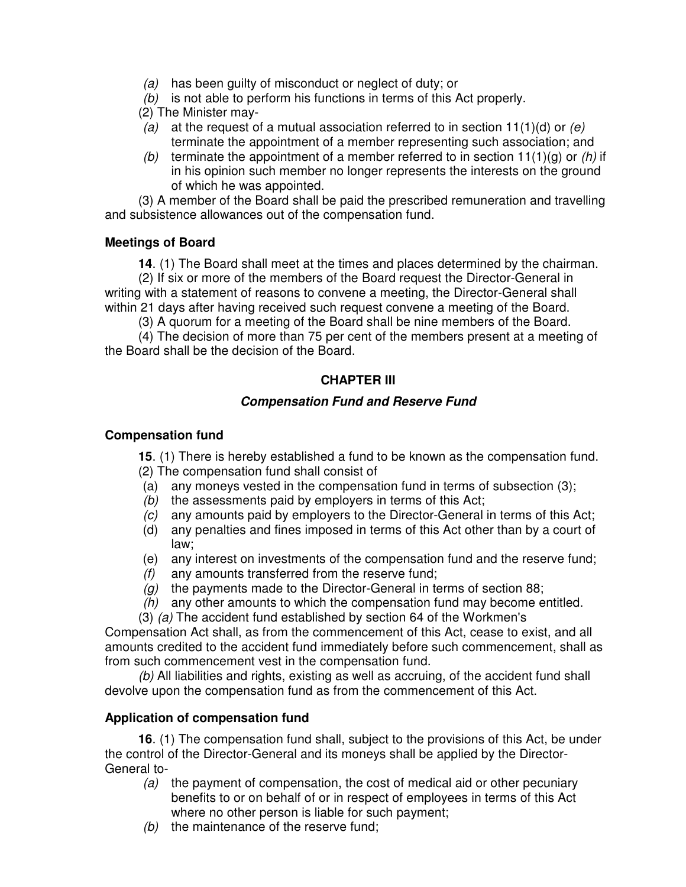- *(a)* has been guilty of misconduct or neglect of duty; or
- *(b)* is not able to perform his functions in terms of this Act properly.
- (2) The Minister may-
- *(a)* at the request of a mutual association referred to in section 11(1)(d) or *(e)* terminate the appointment of a member representing such association; and
- *(b)* terminate the appointment of a member referred to in section 11(1)(g) or *(h)* if in his opinion such member no longer represents the interests on the ground of which he was appointed.

(3) A member of the Board shall be paid the prescribed remuneration and travelling and subsistence allowances out of the compensation fund.

## **Meetings of Board**

**14**. (1) The Board shall meet at the times and places determined by the chairman.

(2) If six or more of the members of the Board request the Director-General in writing with a statement of reasons to convene a meeting, the Director-General shall within 21 days after having received such request convene a meeting of the Board.

(3) A quorum for a meeting of the Board shall be nine members of the Board.

(4) The decision of more than 75 per cent of the members present at a meeting of the Board shall be the decision of the Board.

## **CHAPTER III**

## *Compensation Fund and Reserve Fund*

## **Compensation fund**

**15**. (1) There is hereby established a fund to be known as the compensation fund.

- (2) The compensation fund shall consist of
- (a) any moneys vested in the compensation fund in terms of subsection (3);
- *(b)* the assessments paid by employers in terms of this Act;
- *(c)* any amounts paid by employers to the Director-General in terms of this Act;
- (d) any penalties and fines imposed in terms of this Act other than by a court of law;
- (e) any interest on investments of the compensation fund and the reserve fund;
- *(f)* any amounts transferred from the reserve fund;
- *(g)* the payments made to the Director-General in terms of section 88;
- *(h)* any other amounts to which the compensation fund may become entitled.
- (3) *(a)* The accident fund established by section 64 of the Workmen's

Compensation Act shall, as from the commencement of this Act, cease to exist, and all amounts credited to the accident fund immediately before such commencement, shall as from such commencement vest in the compensation fund.

*(b)* All liabilities and rights, existing as well as accruing, of the accident fund shall devolve upon the compensation fund as from the commencement of this Act.

## **Application of compensation fund**

**16**. (1) The compensation fund shall, subject to the provisions of this Act, be under the control of the Director-General and its moneys shall be applied by the Director-General to-

- *(a)* the payment of compensation, the cost of medical aid or other pecuniary benefits to or on behalf of or in respect of employees in terms of this Act where no other person is liable for such payment;
- *(b)* the maintenance of the reserve fund;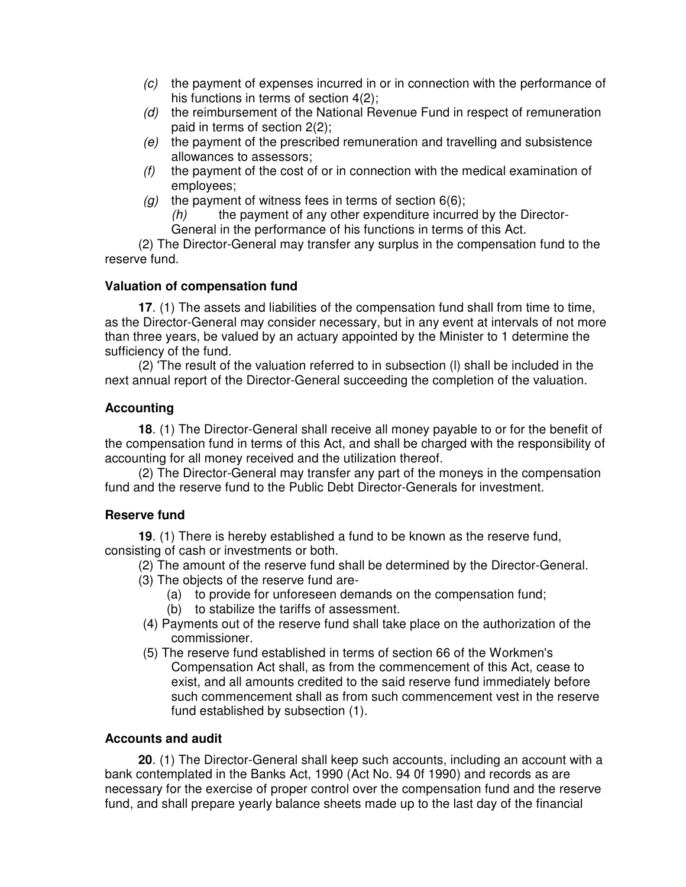- *(c)* the payment of expenses incurred in or in connection with the performance of his functions in terms of section 4(2);
- *(d)* the reimbursement of the National Revenue Fund in respect of remuneration paid in terms of section 2(2);
- *(e)* the payment of the prescribed remuneration and travelling and subsistence allowances to assessors;
- *(f)* the payment of the cost of or in connection with the medical examination of employees;
- *(g)* the payment of witness fees in terms of section 6(6);

*(h)* the payment of any other expenditure incurred by the Director-General in the performance of his functions in terms of this Act.

(2) The Director-General may transfer any surplus in the compensation fund to the reserve fund.

## **Valuation of compensation fund**

**17**. (1) The assets and liabilities of the compensation fund shall from time to time, as the Director-General may consider necessary, but in any event at intervals of not more than three years, be valued by an actuary appointed by the Minister to 1 determine the sufficiency of the fund.

(2) 'The result of the valuation referred to in subsection (l) shall be included in the next annual report of the Director-General succeeding the completion of the valuation.

## **Accounting**

**18**. (1) The Director-General shall receive all money payable to or for the benefit of the compensation fund in terms of this Act, and shall be charged with the responsibility of accounting for all money received and the utilization thereof.

(2) The Director-General may transfer any part of the moneys in the compensation fund and the reserve fund to the Public Debt Director-Generals for investment.

## **Reserve fund**

**19**. (1) There is hereby established a fund to be known as the reserve fund, consisting of cash or investments or both.

- (2) The amount of the reserve fund shall be determined by the Director-General.
- (3) The objects of the reserve fund are-
	- (a) to provide for unforeseen demands on the compensation fund;
	- (b) to stabilize the tariffs of assessment.
- (4) Payments out of the reserve fund shall take place on the authorization of the commissioner.
- (5) The reserve fund established in terms of section 66 of the Workmen's Compensation Act shall, as from the commencement of this Act, cease to exist, and all amounts credited to the said reserve fund immediately before such commencement shall as from such commencement vest in the reserve fund established by subsection (1).

## **Accounts and audit**

**20**. (1) The Director-General shall keep such accounts, including an account with a bank contemplated in the Banks Act, 1990 (Act No. 94 0f 1990) and records as are necessary for the exercise of proper control over the compensation fund and the reserve fund, and shall prepare yearly balance sheets made up to the last day of the financial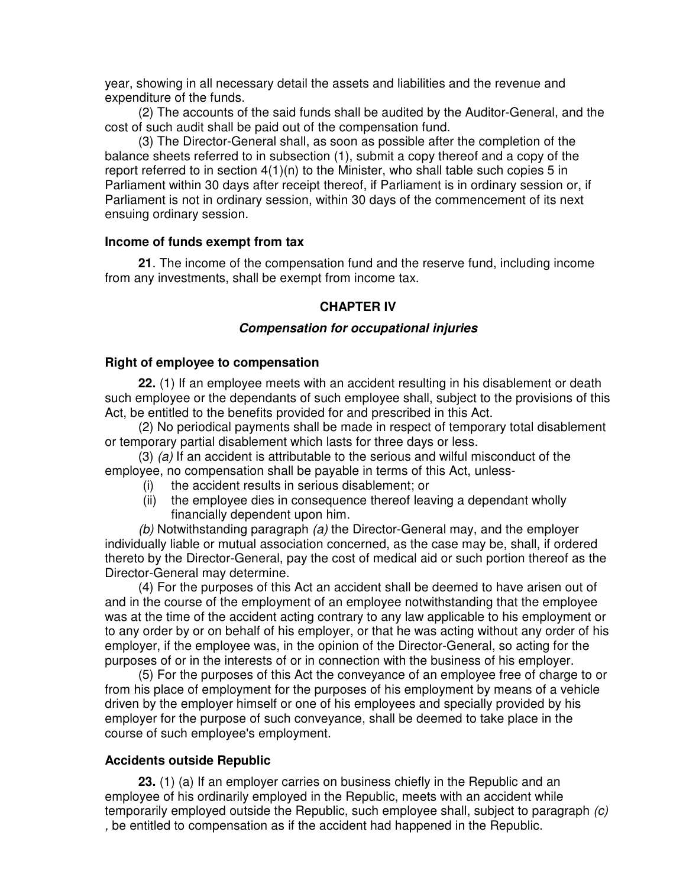year, showing in all necessary detail the assets and liabilities and the revenue and expenditure of the funds.

(2) The accounts of the said funds shall be audited by the Auditor-General, and the cost of such audit shall be paid out of the compensation fund.

(3) The Director-General shall, as soon as possible after the completion of the balance sheets referred to in subsection (1), submit a copy thereof and a copy of the report referred to in section 4(1)(n) to the Minister, who shall table such copies 5 in Parliament within 30 days after receipt thereof, if Parliament is in ordinary session or, if Parliament is not in ordinary session, within 30 days of the commencement of its next ensuing ordinary session.

#### **Income of funds exempt from tax**

**21**. The income of the compensation fund and the reserve fund, including income from any investments, shall be exempt from income tax.

#### **CHAPTER IV**

#### *Compensation for occupational injuries*

#### **Right of employee to compensation**

**22.** (1) If an employee meets with an accident resulting in his disablement or death such employee or the dependants of such employee shall, subject to the provisions of this Act, be entitled to the benefits provided for and prescribed in this Act.

(2) No periodical payments shall be made in respect of temporary total disablement or temporary partial disablement which lasts for three days or less.

(3) *(a)* If an accident is attributable to the serious and wilful misconduct of the employee, no compensation shall be payable in terms of this Act, unless-

- (i) the accident results in serious disablement; or
- (ii) the employee dies in consequence thereof leaving a dependant wholly financially dependent upon him.

*(b)* Notwithstanding paragraph *(a)* the Director-General may, and the employer individually liable or mutual association concerned, as the case may be, shall, if ordered thereto by the Director-General, pay the cost of medical aid or such portion thereof as the Director-General may determine.

(4) For the purposes of this Act an accident shall be deemed to have arisen out of and in the course of the employment of an employee notwithstanding that the employee was at the time of the accident acting contrary to any law applicable to his employment or to any order by or on behalf of his employer, or that he was acting without any order of his employer, if the employee was, in the opinion of the Director-General, so acting for the purposes of or in the interests of or in connection with the business of his employer.

(5) For the purposes of this Act the conveyance of an employee free of charge to or from his place of employment for the purposes of his employment by means of a vehicle driven by the employer himself or one of his employees and specially provided by his employer for the purpose of such conveyance, shall be deemed to take place in the course of such employee's employment.

#### **Accidents outside Republic**

**23.** (1) (a) If an employer carries on business chiefly in the Republic and an employee of his ordinarily employed in the Republic, meets with an accident while temporarily employed outside the Republic, such employee shall, subject to paragraph *(c) ,* be entitled to compensation as if the accident had happened in the Republic.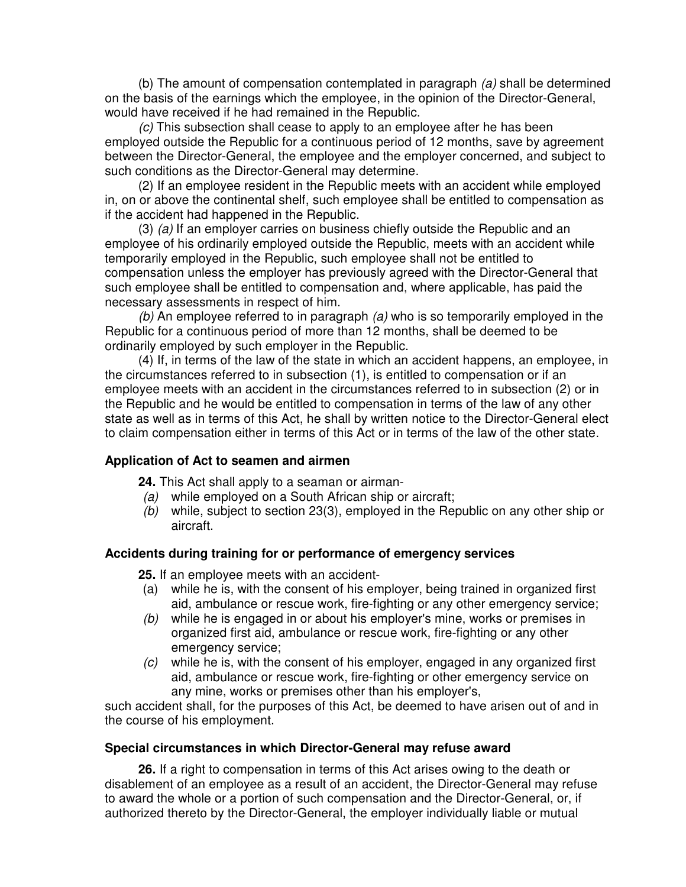(b) The amount of compensation contemplated in paragraph *(a)* shall be determined on the basis of the earnings which the employee, in the opinion of the Director-General, would have received if he had remained in the Republic.

*(c)* This subsection shall cease to apply to an employee after he has been employed outside the Republic for a continuous period of 12 months, save by agreement between the Director-General, the employee and the employer concerned, and subject to such conditions as the Director-General may determine.

(2) If an employee resident in the Republic meets with an accident while employed in, on or above the continental shelf, such employee shall be entitled to compensation as if the accident had happened in the Republic.

(3) *(a)* If an employer carries on business chiefly outside the Republic and an employee of his ordinarily employed outside the Republic, meets with an accident while temporarily employed in the Republic, such employee shall not be entitled to compensation unless the employer has previously agreed with the Director-General that such employee shall be entitled to compensation and, where applicable, has paid the necessary assessments in respect of him.

*(b)* An employee referred to in paragraph *(a)* who is so temporarily employed in the Republic for a continuous period of more than 12 months, shall be deemed to be ordinarily employed by such employer in the Republic.

(4) If, in terms of the law of the state in which an accident happens, an employee, in the circumstances referred to in subsection (1), is entitled to compensation or if an employee meets with an accident in the circumstances referred to in subsection (2) or in the Republic and he would be entitled to compensation in terms of the law of any other state as well as in terms of this Act, he shall by written notice to the Director-General elect to claim compensation either in terms of this Act or in terms of the law of the other state.

#### **Application of Act to seamen and airmen**

**24.** This Act shall apply to a seaman or airman-

- *(a)* while employed on a South African ship or aircraft;
- *(b)* while, subject to section 23(3), employed in the Republic on any other ship or aircraft.

#### **Accidents during training for or performance of emergency services**

**25.** If an employee meets with an accident-

- (a) while he is, with the consent of his employer, being trained in organized first aid, ambulance or rescue work, fire-fighting or any other emergency service;
- *(b)* while he is engaged in or about his employer's mine, works or premises in organized first aid, ambulance or rescue work, fire-fighting or any other emergency service;
- *(c)* while he is, with the consent of his employer, engaged in any organized first aid, ambulance or rescue work, fire-fighting or other emergency service on any mine, works or premises other than his employer's,

such accident shall, for the purposes of this Act, be deemed to have arisen out of and in the course of his employment.

#### **Special circumstances in which Director-General may refuse award**

**26.** If a right to compensation in terms of this Act arises owing to the death or disablement of an employee as a result of an accident, the Director-General may refuse to award the whole or a portion of such compensation and the Director-General, or, if authorized thereto by the Director-General, the employer individually liable or mutual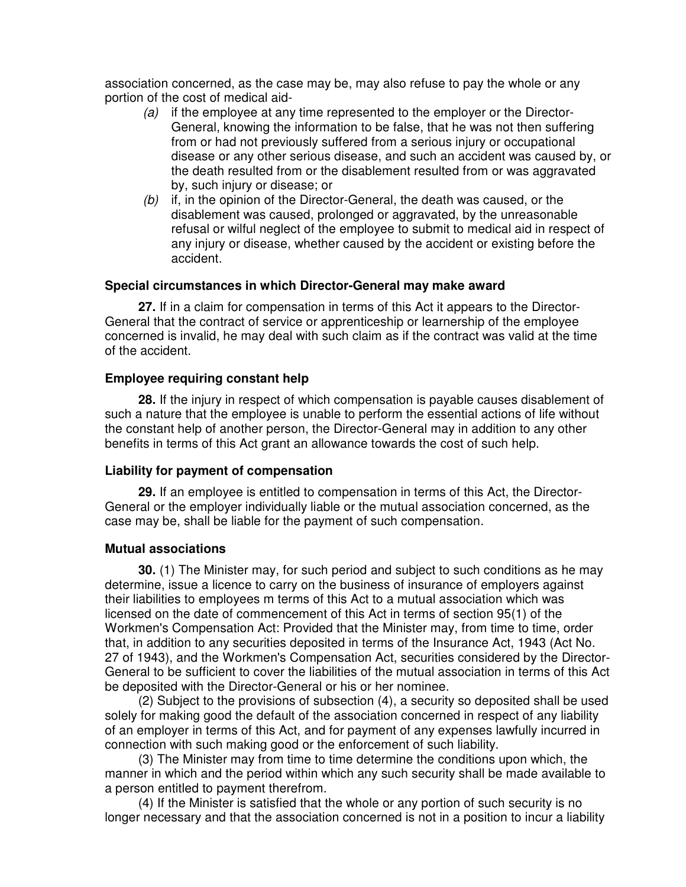association concerned, as the case may be, may also refuse to pay the whole or any portion of the cost of medical aid-

- *(a)* if the employee at any time represented to the employer or the Director-General, knowing the information to be false, that he was not then suffering from or had not previously suffered from a serious injury or occupational disease or any other serious disease, and such an accident was caused by, or the death resulted from or the disablement resulted from or was aggravated by, such injury or disease; or
- *(b)* if, in the opinion of the Director-General, the death was caused, or the disablement was caused, prolonged or aggravated, by the unreasonable refusal or wilful neglect of the employee to submit to medical aid in respect of any injury or disease, whether caused by the accident or existing before the accident.

#### **Special circumstances in which Director-General may make award**

**27.** If in a claim for compensation in terms of this Act it appears to the Director-General that the contract of service or apprenticeship or learnership of the employee concerned is invalid, he may deal with such claim as if the contract was valid at the time of the accident.

#### **Employee requiring constant help**

**28.** If the injury in respect of which compensation is payable causes disablement of such a nature that the employee is unable to perform the essential actions of life without the constant help of another person, the Director-General may in addition to any other benefits in terms of this Act grant an allowance towards the cost of such help.

#### **Liability for payment of compensation**

**29.** If an employee is entitled to compensation in terms of this Act, the Director-General or the employer individually liable or the mutual association concerned, as the case may be, shall be liable for the payment of such compensation.

#### **Mutual associations**

**30.** (1) The Minister may, for such period and subject to such conditions as he may determine, issue a licence to carry on the business of insurance of employers against their liabilities to employees m terms of this Act to a mutual association which was licensed on the date of commencement of this Act in terms of section 95(1) of the Workmen's Compensation Act: Provided that the Minister may, from time to time, order that, in addition to any securities deposited in terms of the Insurance Act, 1943 (Act No. 27 of 1943), and the Workmen's Compensation Act, securities considered by the Director-General to be sufficient to cover the liabilities of the mutual association in terms of this Act be deposited with the Director-General or his or her nominee.

(2) Subject to the provisions of subsection (4), a security so deposited shall be used solely for making good the default of the association concerned in respect of any liability of an employer in terms of this Act, and for payment of any expenses lawfully incurred in connection with such making good or the enforcement of such liability.

(3) The Minister may from time to time determine the conditions upon which, the manner in which and the period within which any such security shall be made available to a person entitled to payment therefrom.

(4) If the Minister is satisfied that the whole or any portion of such security is no longer necessary and that the association concerned is not in a position to incur a liability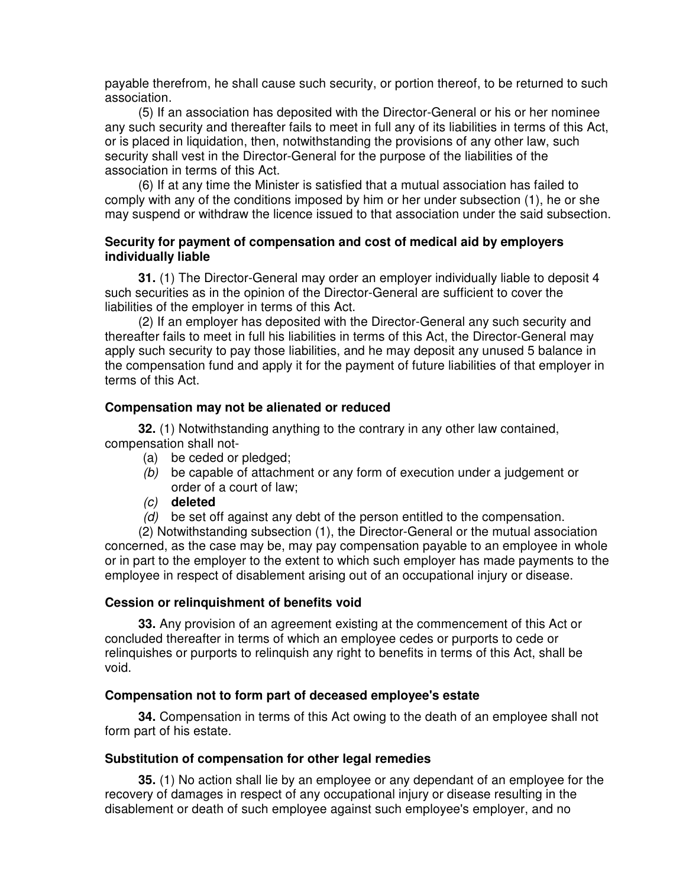payable therefrom, he shall cause such security, or portion thereof, to be returned to such association.

(5) If an association has deposited with the Director-General or his or her nominee any such security and thereafter fails to meet in full any of its liabilities in terms of this Act, or is placed in liquidation, then, notwithstanding the provisions of any other law, such security shall vest in the Director-General for the purpose of the liabilities of the association in terms of this Act.

(6) If at any time the Minister is satisfied that a mutual association has failed to comply with any of the conditions imposed by him or her under subsection (1), he or she may suspend or withdraw the licence issued to that association under the said subsection.

#### **Security for payment of compensation and cost of medical aid by employers individually liable**

**31.** (1) The Director-General may order an employer individually liable to deposit 4 such securities as in the opinion of the Director-General are sufficient to cover the liabilities of the employer in terms of this Act.

(2) If an employer has deposited with the Director-General any such security and thereafter fails to meet in full his liabilities in terms of this Act, the Director-General may apply such security to pay those liabilities, and he may deposit any unused 5 balance in the compensation fund and apply it for the payment of future liabilities of that employer in terms of this Act.

#### **Compensation may not be alienated or reduced**

**32.** (1) Notwithstanding anything to the contrary in any other law contained, compensation shall not-

- (a) be ceded or pledged;
- *(b)* be capable of attachment or any form of execution under a judgement or order of a court of law;
- *(c)* **deleted**
- *(d)* be set off against any debt of the person entitled to the compensation.

(2) Notwithstanding subsection (1), the Director-General or the mutual association concerned, as the case may be, may pay compensation payable to an employee in whole or in part to the employer to the extent to which such employer has made payments to the employee in respect of disablement arising out of an occupational injury or disease.

#### **Cession or relinquishment of benefits void**

**33.** Any provision of an agreement existing at the commencement of this Act or concluded thereafter in terms of which an employee cedes or purports to cede or relinquishes or purports to relinquish any right to benefits in terms of this Act, shall be void.

#### **Compensation not to form part of deceased employee's estate**

**34.** Compensation in terms of this Act owing to the death of an employee shall not form part of his estate.

#### **Substitution of compensation for other legal remedies**

**35.** (1) No action shall lie by an employee or any dependant of an employee for the recovery of damages in respect of any occupational injury or disease resulting in the disablement or death of such employee against such employee's employer, and no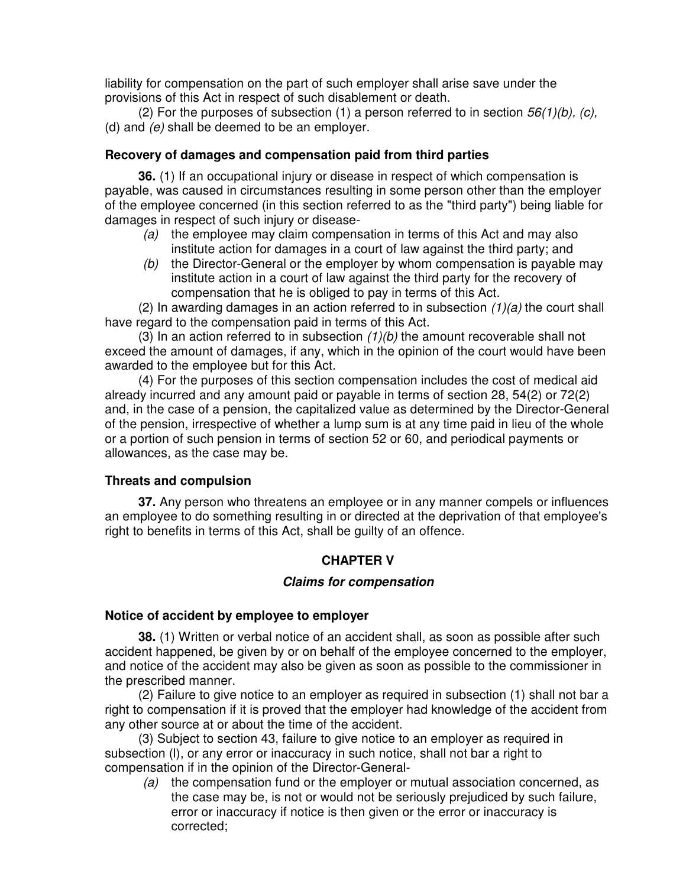liability for compensation on the part of such employer shall arise save under the provisions of this Act in respect of such disablement or death.

(2) For the purposes of subsection (1) a person referred to in section *56(1)(b), (c),* (d) and *(e)* shall be deemed to be an employer.

### **Recovery of damages and compensation paid from third parties**

**36.** (1) If an occupational injury or disease in respect of which compensation is payable, was caused in circumstances resulting in some person other than the employer of the employee concerned (in this section referred to as the "third party") being liable for damages in respect of such injury or disease-

- *(a)* the employee may claim compensation in terms of this Act and may also institute action for damages in a court of law against the third party; and
- *(b)* the Director-General or the employer by whom compensation is payable may institute action in a court of law against the third party for the recovery of compensation that he is obliged to pay in terms of this Act.

(2) In awarding damages in an action referred to in subsection *(1)(a)* the court shall have regard to the compensation paid in terms of this Act.

(3) In an action referred to in subsection *(1)(b)* the amount recoverable shall not exceed the amount of damages, if any, which in the opinion of the court would have been awarded to the employee but for this Act.

(4) For the purposes of this section compensation includes the cost of medical aid already incurred and any amount paid or payable in terms of section 28, 54(2) or 72(2) and, in the case of a pension, the capitalized value as determined by the Director-General of the pension, irrespective of whether a lump sum is at any time paid in lieu of the whole or a portion of such pension in terms of section 52 or 60, and periodical payments or allowances, as the case may be.

#### **Threats and compulsion**

**37.** Any person who threatens an employee or in any manner compels or influences an employee to do something resulting in or directed at the deprivation of that employee's right to benefits in terms of this Act, shall be guilty of an offence.

## **CHAPTER V**

#### *Claims for compensation*

#### **Notice of accident by employee to employer**

**38.** (1) Written or verbal notice of an accident shall, as soon as possible after such accident happened, be given by or on behalf of the employee concerned to the employer, and notice of the accident may also be given as soon as possible to the commissioner in the prescribed manner.

(2) Failure to give notice to an employer as required in subsection (1) shall not bar a right to compensation if it is proved that the employer had knowledge of the accident from any other source at or about the time of the accident.

(3) Subject to section 43, failure to give notice to an employer as required in subsection (l), or any error or inaccuracy in such notice, shall not bar a right to compensation if in the opinion of the Director-General-

*(a)* the compensation fund or the employer or mutual association concerned, as the case may be, is not or would not be seriously prejudiced by such failure, error or inaccuracy if notice is then given or the error or inaccuracy is corrected;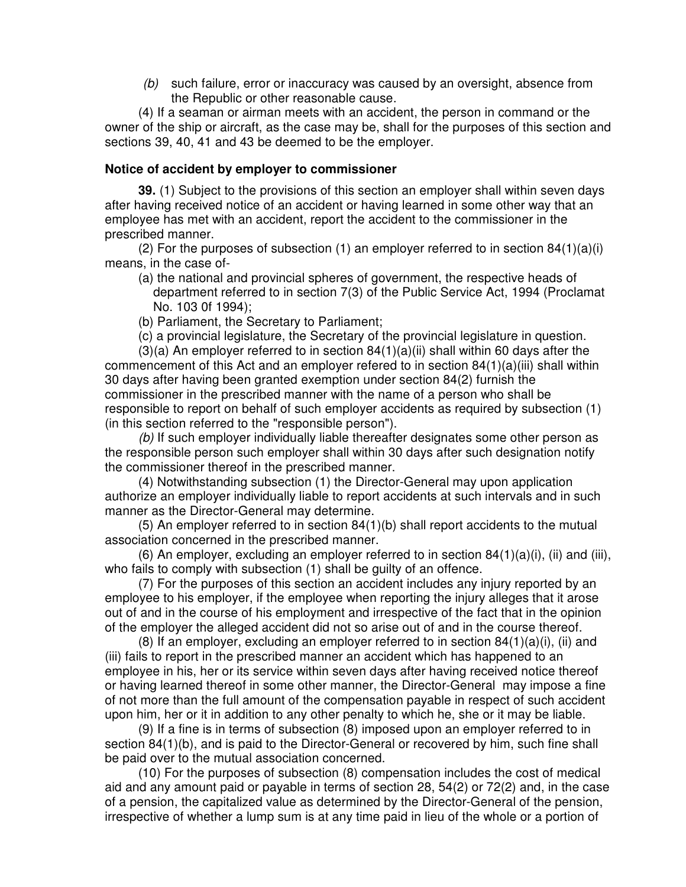*(b)* such failure, error or inaccuracy was caused by an oversight, absence from the Republic or other reasonable cause.

(4) If a seaman or airman meets with an accident, the person in command or the owner of the ship or aircraft, as the case may be, shall for the purposes of this section and sections 39, 40, 41 and 43 be deemed to be the employer.

#### **Notice of accident by employer to commissioner**

**39.** (1) Subject to the provisions of this section an employer shall within seven days after having received notice of an accident or having learned in some other way that an employee has met with an accident, report the accident to the commissioner in the prescribed manner.

(2) For the purposes of subsection (1) an employer referred to in section  $84(1)(a)(i)$ means, in the case of-

- (a) the national and provincial spheres of government, the respective heads of department referred to in section 7(3) of the Public Service Act, 1994 (Proclamat No. 103 0f 1994);
- (b) Parliament, the Secretary to Parliament;
- (c) a provincial legislature, the Secretary of the provincial legislature in question.

 $(3)(a)$  An employer referred to in section  $84(1)(a)(ii)$  shall within 60 days after the commencement of this Act and an employer refered to in section 84(1)(a)(iii) shall within 30 days after having been granted exemption under section 84(2) furnish the commissioner in the prescribed manner with the name of a person who shall be responsible to report on behalf of such employer accidents as required by subsection (1) (in this section referred to the "responsible person").

*(b)* If such employer individually liable thereafter designates some other person as the responsible person such employer shall within 30 days after such designation notify the commissioner thereof in the prescribed manner.

(4) Notwithstanding subsection (1) the Director-General may upon application authorize an employer individually liable to report accidents at such intervals and in such manner as the Director-General may determine.

(5) An employer referred to in section 84(1)(b) shall report accidents to the mutual association concerned in the prescribed manner.

(6) An employer, excluding an employer referred to in section 84(1)(a)(i), (ii) and (iii), who fails to comply with subsection (1) shall be guilty of an offence.

(7) For the purposes of this section an accident includes any injury reported by an employee to his employer, if the employee when reporting the injury alleges that it arose out of and in the course of his employment and irrespective of the fact that in the opinion of the employer the alleged accident did not so arise out of and in the course thereof.

(8) If an employer, excluding an employer referred to in section  $84(1)(a)(i)$ , (ii) and (iii) fails to report in the prescribed manner an accident which has happened to an employee in his, her or its service within seven days after having received notice thereof or having learned thereof in some other manner, the Director-General may impose a fine of not more than the full amount of the compensation payable in respect of such accident upon him, her or it in addition to any other penalty to which he, she or it may be liable.

(9) If a fine is in terms of subsection (8) imposed upon an employer referred to in section 84(1)(b), and is paid to the Director-General or recovered by him, such fine shall be paid over to the mutual association concerned.

(10) For the purposes of subsection (8) compensation includes the cost of medical aid and any amount paid or payable in terms of section 28, 54(2) or 72(2) and, in the case of a pension, the capitalized value as determined by the Director-General of the pension, irrespective of whether a lump sum is at any time paid in lieu of the whole or a portion of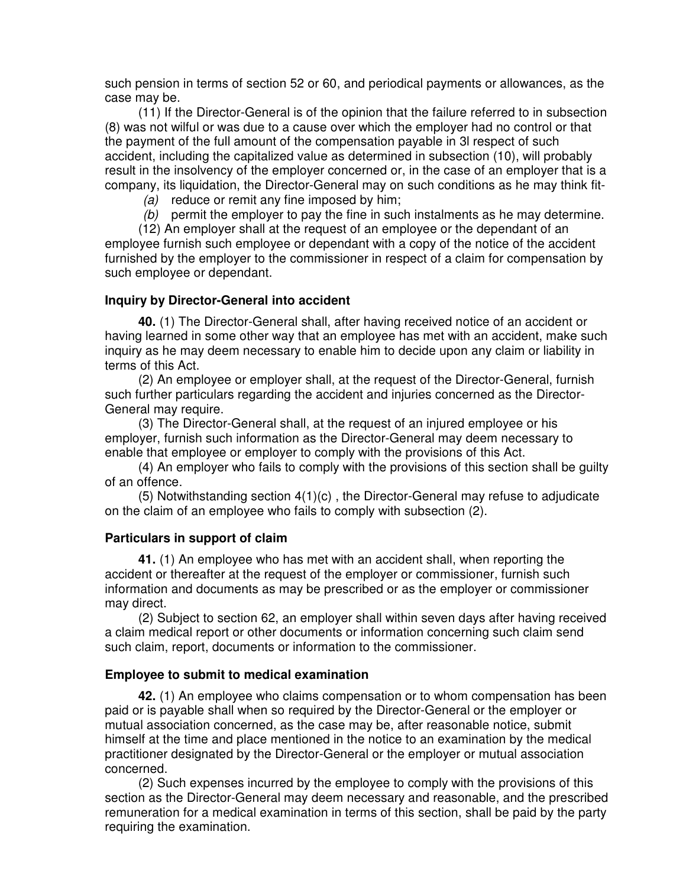such pension in terms of section 52 or 60, and periodical payments or allowances, as the case may be.

(11) If the Director-General is of the opinion that the failure referred to in subsection (8) was not wilful or was due to a cause over which the employer had no control or that the payment of the full amount of the compensation payable in 3l respect of such accident, including the capitalized value as determined in subsection (10), will probably result in the insolvency of the employer concerned or, in the case of an employer that is a company, its liquidation, the Director-General may on such conditions as he may think fit-

*(a)* reduce or remit any fine imposed by him;

*(b)* permit the employer to pay the fine in such instalments as he may determine.

(12) An employer shall at the request of an employee or the dependant of an employee furnish such employee or dependant with a copy of the notice of the accident furnished by the employer to the commissioner in respect of a claim for compensation by such employee or dependant.

#### **Inquiry by Director-General into accident**

**40.** (1) The Director-General shall, after having received notice of an accident or having learned in some other way that an employee has met with an accident, make such inquiry as he may deem necessary to enable him to decide upon any claim or liability in terms of this Act.

(2) An employee or employer shall, at the request of the Director-General, furnish such further particulars regarding the accident and injuries concerned as the Director-General may require.

(3) The Director-General shall, at the request of an injured employee or his employer, furnish such information as the Director-General may deem necessary to enable that employee or employer to comply with the provisions of this Act.

(4) An employer who fails to comply with the provisions of this section shall be guilty of an offence.

 $(5)$  Notwithstanding section  $4(1)(c)$ , the Director-General may refuse to adjudicate on the claim of an employee who fails to comply with subsection (2).

#### **Particulars in support of claim**

**41.** (1) An employee who has met with an accident shall, when reporting the accident or thereafter at the request of the employer or commissioner, furnish such information and documents as may be prescribed or as the employer or commissioner may direct.

(2) Subject to section 62, an employer shall within seven days after having received a claim medical report or other documents or information concerning such claim send such claim, report, documents or information to the commissioner.

#### **Employee to submit to medical examination**

**42.** (1) An employee who claims compensation or to whom compensation has been paid or is payable shall when so required by the Director-General or the employer or mutual association concerned, as the case may be, after reasonable notice, submit himself at the time and place mentioned in the notice to an examination by the medical practitioner designated by the Director-General or the employer or mutual association concerned.

(2) Such expenses incurred by the employee to comply with the provisions of this section as the Director-General may deem necessary and reasonable, and the prescribed remuneration for a medical examination in terms of this section, shall be paid by the party requiring the examination.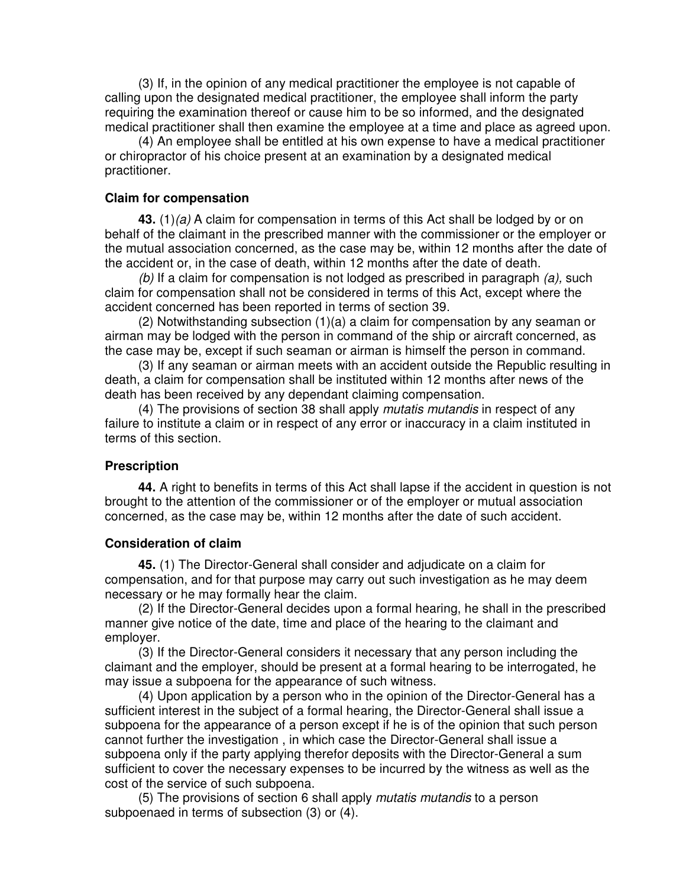(3) If, in the opinion of any medical practitioner the employee is not capable of calling upon the designated medical practitioner, the employee shall inform the party requiring the examination thereof or cause him to be so informed, and the designated medical practitioner shall then examine the employee at a time and place as agreed upon.

(4) An employee shall be entitled at his own expense to have a medical practitioner or chiropractor of his choice present at an examination by a designated medical practitioner.

#### **Claim for compensation**

**43.** (1)*(a)* A claim for compensation in terms of this Act shall be lodged by or on behalf of the claimant in the prescribed manner with the commissioner or the employer or the mutual association concerned, as the case may be, within 12 months after the date of the accident or, in the case of death, within 12 months after the date of death.

*(b)* If a claim for compensation is not lodged as prescribed in paragraph *(a),* such claim for compensation shall not be considered in terms of this Act, except where the accident concerned has been reported in terms of section 39.

(2) Notwithstanding subsection  $(1)(a)$  a claim for compensation by any seaman or airman may be lodged with the person in command of the ship or aircraft concerned, as the case may be, except if such seaman or airman is himself the person in command.

(3) If any seaman or airman meets with an accident outside the Republic resulting in death, a claim for compensation shall be instituted within 12 months after news of the death has been received by any dependant claiming compensation.

(4) The provisions of section 38 shall apply *mutatis mutandis* in respect of any failure to institute a claim or in respect of any error or inaccuracy in a claim instituted in terms of this section.

#### **Prescription**

**44.** A right to benefits in terms of this Act shall lapse if the accident in question is not brought to the attention of the commissioner or of the employer or mutual association concerned, as the case may be, within 12 months after the date of such accident.

#### **Consideration of claim**

**45.** (1) The Director-General shall consider and adjudicate on a claim for compensation, and for that purpose may carry out such investigation as he may deem necessary or he may formally hear the claim.

(2) If the Director-General decides upon a formal hearing, he shall in the prescribed manner give notice of the date, time and place of the hearing to the claimant and employer.

(3) If the Director-General considers it necessary that any person including the claimant and the employer, should be present at a formal hearing to be interrogated, he may issue a subpoena for the appearance of such witness.

(4) Upon application by a person who in the opinion of the Director-General has a sufficient interest in the subject of a formal hearing, the Director-General shall issue a subpoena for the appearance of a person except if he is of the opinion that such person cannot further the investigation , in which case the Director-General shall issue a subpoena only if the party applying therefor deposits with the Director-General a sum sufficient to cover the necessary expenses to be incurred by the witness as well as the cost of the service of such subpoena.

(5) The provisions of section 6 shall apply *mutatis mutandis* to a person subpoenaed in terms of subsection (3) or (4).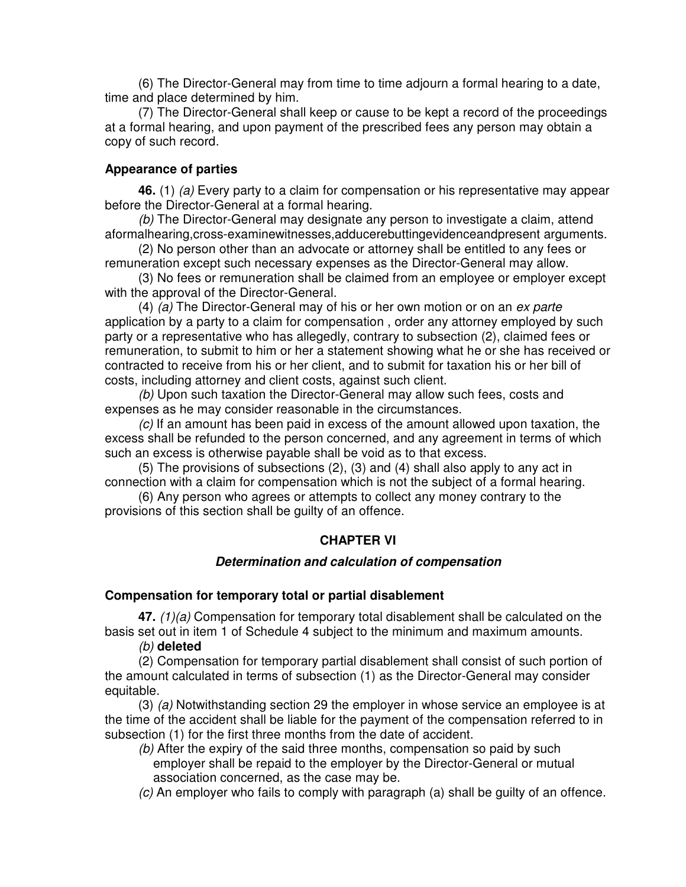(6) The Director-General may from time to time adjourn a formal hearing to a date, time and place determined by him.

(7) The Director-General shall keep or cause to be kept a record of the proceedings at a formal hearing, and upon payment of the prescribed fees any person may obtain a copy of such record.

#### **Appearance of parties**

**46.** (1) *(a)* Every party to a claim for compensation or his representative may appear before the Director-General at a formal hearing.

*(b)* The Director-General may designate any person to investigate a claim, attend aformalhearing,cross-examinewitnesses,adducerebuttingevidenceandpresent arguments.

(2) No person other than an advocate or attorney shall be entitled to any fees or remuneration except such necessary expenses as the Director-General may allow.

(3) No fees or remuneration shall be claimed from an employee or employer except with the approval of the Director-General.

(4) *(a)* The Director-General may of his or her own motion or on an *ex parte* application by a party to a claim for compensation , order any attorney employed by such party or a representative who has allegedly, contrary to subsection (2), claimed fees or remuneration, to submit to him or her a statement showing what he or she has received or contracted to receive from his or her client, and to submit for taxation his or her bill of costs, including attorney and client costs, against such client.

*(b)* Upon such taxation the Director-General may allow such fees, costs and expenses as he may consider reasonable in the circumstances.

*(c)* If an amount has been paid in excess of the amount allowed upon taxation, the excess shall be refunded to the person concerned, and any agreement in terms of which such an excess is otherwise payable shall be void as to that excess.

(5) The provisions of subsections (2), (3) and (4) shall also apply to any act in connection with a claim for compensation which is not the subject of a formal hearing.

(6) Any person who agrees or attempts to collect any money contrary to the provisions of this section shall be guilty of an offence.

#### **CHAPTER VI**

#### *Determination and calculation of compensation*

#### **Compensation for temporary total or partial disablement**

**47.** *(1)(a)* Compensation for temporary total disablement shall be calculated on the basis set out in item 1 of Schedule 4 subject to the minimum and maximum amounts.

*(b)* **deleted**

(2) Compensation for temporary partial disablement shall consist of such portion of the amount calculated in terms of subsection (1) as the Director-General may consider equitable.

(3) *(a)* Notwithstanding section 29 the employer in whose service an employee is at the time of the accident shall be liable for the payment of the compensation referred to in subsection (1) for the first three months from the date of accident.

*(b)* After the expiry of the said three months, compensation so paid by such employer shall be repaid to the employer by the Director-General or mutual association concerned, as the case may be.

*(c)* An employer who fails to comply with paragraph (a) shall be guilty of an offence.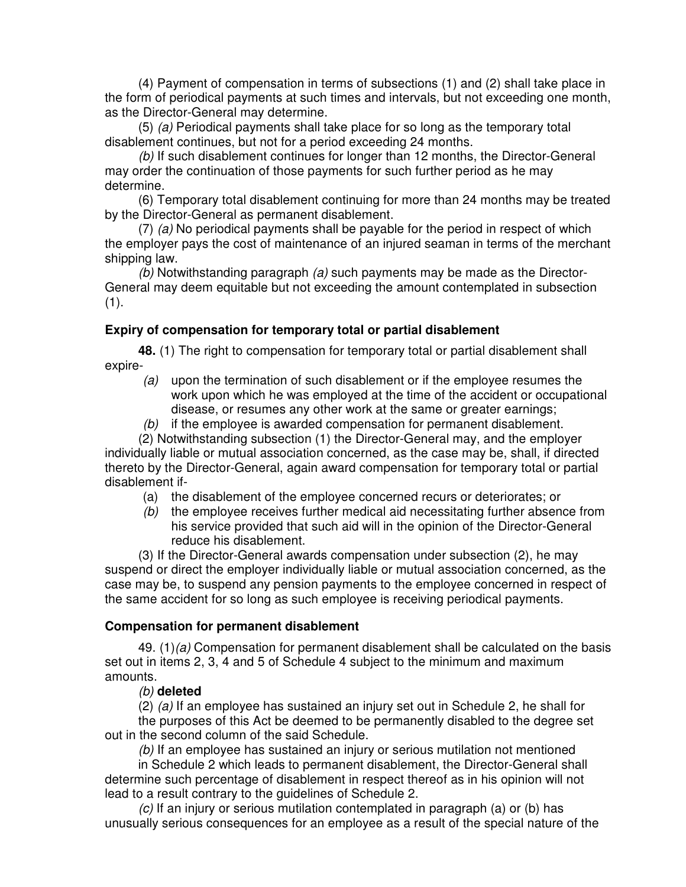(4) Payment of compensation in terms of subsections (1) and (2) shall take place in the form of periodical payments at such times and intervals, but not exceeding one month, as the Director-General may determine.

(5) *(a)* Periodical payments shall take place for so long as the temporary total disablement continues, but not for a period exceeding 24 months.

*(b)* If such disablement continues for longer than 12 months, the Director-General may order the continuation of those payments for such further period as he may determine.

(6) Temporary total disablement continuing for more than 24 months may be treated by the Director-General as permanent disablement.

(7) *(a)* No periodical payments shall be payable for the period in respect of which the employer pays the cost of maintenance of an injured seaman in terms of the merchant shipping law.

*(b)* Notwithstanding paragraph *(a)* such payments may be made as the Director-General may deem equitable but not exceeding the amount contemplated in subsection (1).

## **Expiry of compensation for temporary total or partial disablement**

**48.** (1) The right to compensation for temporary total or partial disablement shall expire-

- *(a)* upon the termination of such disablement or if the employee resumes the work upon which he was employed at the time of the accident or occupational disease, or resumes any other work at the same or greater earnings;
- *(b)* if the employee is awarded compensation for permanent disablement.

(2) Notwithstanding subsection (1) the Director-General may, and the employer individually liable or mutual association concerned, as the case may be, shall, if directed thereto by the Director-General, again award compensation for temporary total or partial disablement if-

- (a) the disablement of the employee concerned recurs or deteriorates; or
- *(b)* the employee receives further medical aid necessitating further absence from his service provided that such aid will in the opinion of the Director-General reduce his disablement.

(3) If the Director-General awards compensation under subsection (2), he may suspend or direct the employer individually liable or mutual association concerned, as the case may be, to suspend any pension payments to the employee concerned in respect of the same accident for so long as such employee is receiving periodical payments.

#### **Compensation for permanent disablement**

49. (1)*(a)* Compensation for permanent disablement shall be calculated on the basis set out in items 2, 3, 4 and 5 of Schedule 4 subject to the minimum and maximum amounts.

#### *(b)* **deleted**

(2) *(a)* If an employee has sustained an injury set out in Schedule 2, he shall for the purposes of this Act be deemed to be permanently disabled to the degree set out in the second column of the said Schedule.

*(b)* If an employee has sustained an injury or serious mutilation not mentioned

in Schedule 2 which leads to permanent disablement, the Director-General shall determine such percentage of disablement in respect thereof as in his opinion will not lead to a result contrary to the guidelines of Schedule 2.

*(c)* If an injury or serious mutilation contemplated in paragraph (a) or (b) has unusually serious consequences for an employee as a result of the special nature of the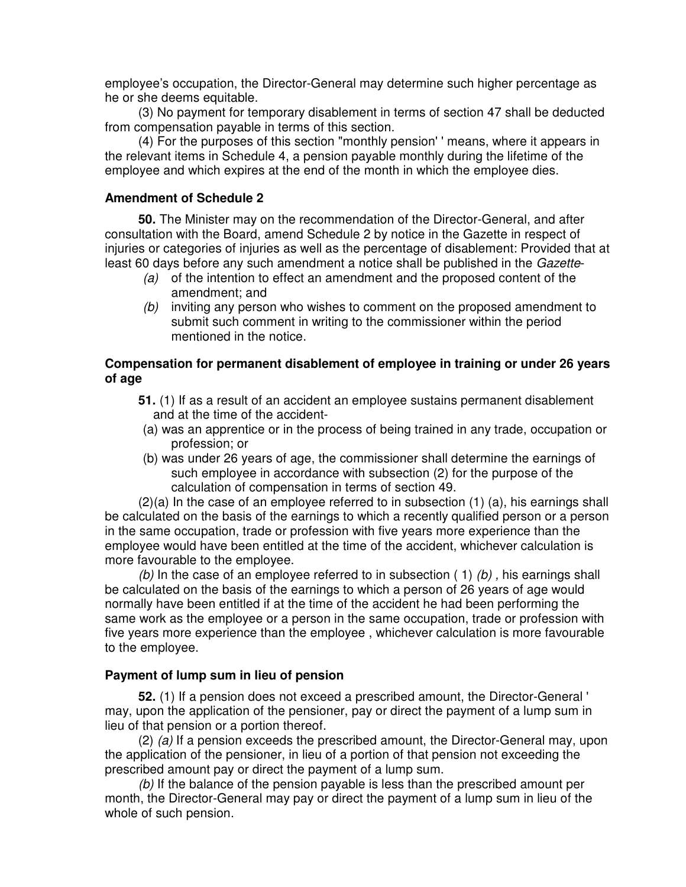employee's occupation, the Director-General may determine such higher percentage as he or she deems equitable.

(3) No payment for temporary disablement in terms of section 47 shall be deducted from compensation payable in terms of this section.

(4) For the purposes of this section "monthly pension' ' means, where it appears in the relevant items in Schedule 4, a pension payable monthly during the lifetime of the employee and which expires at the end of the month in which the employee dies.

#### **Amendment of Schedule 2**

**50.** The Minister may on the recommendation of the Director-General, and after consultation with the Board, amend Schedule 2 by notice in the Gazette in respect of injuries or categories of injuries as well as the percentage of disablement: Provided that at least 60 days before any such amendment a notice shall be published in the *Gazette*-

- *(a)* of the intention to effect an amendment and the proposed content of the amendment; and
- *(b)* inviting any person who wishes to comment on the proposed amendment to submit such comment in writing to the commissioner within the period mentioned in the notice.

## **Compensation for permanent disablement of employee in training or under 26 years of age**

- **51.** (1) If as a result of an accident an employee sustains permanent disablement and at the time of the accident-
- (a) was an apprentice or in the process of being trained in any trade, occupation or profession; or
- (b) was under 26 years of age, the commissioner shall determine the earnings of such employee in accordance with subsection (2) for the purpose of the calculation of compensation in terms of section 49.

(2)(a) In the case of an employee referred to in subsection (1) (a), his earnings shall be calculated on the basis of the earnings to which a recently qualified person or a person in the same occupation, trade or profession with five years more experience than the employee would have been entitled at the time of the accident, whichever calculation is more favourable to the employee.

*(b)* In the case of an employee referred to in subsection ( 1) *(b) ,* his earnings shall be calculated on the basis of the earnings to which a person of 26 years of age would normally have been entitled if at the time of the accident he had been performing the same work as the employee or a person in the same occupation, trade or profession with five years more experience than the employee , whichever calculation is more favourable to the employee.

#### **Payment of lump sum in lieu of pension**

**52.** (1) If a pension does not exceed a prescribed amount, the Director-General ' may, upon the application of the pensioner, pay or direct the payment of a lump sum in lieu of that pension or a portion thereof.

(2) *(a)* If a pension exceeds the prescribed amount, the Director-General may, upon the application of the pensioner, in lieu of a portion of that pension not exceeding the prescribed amount pay or direct the payment of a lump sum.

*(b)* If the balance of the pension payable is less than the prescribed amount per month, the Director-General may pay or direct the payment of a lump sum in lieu of the whole of such pension.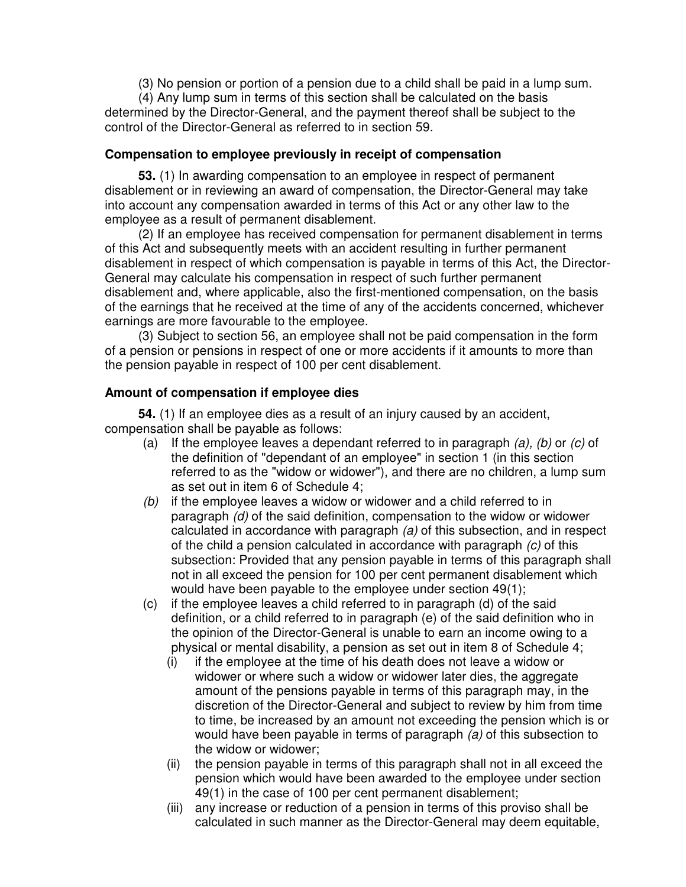(3) No pension or portion of a pension due to a child shall be paid in a lump sum.

(4) Any lump sum in terms of this section shall be calculated on the basis determined by the Director-General, and the payment thereof shall be subject to the control of the Director-General as referred to in section 59.

#### **Compensation to employee previously in receipt of compensation**

**53.** (1) In awarding compensation to an employee in respect of permanent disablement or in reviewing an award of compensation, the Director-General may take into account any compensation awarded in terms of this Act or any other law to the employee as a result of permanent disablement.

(2) If an employee has received compensation for permanent disablement in terms of this Act and subsequently meets with an accident resulting in further permanent disablement in respect of which compensation is payable in terms of this Act, the Director-General may calculate his compensation in respect of such further permanent disablement and, where applicable, also the first-mentioned compensation, on the basis of the earnings that he received at the time of any of the accidents concerned, whichever earnings are more favourable to the employee.

(3) Subject to section 56, an employee shall not be paid compensation in the form of a pension or pensions in respect of one or more accidents if it amounts to more than the pension payable in respect of 100 per cent disablement.

## **Amount of compensation if employee dies**

**54.** (1) If an employee dies as a result of an injury caused by an accident, compensation shall be payable as follows:

- (a) If the employee leaves a dependant referred to in paragraph *(a), (b)* or *(c)* of the definition of "dependant of an employee" in section 1 (in this section referred to as the "widow or widower"), and there are no children, a lump sum as set out in item 6 of Schedule 4;
- *(b)* if the employee leaves a widow or widower and a child referred to in paragraph *(d)* of the said definition, compensation to the widow or widower calculated in accordance with paragraph *(a)* of this subsection, and in respect of the child a pension calculated in accordance with paragraph *(c)* of this subsection: Provided that any pension payable in terms of this paragraph shall not in all exceed the pension for 100 per cent permanent disablement which would have been payable to the employee under section 49(1);
- (c) if the employee leaves a child referred to in paragraph (d) of the said definition, or a child referred to in paragraph (e) of the said definition who in the opinion of the Director-General is unable to earn an income owing to a physical or mental disability, a pension as set out in item 8 of Schedule 4;
	- (i) if the employee at the time of his death does not leave a widow or widower or where such a widow or widower later dies, the aggregate amount of the pensions payable in terms of this paragraph may, in the discretion of the Director-General and subject to review by him from time to time, be increased by an amount not exceeding the pension which is or would have been payable in terms of paragraph *(a)* of this subsection to the widow or widower;
	- (ii) the pension payable in terms of this paragraph shall not in all exceed the pension which would have been awarded to the employee under section 49(1) in the case of 100 per cent permanent disablement;
	- (iii) any increase or reduction of a pension in terms of this proviso shall be calculated in such manner as the Director-General may deem equitable,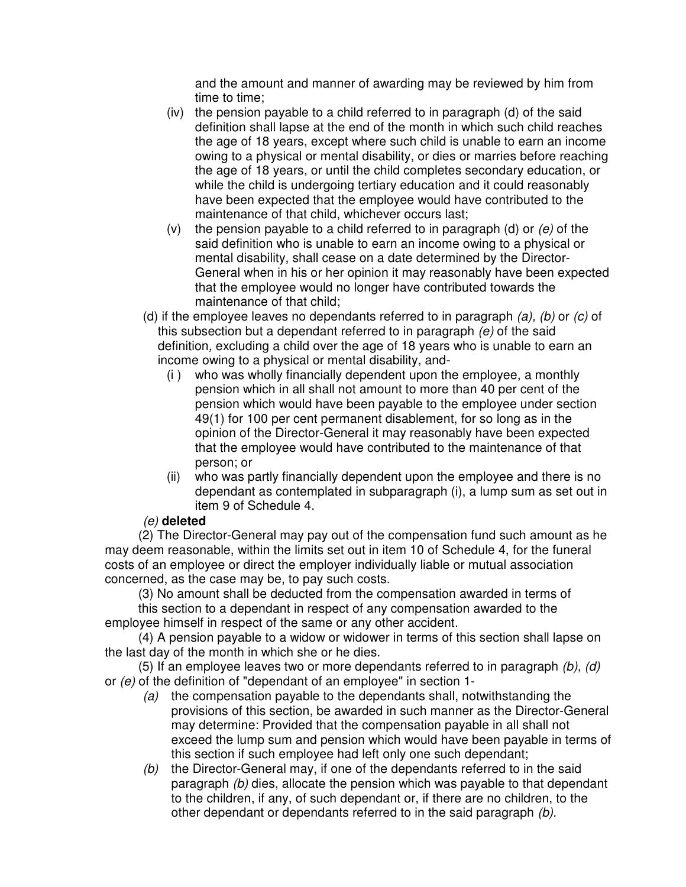and the amount and manner of awarding may be reviewed by him from time to time;

- (iv) the pension payable to a child referred to in paragraph (d) of the said definition shall lapse at the end of the month in which such child reaches the age of 18 years, except where such child is unable to earn an income owing to a physical or mental disability, or dies or marries before reaching the age of 18 years, or until the child completes secondary education, or while the child is undergoing tertiary education and it could reasonably have been expected that the employee would have contributed to the maintenance of that child, whichever occurs last;
- (v) the pension payable to a child referred to in paragraph (d) or *(e)* of the said definition who is unable to earn an income owing to a physical or mental disability, shall cease on a date determined by the Director-General when in his or her opinion it may reasonably have been expected that the employee would no longer have contributed towards the maintenance of that child;
- (d) if the employee leaves no dependants referred to in paragraph *(a), (b)* or *(c)* of this subsection but a dependant referred to in paragraph *(e)* of the said definition*,* excluding a child over the age of 18 years who is unable to earn an income owing to a physical or mental disability, and-
	- (i ) who was wholly financially dependent upon the employee, a monthly pension which in all shall not amount to more than 40 per cent of the pension which would have been payable to the employee under section 49(1) for 100 per cent permanent disablement, for so long as in the opinion of the Director-General it may reasonably have been expected that the employee would have contributed to the maintenance of that person; or
	- (ii) who was partly financially dependent upon the employee and there is no dependant as contemplated in subparagraph (i), a lump sum as set out in item 9 of Schedule 4.

## *(e)* **deleted**

(2) The Director-General may pay out of the compensation fund such amount as he may deem reasonable, within the limits set out in item 10 of Schedule 4, for the funeral costs of an employee or direct the employer individually liable or mutual association concerned, as the case may be, to pay such costs.

(3) No amount shall be deducted from the compensation awarded in terms of

this section to a dependant in respect of any compensation awarded to the employee himself in respect of the same or any other accident.

(4) A pension payable to a widow or widower in terms of this section shall lapse on the last day of the month in which she or he dies.

(5) If an employee leaves two or more dependants referred to in paragraph *(b), (d)* or *(e)* of the definition of "dependant of an employee" in section 1-

- *(a)* the compensation payable to the dependants shall, notwithstanding the provisions of this section, be awarded in such manner as the Director-General may determine: Provided that the compensation payable in all shall not exceed the lump sum and pension which would have been payable in terms of this section if such employee had left only one such dependant;
- *(b)* the Director-General may, if one of the dependants referred to in the said paragraph *(b)* dies, allocate the pension which was payable to that dependant to the children, if any, of such dependant or, if there are no children, to the other dependant or dependants referred to in the said paragraph *(b).*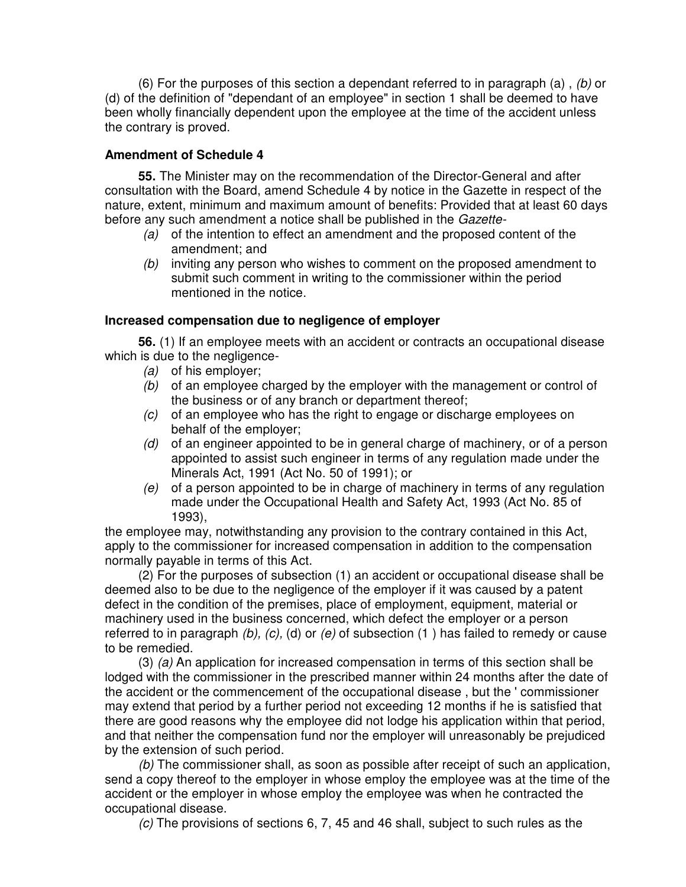(6) For the purposes of this section a dependant referred to in paragraph (a) , *(b)* or (d) of the definition of "dependant of an employee" in section 1 shall be deemed to have been wholly financially dependent upon the employee at the time of the accident unless the contrary is proved.

#### **Amendment of Schedule 4**

**55.** The Minister may on the recommendation of the Director-General and after consultation with the Board, amend Schedule 4 by notice in the Gazette in respect of the nature, extent, minimum and maximum amount of benefits: Provided that at least 60 days before any such amendment a notice shall be published in the *Gazette-*

- *(a)* of the intention to effect an amendment and the proposed content of the amendment; and
- *(b)* inviting any person who wishes to comment on the proposed amendment to submit such comment in writing to the commissioner within the period mentioned in the notice.

#### **Increased compensation due to negligence of employer**

**56.** (1) If an employee meets with an accident or contracts an occupational disease which is due to the negligence-

- *(a)* of his employer;
- *(b)* of an employee charged by the employer with the management or control of the business or of any branch or department thereof;
- *(c)* of an employee who has the right to engage or discharge employees on behalf of the employer;
- *(d)* of an engineer appointed to be in general charge of machinery, or of a person appointed to assist such engineer in terms of any regulation made under the Minerals Act, 1991 (Act No. 50 of 1991); or
- *(e)* of a person appointed to be in charge of machinery in terms of any regulation made under the Occupational Health and Safety Act, 1993 (Act No. 85 of 1993),

the employee may, notwithstanding any provision to the contrary contained in this Act, apply to the commissioner for increased compensation in addition to the compensation normally payable in terms of this Act.

(2) For the purposes of subsection (1) an accident or occupational disease shall be deemed also to be due to the negligence of the employer if it was caused by a patent defect in the condition of the premises, place of employment, equipment, material or machinery used in the business concerned, which defect the employer or a person referred to in paragraph *(b), (c),* (d) or *(e)* of subsection (1 ) has failed to remedy or cause to be remedied.

(3) *(a)* An application for increased compensation in terms of this section shall be lodged with the commissioner in the prescribed manner within 24 months after the date of the accident or the commencement of the occupational disease , but the ' commissioner may extend that period by a further period not exceeding 12 months if he is satisfied that there are good reasons why the employee did not lodge his application within that period, and that neither the compensation fund nor the employer will unreasonably be prejudiced by the extension of such period.

*(b)* The commissioner shall, as soon as possible after receipt of such an application, send a copy thereof to the employer in whose employ the employee was at the time of the accident or the employer in whose employ the employee was when he contracted the occupational disease.

*(c)* The provisions of sections 6, 7, 45 and 46 shall, subject to such rules as the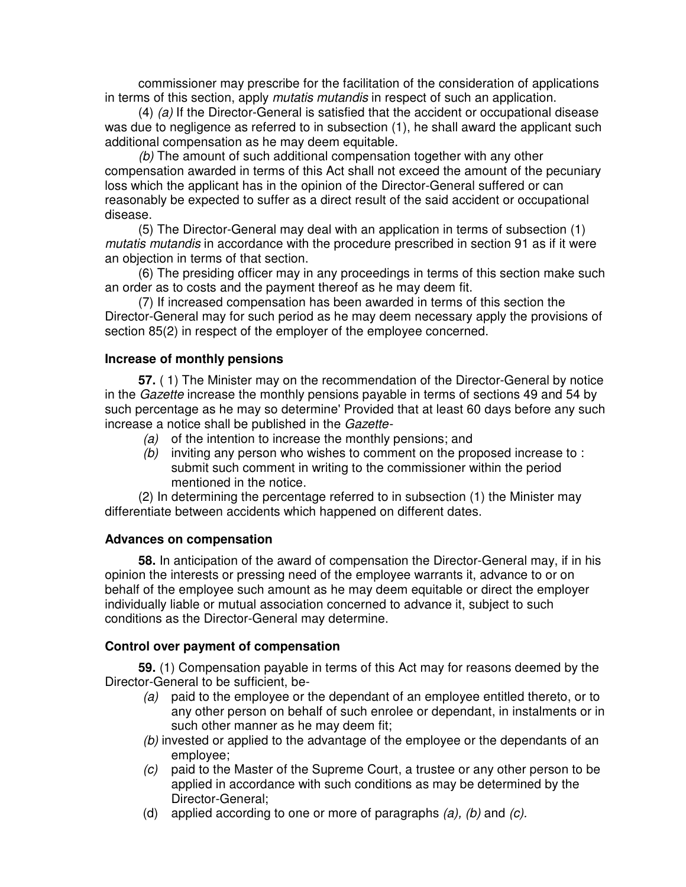commissioner may prescribe for the facilitation of the consideration of applications in terms of this section, apply *mutatis mutandis* in respect of such an application.

(4) *(a)* If the Director-General is satisfied that the accident or occupational disease was due to negligence as referred to in subsection (1), he shall award the applicant such additional compensation as he may deem equitable.

*(b)* The amount of such additional compensation together with any other compensation awarded in terms of this Act shall not exceed the amount of the pecuniary loss which the applicant has in the opinion of the Director-General suffered or can reasonably be expected to suffer as a direct result of the said accident or occupational disease.

(5) The Director-General may deal with an application in terms of subsection (1) *mutatis mutandis* in accordance with the procedure prescribed in section 91 as if it were an objection in terms of that section.

(6) The presiding officer may in any proceedings in terms of this section make such an order as to costs and the payment thereof as he may deem fit.

(7) If increased compensation has been awarded in terms of this section the Director-General may for such period as he may deem necessary apply the provisions of section 85(2) in respect of the employer of the employee concerned.

## **Increase of monthly pensions**

**57.** ( 1) The Minister may on the recommendation of the Director-General by notice in the *Gazette* increase the monthly pensions payable in terms of sections 49 and 54 by such percentage as he may so determine' Provided that at least 60 days before any such increase a notice shall be published in the *Gazette-*

- *(a)* of the intention to increase the monthly pensions; and
- *(b)* inviting any person who wishes to comment on the proposed increase to : submit such comment in writing to the commissioner within the period mentioned in the notice.

(2) In determining the percentage referred to in subsection (1) the Minister may differentiate between accidents which happened on different dates.

#### **Advances on compensation**

**58.** In anticipation of the award of compensation the Director-General may, if in his opinion the interests or pressing need of the employee warrants it, advance to or on behalf of the employee such amount as he may deem equitable or direct the employer individually liable or mutual association concerned to advance it, subject to such conditions as the Director-General may determine.

## **Control over payment of compensation**

**59.** (1) Compensation payable in terms of this Act may for reasons deemed by the Director-General to be sufficient, be-

- *(a)* paid to the employee or the dependant of an employee entitled thereto, or to any other person on behalf of such enrolee or dependant, in instalments or in such other manner as he may deem fit;
- *(b)* invested or applied to the advantage of the employee or the dependants of an employee;
- *(c)* paid to the Master of the Supreme Court, a trustee or any other person to be applied in accordance with such conditions as may be determined by the Director-General;
- (d) applied according to one or more of paragraphs *(a), (b)* and *(c).*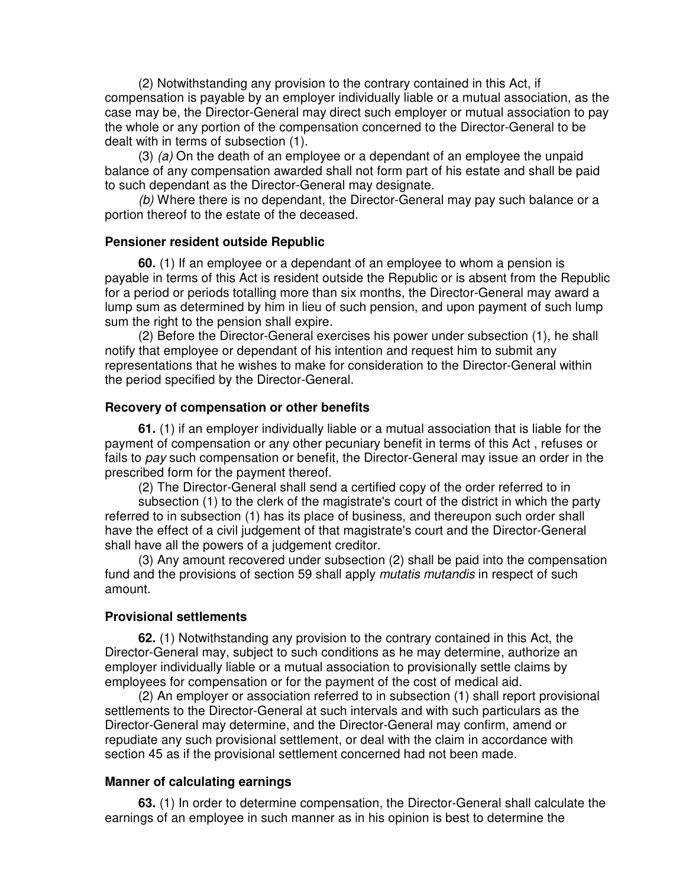(2) Notwithstanding any provision to the contrary contained in this Act, if compensation is payable by an employer individually liable or a mutual association, as the case may be, the Director-General may direct such employer or mutual association to pay the whole or any portion of the compensation concerned to the Director-General to be dealt with in terms of subsection (1).

(3) *(a)* On the death of an employee or a dependant of an employee the unpaid balance of any compensation awarded shall not form part of his estate and shall be paid to such dependant as the Director-General may designate.

*(b)* Where there is no dependant, the Director-General may pay such balance or a portion thereof to the estate of the deceased.

#### **Pensioner resident outside Republic**

**60.** (1) If an employee or a dependant of an employee to whom a pension is payable in terms of this Act is resident outside the Republic or is absent from the Republic for a period or periods totalling more than six months, the Director-General may award a lump sum as determined by him in lieu of such pension, and upon payment of such lump sum the right to the pension shall expire.

(2) Before the Director-General exercises his power under subsection (1), he shall notify that employee or dependant of his intention and request him to submit any representations that he wishes to make for consideration to the Director-General within the period specified by the Director-General.

#### **Recovery of compensation or other benefits**

**61.** (1) if an employer individually liable or a mutual association that is liable for the payment of compensation or any other pecuniary benefit in terms of this Act , refuses or fails to *pay* such compensation or benefit, the Director-General may issue an order in the prescribed form for the payment thereof.

(2) The Director-General shall send a certified copy of the order referred to in

subsection (1) to the clerk of the magistrate's court of the district in which the party referred to in subsection (1) has its place of business, and thereupon such order shall have the effect of a civil judgement of that magistrate's court and the Director-General shall have all the powers of a judgement creditor.

(3) Any amount recovered under subsection (2) shall be paid into the compensation fund and the provisions of section 59 shall apply *mutatis mutandis* in respect of such amount.

#### **Provisional settlements**

**62.** (1) Notwithstanding any provision to the contrary contained in this Act, the Director-General may, subject to such conditions as he may determine, authorize an employer individually liable or a mutual association to provisionally settle claims by employees for compensation or for the payment of the cost of medical aid.

(2) An employer or association referred to in subsection (1) shall report provisional settlements to the Director-General at such intervals and with such particulars as the Director-General may determine, and the Director-General may confirm, amend or repudiate any such provisional settlement, or deal with the claim in accordance with section 45 as if the provisional settlement concerned had not been made.

#### **Manner of calculating earnings**

**63.** (1) In order to determine compensation, the Director-General shall calculate the earnings of an employee in such manner as in his opinion is best to determine the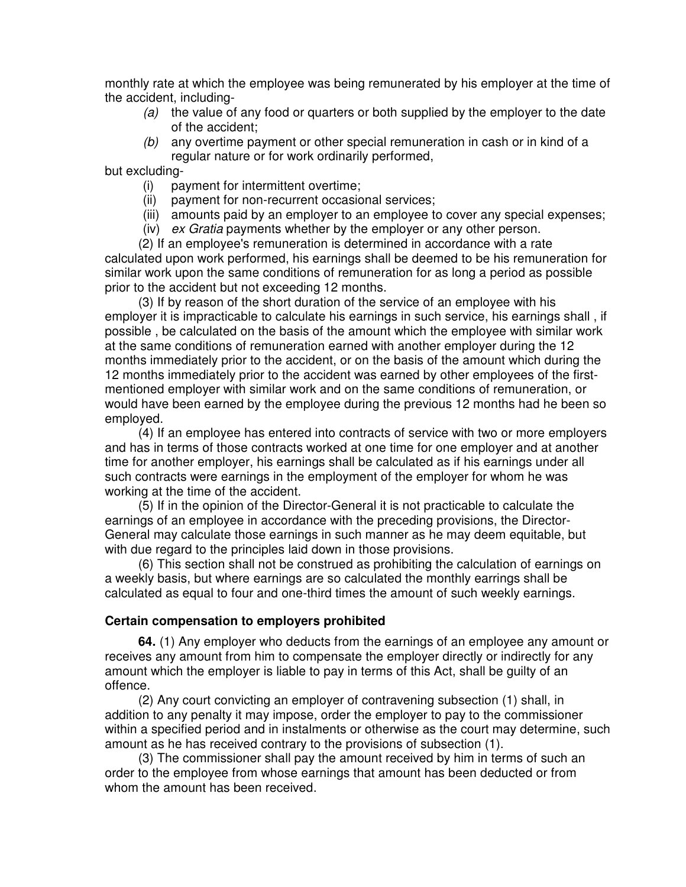monthly rate at which the employee was being remunerated by his employer at the time of the accident, including-

- *(a)* the value of any food or quarters or both supplied by the employer to the date of the accident;
- *(b)* any overtime payment or other special remuneration in cash or in kind of a regular nature or for work ordinarily performed,

but excluding-

- (i) payment for intermittent overtime;
- (ii) payment for non-recurrent occasional services;
- (iii) amounts paid by an employer to an employee to cover any special expenses;
- (iv) *ex Gratia* payments whether by the employer or any other person.

(2) If an employee's remuneration is determined in accordance with a rate calculated upon work performed, his earnings shall be deemed to be his remuneration for similar work upon the same conditions of remuneration for as long a period as possible prior to the accident but not exceeding 12 months.

(3) If by reason of the short duration of the service of an employee with his employer it is impracticable to calculate his earnings in such service, his earnings shall , if possible , be calculated on the basis of the amount which the employee with similar work at the same conditions of remuneration earned with another employer during the 12 months immediately prior to the accident, or on the basis of the amount which during the 12 months immediately prior to the accident was earned by other employees of the firstmentioned employer with similar work and on the same conditions of remuneration, or would have been earned by the employee during the previous 12 months had he been so employed.

(4) If an employee has entered into contracts of service with two or more employers and has in terms of those contracts worked at one time for one employer and at another time for another employer, his earnings shall be calculated as if his earnings under all such contracts were earnings in the employment of the employer for whom he was working at the time of the accident.

(5) If in the opinion of the Director-General it is not practicable to calculate the earnings of an employee in accordance with the preceding provisions, the Director-General may calculate those earnings in such manner as he may deem equitable, but with due regard to the principles laid down in those provisions.

(6) This section shall not be construed as prohibiting the calculation of earnings on a weekly basis, but where earnings are so calculated the monthly earrings shall be calculated as equal to four and one-third times the amount of such weekly earnings.

#### **Certain compensation to employers prohibited**

**64.** (1) Any employer who deducts from the earnings of an employee any amount or receives any amount from him to compensate the employer directly or indirectly for any amount which the employer is liable to pay in terms of this Act, shall be guilty of an offence.

(2) Any court convicting an employer of contravening subsection (1) shall, in addition to any penalty it may impose, order the employer to pay to the commissioner within a specified period and in instalments or otherwise as the court may determine, such amount as he has received contrary to the provisions of subsection (1).

(3) The commissioner shall pay the amount received by him in terms of such an order to the employee from whose earnings that amount has been deducted or from whom the amount has been received.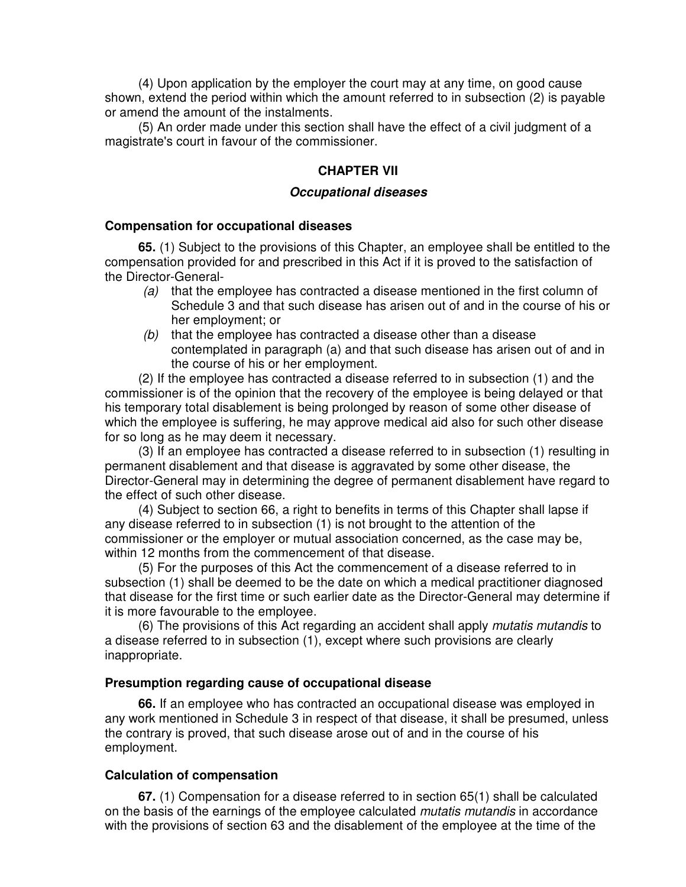(4) Upon application by the employer the court may at any time, on good cause shown, extend the period within which the amount referred to in subsection (2) is payable or amend the amount of the instalments.

(5) An order made under this section shall have the effect of a civil judgment of a magistrate's court in favour of the commissioner.

#### **CHAPTER VII**

#### *Occupational diseases*

#### **Compensation for occupational diseases**

**65.** (1) Subject to the provisions of this Chapter, an employee shall be entitled to the compensation provided for and prescribed in this Act if it is proved to the satisfaction of the Director-General-

- *(a)* that the employee has contracted a disease mentioned in the first column of Schedule 3 and that such disease has arisen out of and in the course of his or her employment; or
- *(b)* that the employee has contracted a disease other than a disease contemplated in paragraph (a) and that such disease has arisen out of and in the course of his or her employment.

(2) If the employee has contracted a disease referred to in subsection (1) and the commissioner is of the opinion that the recovery of the employee is being delayed or that his temporary total disablement is being prolonged by reason of some other disease of which the employee is suffering, he may approve medical aid also for such other disease for so long as he may deem it necessary.

(3) If an employee has contracted a disease referred to in subsection (1) resulting in permanent disablement and that disease is aggravated by some other disease, the Director-General may in determining the degree of permanent disablement have regard to the effect of such other disease.

(4) Subject to section 66, a right to benefits in terms of this Chapter shall lapse if any disease referred to in subsection (1) is not brought to the attention of the commissioner or the employer or mutual association concerned, as the case may be, within 12 months from the commencement of that disease.

(5) For the purposes of this Act the commencement of a disease referred to in subsection (1) shall be deemed to be the date on which a medical practitioner diagnosed that disease for the first time or such earlier date as the Director-General may determine if it is more favourable to the employee.

(6) The provisions of this Act regarding an accident shall apply *mutatis mutandis* to a disease referred to in subsection (1), except where such provisions are clearly inappropriate.

#### **Presumption regarding cause of occupational disease**

**66.** If an employee who has contracted an occupational disease was employed in any work mentioned in Schedule 3 in respect of that disease, it shall be presumed, unless the contrary is proved, that such disease arose out of and in the course of his employment.

#### **Calculation of compensation**

**67.** (1) Compensation for a disease referred to in section 65(1) shall be calculated on the basis of the earnings of the employee calculated *mutatis mutandis* in accordance with the provisions of section 63 and the disablement of the employee at the time of the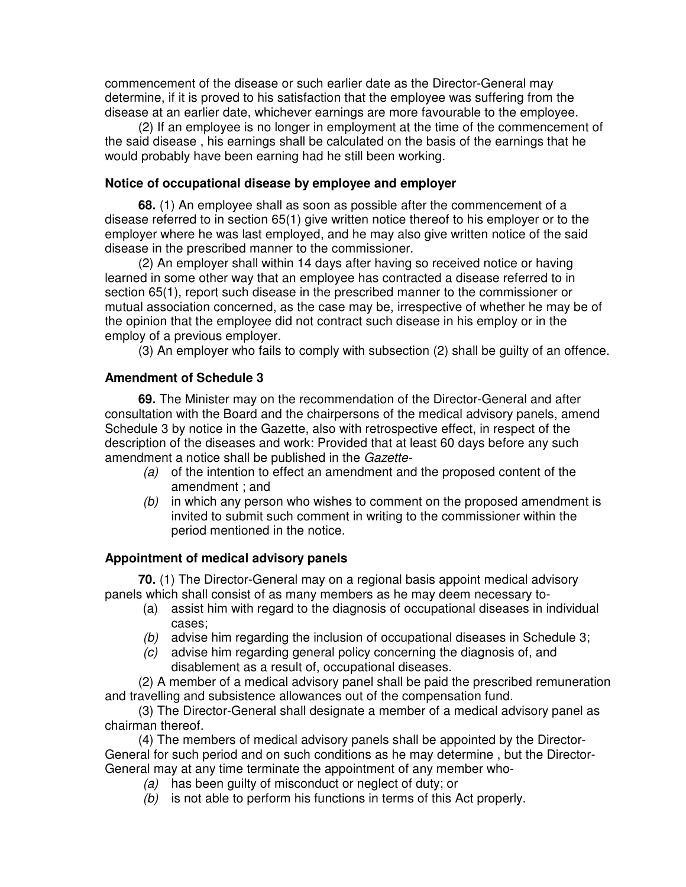commencement of the disease or such earlier date as the Director-General may determine, if it is proved to his satisfaction that the employee was suffering from the disease at an earlier date, whichever earnings are more favourable to the employee.

(2) If an employee is no longer in employment at the time of the commencement of the said disease , his earnings shall be calculated on the basis of the earnings that he would probably have been earning had he still been working.

#### **Notice of occupational disease by employee and employer**

**68.** (1) An employee shall as soon as possible after the commencement of a disease referred to in section 65(1) give written notice thereof to his employer or to the employer where he was last employed, and he may also give written notice of the said disease in the prescribed manner to the commissioner.

(2) An employer shall within 14 days after having so received notice or having learned in some other way that an employee has contracted a disease referred to in section 65(1), report such disease in the prescribed manner to the commissioner or mutual association concerned, as the case may be, irrespective of whether he may be of the opinion that the employee did not contract such disease in his employ or in the employ of a previous employer.

(3) An employer who fails to comply with subsection (2) shall be guilty of an offence.

#### **Amendment of Schedule 3**

**69.** The Minister may on the recommendation of the Director-General and after consultation with the Board and the chairpersons of the medical advisory panels, amend Schedule 3 by notice in the Gazette, also with retrospective effect, in respect of the description of the diseases and work: Provided that at least 60 days before any such amendment a notice shall be published in the *Gazette-*

- *(a)* of the intention to effect an amendment and the proposed content of the amendment ; and
- *(b)* in which any person who wishes to comment on the proposed amendment is invited to submit such comment in writing to the commissioner within the period mentioned in the notice.

#### **Appointment of medical advisory panels**

**70.** (1) The Director-General may on a regional basis appoint medical advisory panels which shall consist of as many members as he may deem necessary to-

- (a) assist him with regard to the diagnosis of occupational diseases in individual cases;
- *(b)* advise him regarding the inclusion of occupational diseases in Schedule 3;
- *(c)* advise him regarding general policy concerning the diagnosis of, and disablement as a result of, occupational diseases.

(2) A member of a medical advisory panel shall be paid the prescribed remuneration and travelling and subsistence allowances out of the compensation fund.

(3) The Director-General shall designate a member of a medical advisory panel as chairman thereof.

(4) The members of medical advisory panels shall be appointed by the Director-General for such period and on such conditions as he may determine , but the Director-General may at any time terminate the appointment of any member who-

- *(a)* has been guilty of misconduct or neglect of duty; or
- *(b)* is not able to perform his functions in terms of this Act properly.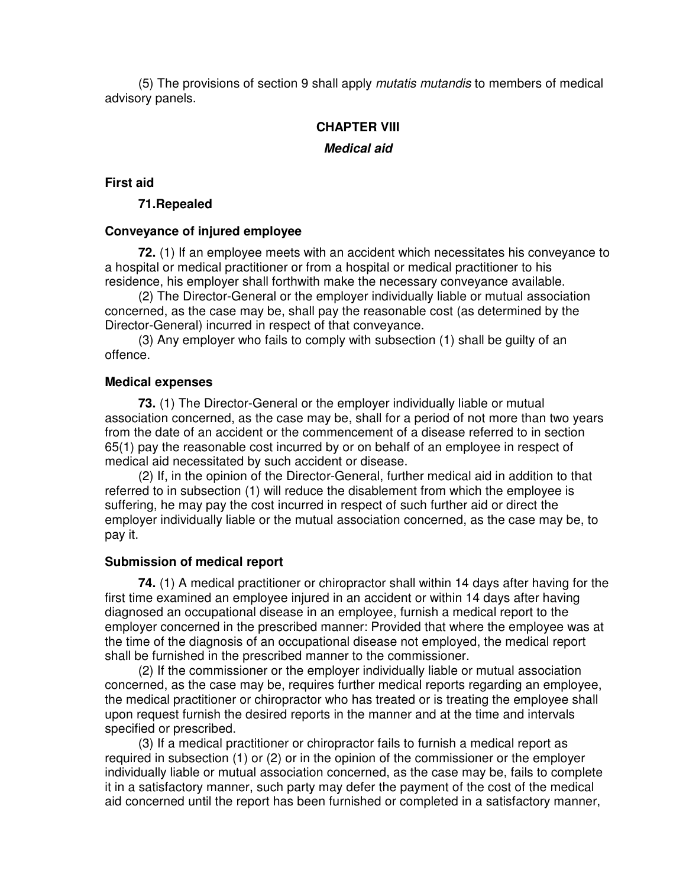(5) The provisions of section 9 shall apply *mutatis mutandis* to members of medical advisory panels.

## **CHAPTER VIII**

#### *Medical aid*

#### **First aid**

#### **71.Repealed**

#### **Conveyance of injured employee**

**72.** (1) If an employee meets with an accident which necessitates his conveyance to a hospital or medical practitioner or from a hospital or medical practitioner to his residence, his employer shall forthwith make the necessary conveyance available.

(2) The Director-General or the employer individually liable or mutual association concerned, as the case may be, shall pay the reasonable cost (as determined by the Director-General) incurred in respect of that conveyance.

(3) Any employer who fails to comply with subsection (1) shall be guilty of an offence.

#### **Medical expenses**

**73.** (1) The Director-General or the employer individually liable or mutual association concerned, as the case may be, shall for a period of not more than two years from the date of an accident or the commencement of a disease referred to in section 65(1) pay the reasonable cost incurred by or on behalf of an employee in respect of medical aid necessitated by such accident or disease.

(2) If, in the opinion of the Director-General, further medical aid in addition to that referred to in subsection (1) will reduce the disablement from which the employee is suffering, he may pay the cost incurred in respect of such further aid or direct the employer individually liable or the mutual association concerned, as the case may be, to pay it.

#### **Submission of medical report**

**74.** (1) A medical practitioner or chiropractor shall within 14 days after having for the first time examined an employee injured in an accident or within 14 days after having diagnosed an occupational disease in an employee, furnish a medical report to the employer concerned in the prescribed manner: Provided that where the employee was at the time of the diagnosis of an occupational disease not employed, the medical report shall be furnished in the prescribed manner to the commissioner.

(2) If the commissioner or the employer individually liable or mutual association concerned, as the case may be, requires further medical reports regarding an employee, the medical practitioner or chiropractor who has treated or is treating the employee shall upon request furnish the desired reports in the manner and at the time and intervals specified or prescribed.

(3) If a medical practitioner or chiropractor fails to furnish a medical report as required in subsection (1) or (2) or in the opinion of the commissioner or the employer individually liable or mutual association concerned, as the case may be, fails to complete it in a satisfactory manner, such party may defer the payment of the cost of the medical aid concerned until the report has been furnished or completed in a satisfactory manner,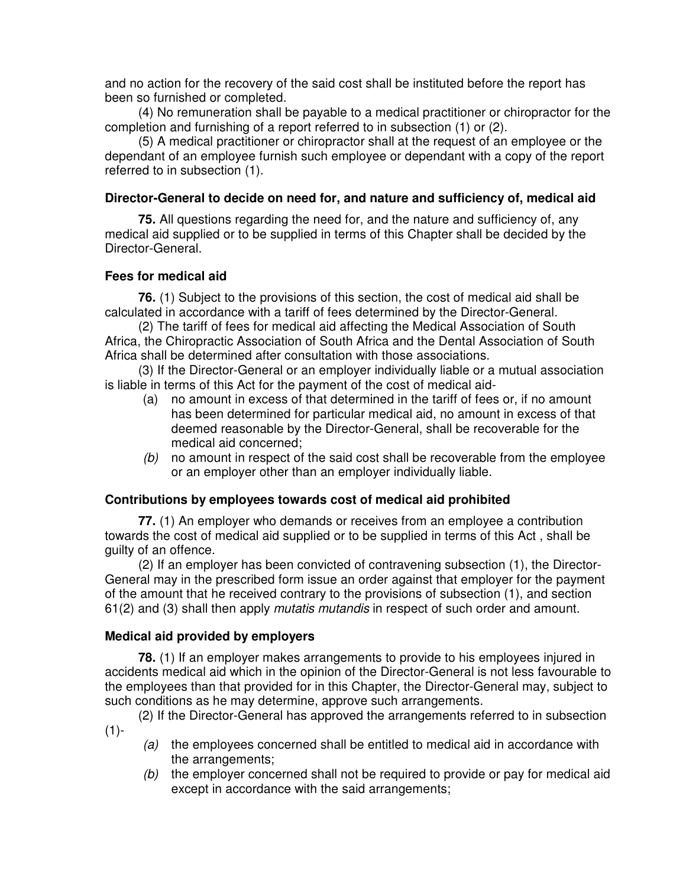and no action for the recovery of the said cost shall be instituted before the report has been so furnished or completed.

(4) No remuneration shall be payable to a medical practitioner or chiropractor for the completion and furnishing of a report referred to in subsection (1) or (2).

(5) A medical practitioner or chiropractor shall at the request of an employee or the dependant of an employee furnish such employee or dependant with a copy of the report referred to in subsection (1).

### **Director-General to decide on need for, and nature and sufficiency of, medical aid**

**75.** All questions regarding the need for, and the nature and sufficiency of, any medical aid supplied or to be supplied in terms of this Chapter shall be decided by the Director-General.

#### **Fees for medical aid**

**76.** (1) Subject to the provisions of this section, the cost of medical aid shall be calculated in accordance with a tariff of fees determined by the Director-General.

(2) The tariff of fees for medical aid affecting the Medical Association of South Africa, the Chiropractic Association of South Africa and the Dental Association of South Africa shall be determined after consultation with those associations.

(3) If the Director-General or an employer individually liable or a mutual association is liable in terms of this Act for the payment of the cost of medical aid-

- (a) no amount in excess of that determined in the tariff of fees or, if no amount has been determined for particular medical aid, no amount in excess of that deemed reasonable by the Director-General, shall be recoverable for the medical aid concerned;
- *(b)* no amount in respect of the said cost shall be recoverable from the employee or an employer other than an employer individually liable.

#### **Contributions by employees towards cost of medical aid prohibited**

**77.** (1) An employer who demands or receives from an employee a contribution towards the cost of medical aid supplied or to be supplied in terms of this Act , shall be guilty of an offence.

(2) If an employer has been convicted of contravening subsection (1), the Director-General may in the prescribed form issue an order against that employer for the payment of the amount that he received contrary to the provisions of subsection (1), and section 61(2) and (3) shall then apply *mutatis mutandis* in respect of such order and amount.

#### **Medical aid provided by employers**

**78.** (1) If an employer makes arrangements to provide to his employees injured in accidents medical aid which in the opinion of the Director-General is not less favourable to the employees than that provided for in this Chapter, the Director-General may, subject to such conditions as he may determine, approve such arrangements.

(2) If the Director-General has approved the arrangements referred to in subsection  $(1)$ -

- *(a)* the employees concerned shall be entitled to medical aid in accordance with the arrangements;
- *(b)* the employer concerned shall not be required to provide or pay for medical aid except in accordance with the said arrangements;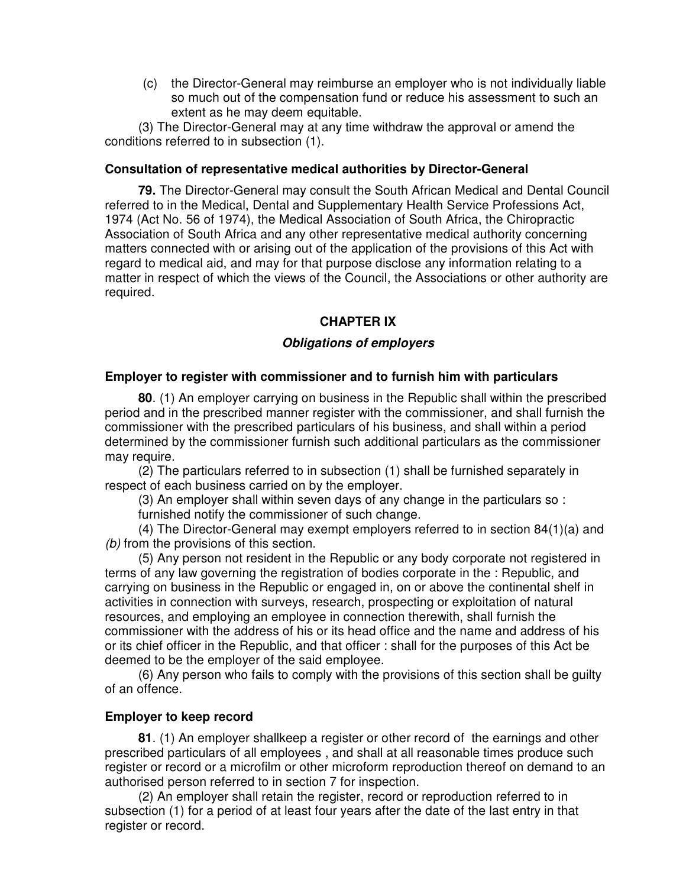(c) the Director-General may reimburse an employer who is not individually liable so much out of the compensation fund or reduce his assessment to such an extent as he may deem equitable.

(3) The Director-General may at any time withdraw the approval or amend the conditions referred to in subsection (1).

### **Consultation of representative medical authorities by Director-General**

**79.** The Director-General may consult the South African Medical and Dental Council referred to in the Medical, Dental and Supplementary Health Service Professions Act, 1974 (Act No. 56 of 1974), the Medical Association of South Africa, the Chiropractic Association of South Africa and any other representative medical authority concerning matters connected with or arising out of the application of the provisions of this Act with regard to medical aid, and may for that purpose disclose any information relating to a matter in respect of which the views of the Council, the Associations or other authority are required.

## **CHAPTER IX**

## *Obligations of employers*

#### **Employer to register with commissioner and to furnish him with particulars**

**80**. (1) An employer carrying on business in the Republic shall within the prescribed period and in the prescribed manner register with the commissioner, and shall furnish the commissioner with the prescribed particulars of his business, and shall within a period determined by the commissioner furnish such additional particulars as the commissioner may require.

(2) The particulars referred to in subsection (1) shall be furnished separately in respect of each business carried on by the employer.

(3) An employer shall within seven days of any change in the particulars so :

furnished notify the commissioner of such change.

(4) The Director-General may exempt employers referred to in section 84(1)(a) and *(b)* from the provisions of this section.

(5) Any person not resident in the Republic or any body corporate not registered in terms of any law governing the registration of bodies corporate in the : Republic, and carrying on business in the Republic or engaged in, on or above the continental shelf in activities in connection with surveys, research, prospecting or exploitation of natural resources, and employing an employee in connection therewith, shall furnish the commissioner with the address of his or its head office and the name and address of his or its chief officer in the Republic, and that officer : shall for the purposes of this Act be deemed to be the employer of the said employee.

(6) Any person who fails to comply with the provisions of this section shall be guilty of an offence.

#### **Employer to keep record**

**81**. (1) An employer shallkeep a register or other record of the earnings and other prescribed particulars of all employees , and shall at all reasonable times produce such register or record or a microfilm or other microform reproduction thereof on demand to an authorised person referred to in section 7 for inspection.

(2) An employer shall retain the register, record or reproduction referred to in subsection (1) for a period of at least four years after the date of the last entry in that register or record.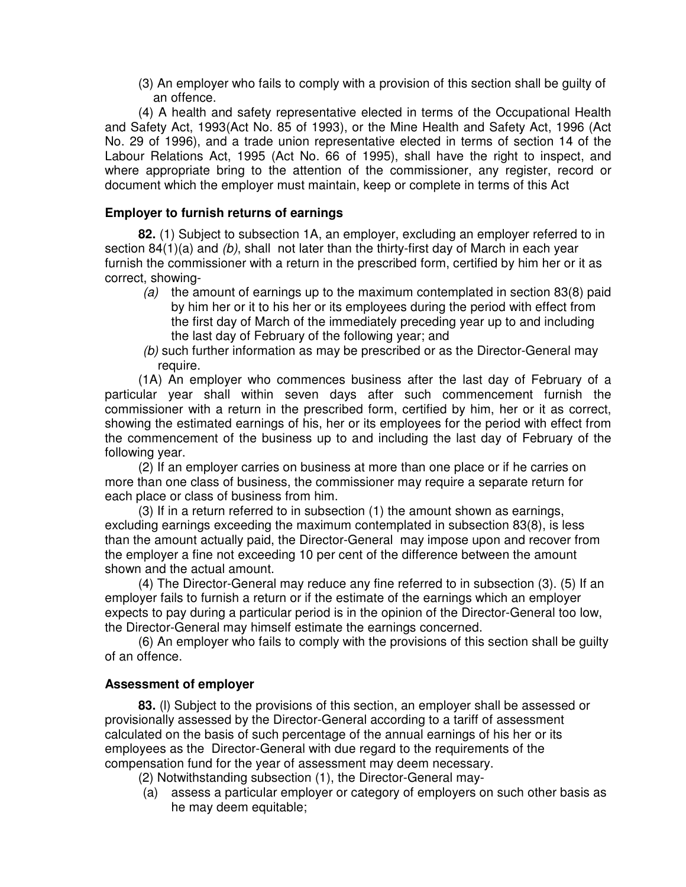(3) An employer who fails to comply with a provision of this section shall be guilty of an offence.

(4) A health and safety representative elected in terms of the Occupational Health and Safety Act, 1993(Act No. 85 of 1993), or the Mine Health and Safety Act, 1996 (Act No. 29 of 1996), and a trade union representative elected in terms of section 14 of the Labour Relations Act, 1995 (Act No. 66 of 1995), shall have the right to inspect, and where appropriate bring to the attention of the commissioner, any register, record or document which the employer must maintain, keep or complete in terms of this Act

## **Employer to furnish returns of earnings**

**82.** (1) Subject to subsection 1A, an employer, excluding an employer referred to in section 84(1)(a) and *(b)*, shall not later than the thirty-first day of March in each year furnish the commissioner with a return in the prescribed form, certified by him her or it as correct, showing-

- *(a)* the amount of earnings up to the maximum contemplated in section 83(8) paid by him her or it to his her or its employees during the period with effect from the first day of March of the immediately preceding year up to and including the last day of February of the following year; and
- *(b)* such further information as may be prescribed or as the Director-General may require.

(1A) An employer who commences business after the last day of February of a particular year shall within seven days after such commencement furnish the commissioner with a return in the prescribed form, certified by him, her or it as correct, showing the estimated earnings of his, her or its employees for the period with effect from the commencement of the business up to and including the last day of February of the following year.

(2) If an employer carries on business at more than one place or if he carries on more than one class of business, the commissioner may require a separate return for each place or class of business from him.

(3) If in a return referred to in subsection (1) the amount shown as earnings, excluding earnings exceeding the maximum contemplated in subsection 83(8), is less than the amount actually paid, the Director-General may impose upon and recover from the employer a fine not exceeding 10 per cent of the difference between the amount shown and the actual amount.

(4) The Director-General may reduce any fine referred to in subsection (3). (5) If an employer fails to furnish a return or if the estimate of the earnings which an employer expects to pay during a particular period is in the opinion of the Director-General too low, the Director-General may himself estimate the earnings concerned.

(6) An employer who fails to comply with the provisions of this section shall be guilty of an offence.

#### **Assessment of employer**

**83.** (l) Subject to the provisions of this section, an employer shall be assessed or provisionally assessed by the Director-General according to a tariff of assessment calculated on the basis of such percentage of the annual earnings of his her or its employees as the Director-General with due regard to the requirements of the compensation fund for the year of assessment may deem necessary.

- (2) Notwithstanding subsection (1), the Director-General may-
- (a) assess a particular employer or category of employers on such other basis as he may deem equitable;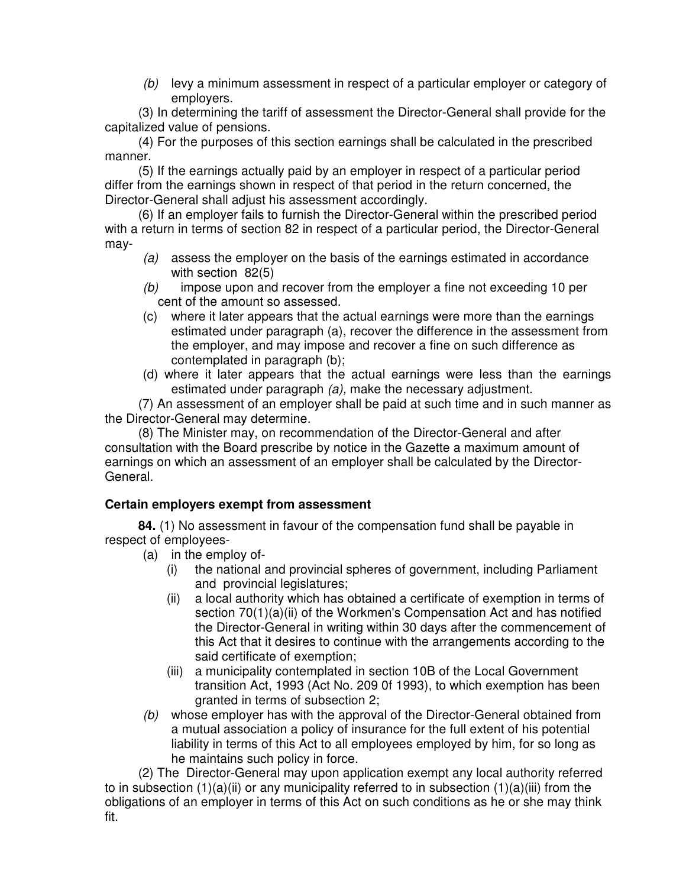*(b)* levy a minimum assessment in respect of a particular employer or category of employers.

(3) In determining the tariff of assessment the Director-General shall provide for the capitalized value of pensions.

(4) For the purposes of this section earnings shall be calculated in the prescribed manner.

(5) If the earnings actually paid by an employer in respect of a particular period differ from the earnings shown in respect of that period in the return concerned, the Director-General shall adjust his assessment accordingly.

(6) If an employer fails to furnish the Director-General within the prescribed period with a return in terms of section 82 in respect of a particular period, the Director-General may-

- *(a)* assess the employer on the basis of the earnings estimated in accordance with section 82(5)
- *(b)* impose upon and recover from the employer a fine not exceeding 10 per cent of the amount so assessed.
- (c) where it later appears that the actual earnings were more than the earnings estimated under paragraph (a), recover the difference in the assessment from the employer, and may impose and recover a fine on such difference as contemplated in paragraph (b);
- (d) where it later appears that the actual earnings were less than the earnings estimated under paragraph *(a),* make the necessary adjustment.

(7) An assessment of an employer shall be paid at such time and in such manner as the Director-General may determine.

(8) The Minister may, on recommendation of the Director-General and after consultation with the Board prescribe by notice in the Gazette a maximum amount of earnings on which an assessment of an employer shall be calculated by the Director-General.

## **Certain employers exempt from assessment**

**84.** (1) No assessment in favour of the compensation fund shall be payable in respect of employees-

- (a) in the employ of-
	- (i) the national and provincial spheres of government, including Parliament and provincial legislatures;
	- (ii) a local authority which has obtained a certificate of exemption in terms of section 70(1)(a)(ii) of the Workmen's Compensation Act and has notified the Director-General in writing within 30 days after the commencement of this Act that it desires to continue with the arrangements according to the said certificate of exemption;
	- (iii) a municipality contemplated in section 10B of the Local Government transition Act, 1993 (Act No. 209 0f 1993), to which exemption has been granted in terms of subsection 2;
- *(b)* whose employer has with the approval of the Director-General obtained from a mutual association a policy of insurance for the full extent of his potential liability in terms of this Act to all employees employed by him, for so long as he maintains such policy in force.

(2) The Director-General may upon application exempt any local authority referred to in subsection  $(1)(a)(ii)$  or any municipality referred to in subsection  $(1)(a)(iii)$  from the obligations of an employer in terms of this Act on such conditions as he or she may think fit.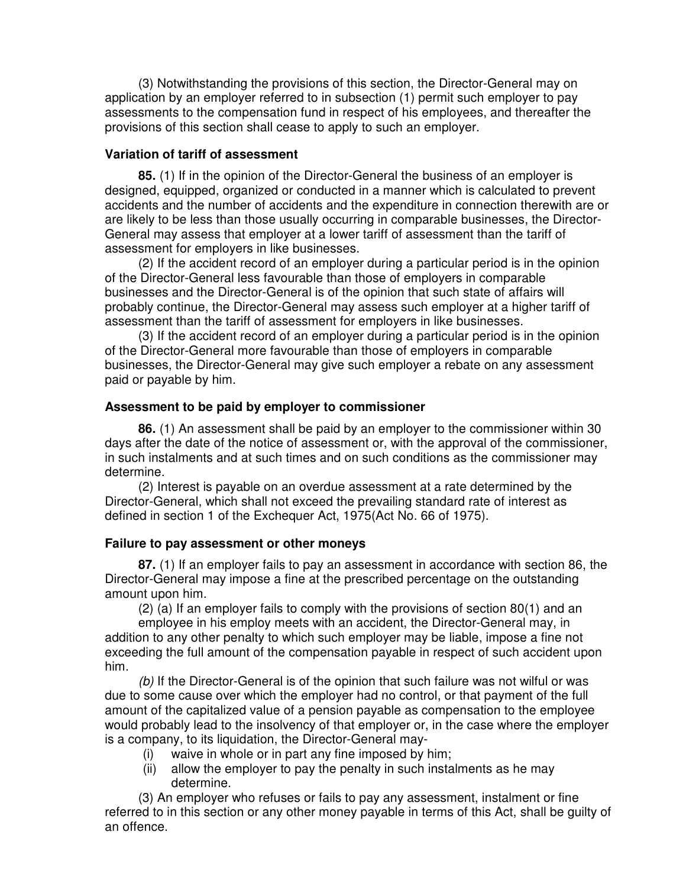(3) Notwithstanding the provisions of this section, the Director-General may on application by an employer referred to in subsection (1) permit such employer to pay assessments to the compensation fund in respect of his employees, and thereafter the provisions of this section shall cease to apply to such an employer.

#### **Variation of tariff of assessment**

**85.** (1) If in the opinion of the Director-General the business of an employer is designed, equipped, organized or conducted in a manner which is calculated to prevent accidents and the number of accidents and the expenditure in connection therewith are or are likely to be less than those usually occurring in comparable businesses, the Director-General may assess that employer at a lower tariff of assessment than the tariff of assessment for employers in like businesses.

(2) If the accident record of an employer during a particular period is in the opinion of the Director-General less favourable than those of employers in comparable businesses and the Director-General is of the opinion that such state of affairs will probably continue, the Director-General may assess such employer at a higher tariff of assessment than the tariff of assessment for employers in like businesses.

(3) If the accident record of an employer during a particular period is in the opinion of the Director-General more favourable than those of employers in comparable businesses, the Director-General may give such employer a rebate on any assessment paid or payable by him.

#### **Assessment to be paid by employer to commissioner**

**86.** (1) An assessment shall be paid by an employer to the commissioner within 30 days after the date of the notice of assessment or, with the approval of the commissioner, in such instalments and at such times and on such conditions as the commissioner may determine.

(2) Interest is payable on an overdue assessment at a rate determined by the Director-General, which shall not exceed the prevailing standard rate of interest as defined in section 1 of the Exchequer Act, 1975(Act No. 66 of 1975).

#### **Failure to pay assessment or other moneys**

**87.** (1) If an employer fails to pay an assessment in accordance with section 86, the Director-General may impose a fine at the prescribed percentage on the outstanding amount upon him.

(2) (a) If an employer fails to comply with the provisions of section 80(1) and an

employee in his employ meets with an accident, the Director-General may, in addition to any other penalty to which such employer may be liable, impose a fine not exceeding the full amount of the compensation payable in respect of such accident upon him.

*(b)* If the Director-General is of the opinion that such failure was not wilful or was due to some cause over which the employer had no control, or that payment of the full amount of the capitalized value of a pension payable as compensation to the employee would probably lead to the insolvency of that employer or, in the case where the employer is a company, to its liquidation, the Director-General may-

- (i) waive in whole or in part any fine imposed by him;
- (ii) allow the employer to pay the penalty in such instalments as he may determine.

(3) An employer who refuses or fails to pay any assessment, instalment or fine referred to in this section or any other money payable in terms of this Act, shall be guilty of an offence.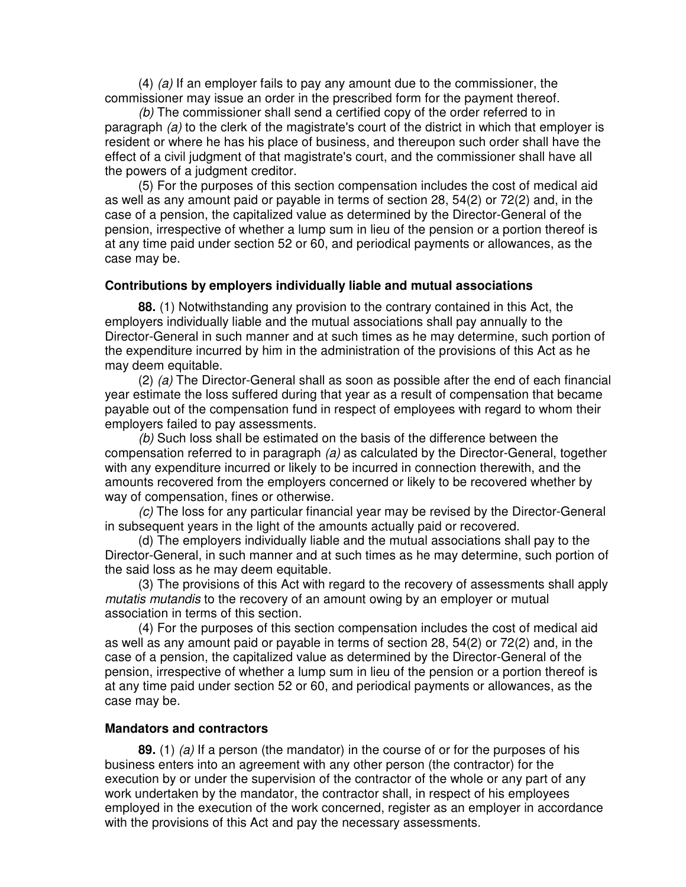(4) *(a)* If an employer fails to pay any amount due to the commissioner, the commissioner may issue an order in the prescribed form for the payment thereof.

*(b)* The commissioner shall send a certified copy of the order referred to in paragraph *(a)* to the clerk of the magistrate's court of the district in which that employer is resident or where he has his place of business, and thereupon such order shall have the effect of a civil judgment of that magistrate's court, and the commissioner shall have all the powers of a judgment creditor.

(5) For the purposes of this section compensation includes the cost of medical aid as well as any amount paid or payable in terms of section 28, 54(2) or 72(2) and, in the case of a pension, the capitalized value as determined by the Director-General of the pension, irrespective of whether a lump sum in lieu of the pension or a portion thereof is at any time paid under section 52 or 60, and periodical payments or allowances, as the case may be.

#### **Contributions by employers individually liable and mutual associations**

**88.** (1) Notwithstanding any provision to the contrary contained in this Act, the employers individually liable and the mutual associations shall pay annually to the Director-General in such manner and at such times as he may determine, such portion of the expenditure incurred by him in the administration of the provisions of this Act as he may deem equitable.

(2) *(a)* The Director-General shall as soon as possible after the end of each financial year estimate the loss suffered during that year as a result of compensation that became payable out of the compensation fund in respect of employees with regard to whom their employers failed to pay assessments.

*(b)* Such loss shall be estimated on the basis of the difference between the compensation referred to in paragraph *(a)* as calculated by the Director-General, together with any expenditure incurred or likely to be incurred in connection therewith, and the amounts recovered from the employers concerned or likely to be recovered whether by way of compensation, fines or otherwise.

*(c)* The loss for any particular financial year may be revised by the Director-General in subsequent years in the light of the amounts actually paid or recovered.

(d) The employers individually liable and the mutual associations shall pay to the Director-General, in such manner and at such times as he may determine, such portion of the said loss as he may deem equitable.

(3) The provisions of this Act with regard to the recovery of assessments shall apply *mutatis mutandis* to the recovery of an amount owing by an employer or mutual association in terms of this section.

(4) For the purposes of this section compensation includes the cost of medical aid as well as any amount paid or payable in terms of section 28, 54(2) or 72(2) and, in the case of a pension, the capitalized value as determined by the Director-General of the pension, irrespective of whether a lump sum in lieu of the pension or a portion thereof is at any time paid under section 52 or 60, and periodical payments or allowances, as the case may be.

#### **Mandators and contractors**

**89.** (1) *(a)* If a person (the mandator) in the course of or for the purposes of his business enters into an agreement with any other person (the contractor) for the execution by or under the supervision of the contractor of the whole or any part of any work undertaken by the mandator, the contractor shall, in respect of his employees employed in the execution of the work concerned, register as an employer in accordance with the provisions of this Act and pay the necessary assessments.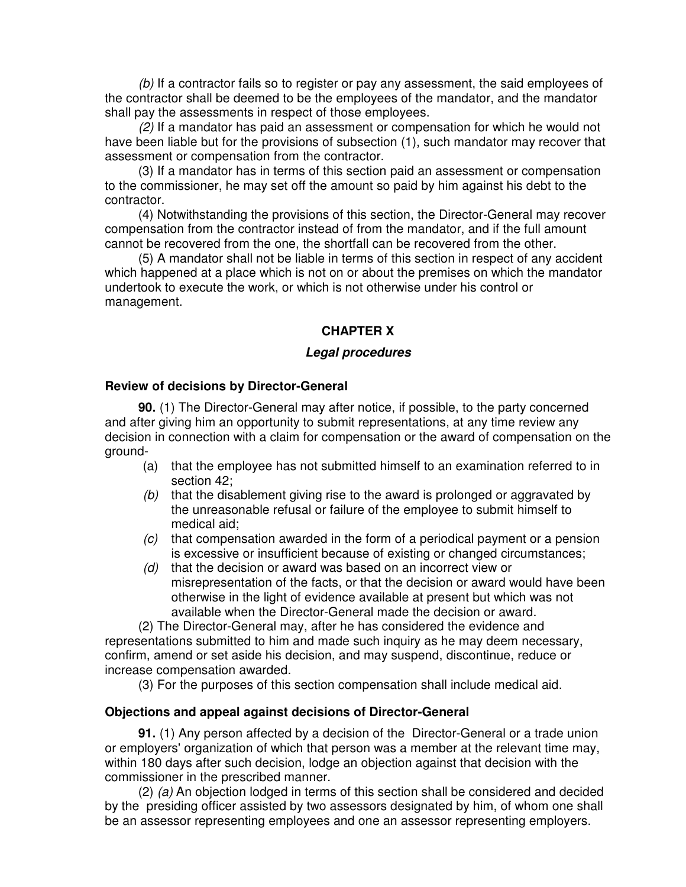*(b)* If a contractor fails so to register or pay any assessment, the said employees of the contractor shall be deemed to be the employees of the mandator, and the mandator shall pay the assessments in respect of those employees.

*(2)* If a mandator has paid an assessment or compensation for which he would not have been liable but for the provisions of subsection (1), such mandator may recover that assessment or compensation from the contractor.

(3) If a mandator has in terms of this section paid an assessment or compensation to the commissioner, he may set off the amount so paid by him against his debt to the contractor.

(4) Notwithstanding the provisions of this section, the Director-General may recover compensation from the contractor instead of from the mandator, and if the full amount cannot be recovered from the one, the shortfall can be recovered from the other.

(5) A mandator shall not be liable in terms of this section in respect of any accident which happened at a place which is not on or about the premises on which the mandator undertook to execute the work, or which is not otherwise under his control or management.

#### **CHAPTER X**

#### *Legal procedures*

#### **Review of decisions by Director-General**

**90.** (1) The Director-General may after notice, if possible, to the party concerned and after giving him an opportunity to submit representations, at any time review any decision in connection with a claim for compensation or the award of compensation on the ground-

- (a) that the employee has not submitted himself to an examination referred to in section 42;
- *(b)* that the disablement giving rise to the award is prolonged or aggravated by the unreasonable refusal or failure of the employee to submit himself to medical aid;
- *(c)* that compensation awarded in the form of a periodical payment or a pension is excessive or insufficient because of existing or changed circumstances;
- *(d)* that the decision or award was based on an incorrect view or misrepresentation of the facts, or that the decision or award would have been otherwise in the light of evidence available at present but which was not available when the Director-General made the decision or award.

(2) The Director-General may, after he has considered the evidence and representations submitted to him and made such inquiry as he may deem necessary, confirm, amend or set aside his decision, and may suspend, discontinue, reduce or increase compensation awarded.

(3) For the purposes of this section compensation shall include medical aid.

#### **Objections and appeal against decisions of Director-General**

**91.** (1) Any person affected by a decision of the Director-General or a trade union or employers' organization of which that person was a member at the relevant time may, within 180 days after such decision, lodge an objection against that decision with the commissioner in the prescribed manner.

(2) *(a)* An objection lodged in terms of this section shall be considered and decided by the presiding officer assisted by two assessors designated by him, of whom one shall be an assessor representing employees and one an assessor representing employers.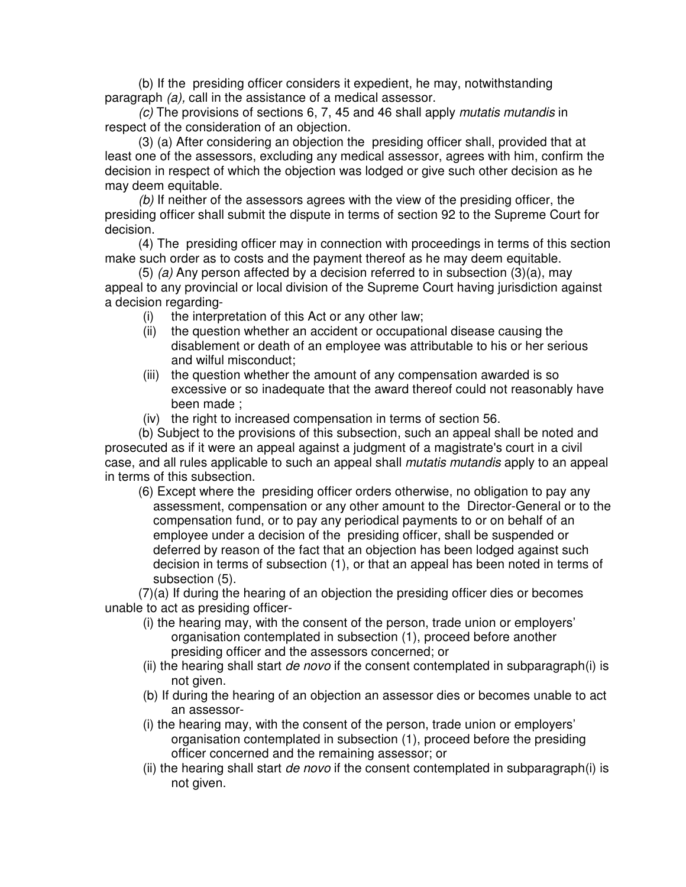(b) If the presiding officer considers it expedient, he may, notwithstanding paragraph *(a),* call in the assistance of a medical assessor.

*(c)* The provisions of sections 6, 7, 45 and 46 shall apply *mutatis mutandis* in respect of the consideration of an objection.

(3) (a) After considering an objection the presiding officer shall, provided that at least one of the assessors, excluding any medical assessor, agrees with him, confirm the decision in respect of which the objection was lodged or give such other decision as he may deem equitable.

*(b)* If neither of the assessors agrees with the view of the presiding officer, the presiding officer shall submit the dispute in terms of section 92 to the Supreme Court for decision.

(4) The presiding officer may in connection with proceedings in terms of this section make such order as to costs and the payment thereof as he may deem equitable.

(5) *(a)* Any person affected by a decision referred to in subsection (3)(a), may appeal to any provincial or local division of the Supreme Court having jurisdiction against a decision regarding-

- (i) the interpretation of this Act or any other law;
- (ii) the question whether an accident or occupational disease causing the disablement or death of an employee was attributable to his or her serious and wilful misconduct;
- (iii) the question whether the amount of any compensation awarded is so excessive or so inadequate that the award thereof could not reasonably have been made ;
- (iv) the right to increased compensation in terms of section 56.

(b) Subject to the provisions of this subsection, such an appeal shall be noted and prosecuted as if it were an appeal against a judgment of a magistrate's court in a civil case, and all rules applicable to such an appeal shall *mutatis mutandis* apply to an appeal in terms of this subsection.

(6) Except where the presiding officer orders otherwise, no obligation to pay any assessment, compensation or any other amount to the Director-General or to the compensation fund, or to pay any periodical payments to or on behalf of an employee under a decision of the presiding officer, shall be suspended or deferred by reason of the fact that an objection has been lodged against such decision in terms of subsection (1), or that an appeal has been noted in terms of subsection (5).

(7)(a) If during the hearing of an objection the presiding officer dies or becomes unable to act as presiding officer-

- (i) the hearing may, with the consent of the person, trade union or employers' organisation contemplated in subsection (1), proceed before another presiding officer and the assessors concerned; or
- (ii) the hearing shall start *de novo* if the consent contemplated in subparagraph(i) is not given.
- (b) If during the hearing of an objection an assessor dies or becomes unable to act an assessor-
- (i) the hearing may, with the consent of the person, trade union or employers' organisation contemplated in subsection (1), proceed before the presiding officer concerned and the remaining assessor; or
- (ii) the hearing shall start *de novo* if the consent contemplated in subparagraph(i) is not given.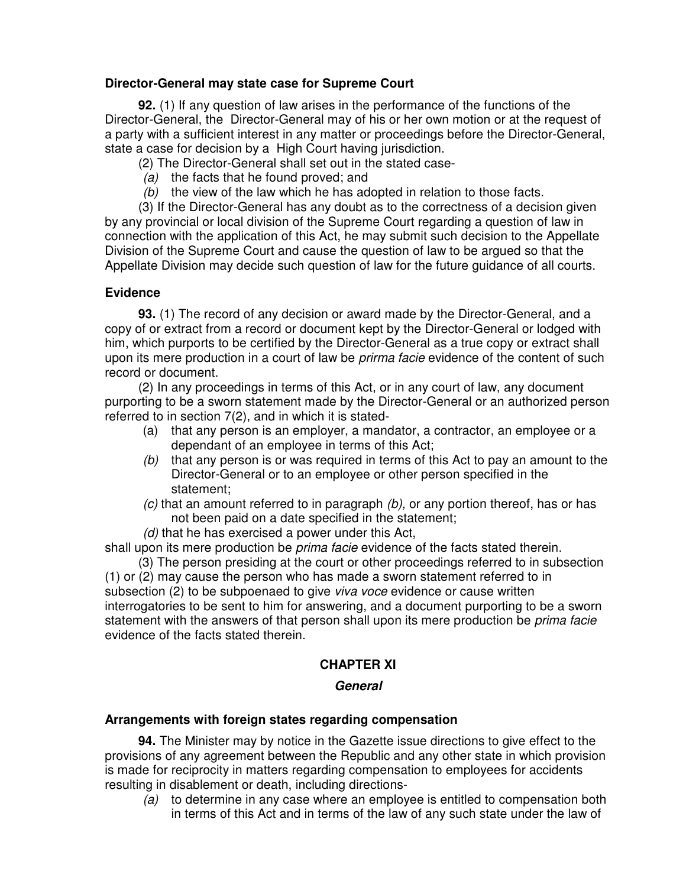## **Director-General may state case for Supreme Court**

**92.** (1) If any question of law arises in the performance of the functions of the Director-General, the Director-General may of his or her own motion or at the request of a party with a sufficient interest in any matter or proceedings before the Director-General, state a case for decision by a High Court having jurisdiction.

(2) The Director-General shall set out in the stated case-

- *(a)* the facts that he found proved; and
- *(b)* the view of the law which he has adopted in relation to those facts.

(3) If the Director-General has any doubt as to the correctness of a decision given by any provincial or local division of the Supreme Court regarding a question of law in connection with the application of this Act, he may submit such decision to the Appellate Division of the Supreme Court and cause the question of law to be argued so that the Appellate Division may decide such question of law for the future guidance of all courts.

## **Evidence**

**93.** (1) The record of any decision or award made by the Director-General, and a copy of or extract from a record or document kept by the Director-General or lodged with him, which purports to be certified by the Director-General as a true copy or extract shall upon its mere production in a court of law be *prirma facie* evidence of the content of such record or document.

(2) In any proceedings in terms of this Act, or in any court of law, any document purporting to be a sworn statement made by the Director-General or an authorized person referred to in section 7(2), and in which it is stated-

- (a) that any person is an employer, a mandator, a contractor, an employee or a dependant of an employee in terms of this Act;
- *(b)* that any person is or was required in terms of this Act to pay an amount to the Director-General or to an employee or other person specified in the statement;
- *(c)* that an amount referred to in paragraph *(b),* or any portion thereof, has or has not been paid on a date specified in the statement;
- *(d)* that he has exercised a power under this Act,

shall upon its mere production be *prima facie* evidence of the facts stated therein.

(3) The person presiding at the court or other proceedings referred to in subsection (1) or (2) may cause the person who has made a sworn statement referred to in subsection (2) to be subpoenaed to give *viva voce* evidence or cause written interrogatories to be sent to him for answering, and a document purporting to be a sworn statement with the answers of that person shall upon its mere production be *prima facie* evidence of the facts stated therein.

## **CHAPTER XI**

#### *General*

#### **Arrangements with foreign states regarding compensation**

**94.** The Minister may by notice in the Gazette issue directions to give effect to the provisions of any agreement between the Republic and any other state in which provision is made for reciprocity in matters regarding compensation to employees for accidents resulting in disablement or death, including directions-

*(a)* to determine in any case where an employee is entitled to compensation both in terms of this Act and in terms of the law of any such state under the law of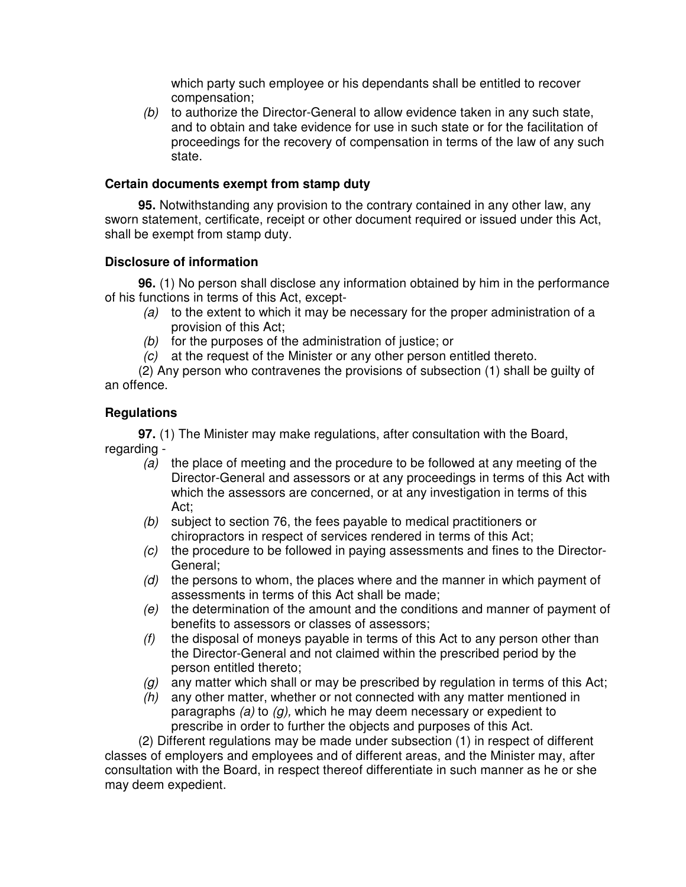which party such employee or his dependants shall be entitled to recover compensation;

*(b)* to authorize the Director-General to allow evidence taken in any such state, and to obtain and take evidence for use in such state or for the facilitation of proceedings for the recovery of compensation in terms of the law of any such state.

## **Certain documents exempt from stamp duty**

**95.** Notwithstanding any provision to the contrary contained in any other law, any sworn statement, certificate, receipt or other document required or issued under this Act, shall be exempt from stamp duty.

## **Disclosure of information**

**96.** (1) No person shall disclose any information obtained by him in the performance of his functions in terms of this Act, except-

- *(a)* to the extent to which it may be necessary for the proper administration of a provision of this Act;
- *(b)* for the purposes of the administration of justice; or
- *(c)* at the request of the Minister or any other person entitled thereto.

(2) Any person who contravenes the provisions of subsection (1) shall be guilty of an offence.

## **Regulations**

**97.** (1) The Minister may make regulations, after consultation with the Board, regarding -

- *(a)* the place of meeting and the procedure to be followed at any meeting of the Director-General and assessors or at any proceedings in terms of this Act with which the assessors are concerned, or at any investigation in terms of this Act;
- *(b)* subject to section 76, the fees payable to medical practitioners or chiropractors in respect of services rendered in terms of this Act;
- *(c)* the procedure to be followed in paying assessments and fines to the Director-General;
- *(d)* the persons to whom, the places where and the manner in which payment of assessments in terms of this Act shall be made;
- *(e)* the determination of the amount and the conditions and manner of payment of benefits to assessors or classes of assessors;
- *(f)* the disposal of moneys payable in terms of this Act to any person other than the Director-General and not claimed within the prescribed period by the person entitled thereto;
- *(g)* any matter which shall or may be prescribed by regulation in terms of this Act;
- *(h)* any other matter, whether or not connected with any matter mentioned in paragraphs *(a)* to *(g),* which he may deem necessary or expedient to prescribe in order to further the objects and purposes of this Act.

(2) Different regulations may be made under subsection (1) in respect of different classes of employers and employees and of different areas, and the Minister may, after consultation with the Board, in respect thereof differentiate in such manner as he or she may deem expedient.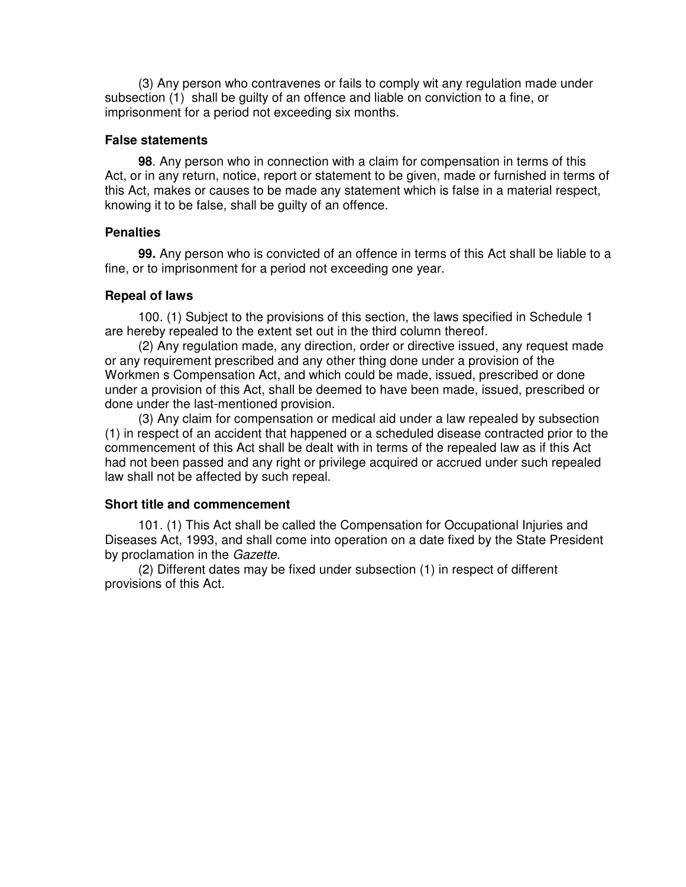(3) Any person who contravenes or fails to comply wit any regulation made under subsection (1) shall be guilty of an offence and liable on conviction to a fine, or imprisonment for a period not exceeding six months.

#### **False statements**

**98**. Any person who in connection with a claim for compensation in terms of this Act, or in any return, notice, report or statement to be given, made or furnished in terms of this Act, makes or causes to be made any statement which is false in a material respect, knowing it to be false, shall be guilty of an offence.

#### **Penalties**

**99.** Any person who is convicted of an offence in terms of this Act shall be liable to a fine, or to imprisonment for a period not exceeding one year.

## **Repeal of laws**

100. (1) Subject to the provisions of this section, the laws specified in Schedule 1 are hereby repealed to the extent set out in the third column thereof.

(2) Any regulation made, any direction, order or directive issued, any request made or any requirement prescribed and any other thing done under a provision of the Workmen s Compensation Act, and which could be made, issued, prescribed or done under a provision of this Act, shall be deemed to have been made, issued, prescribed or done under the last-mentioned provision.

(3) Any claim for compensation or medical aid under a law repealed by subsection (1) in respect of an accident that happened or a scheduled disease contracted prior to the commencement of this Act shall be dealt with in terms of the repealed law as if this Act had not been passed and any right or privilege acquired or accrued under such repealed law shall not be affected by such repeal.

#### **Short title and commencement**

101. (1) This Act shall be called the Compensation for Occupational Injuries and Diseases Act, 1993, and shall come into operation on a date fixed by the State President by proclamation in the *Gazette.*

(2) Different dates may be fixed under subsection (1) in respect of different provisions of this Act.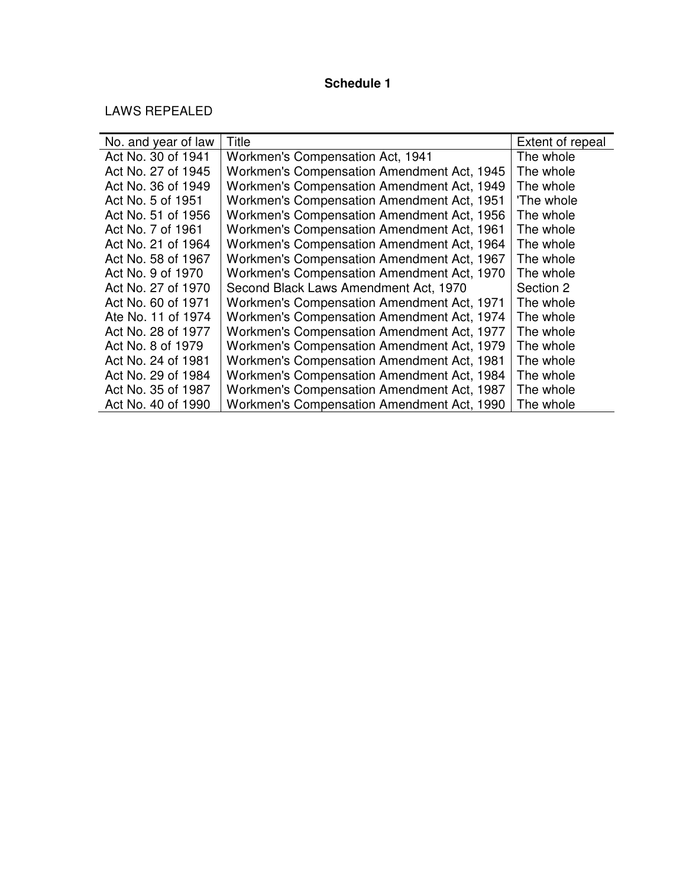## **Schedule 1**

LAWS REPEALED

| No. and year of law | Title                                      | Extent of repeal |
|---------------------|--------------------------------------------|------------------|
| Act No. 30 of 1941  | Workmen's Compensation Act, 1941           | The whole        |
| Act No. 27 of 1945  | Workmen's Compensation Amendment Act, 1945 | The whole        |
| Act No. 36 of 1949  | Workmen's Compensation Amendment Act, 1949 | The whole        |
| Act No. 5 of 1951   | Workmen's Compensation Amendment Act, 1951 | 'The whole       |
| Act No. 51 of 1956  | Workmen's Compensation Amendment Act, 1956 | The whole        |
| Act No. 7 of 1961   | Workmen's Compensation Amendment Act, 1961 | The whole        |
| Act No. 21 of 1964  | Workmen's Compensation Amendment Act, 1964 | The whole        |
| Act No. 58 of 1967  | Workmen's Compensation Amendment Act, 1967 | The whole        |
| Act No. 9 of 1970   | Workmen's Compensation Amendment Act, 1970 | The whole        |
| Act No. 27 of 1970  | Second Black Laws Amendment Act, 1970      | Section 2        |
| Act No. 60 of 1971  | Workmen's Compensation Amendment Act, 1971 | The whole        |
| Ate No. 11 of 1974  | Workmen's Compensation Amendment Act, 1974 | The whole        |
| Act No. 28 of 1977  | Workmen's Compensation Amendment Act, 1977 | The whole        |
| Act No. 8 of 1979   | Workmen's Compensation Amendment Act, 1979 | The whole        |
| Act No. 24 of 1981  | Workmen's Compensation Amendment Act, 1981 | The whole        |
| Act No. 29 of 1984  | Workmen's Compensation Amendment Act, 1984 | The whole        |
| Act No. 35 of 1987  | Workmen's Compensation Amendment Act, 1987 | The whole        |
| Act No. 40 of 1990  | Workmen's Compensation Amendment Act, 1990 | The whole        |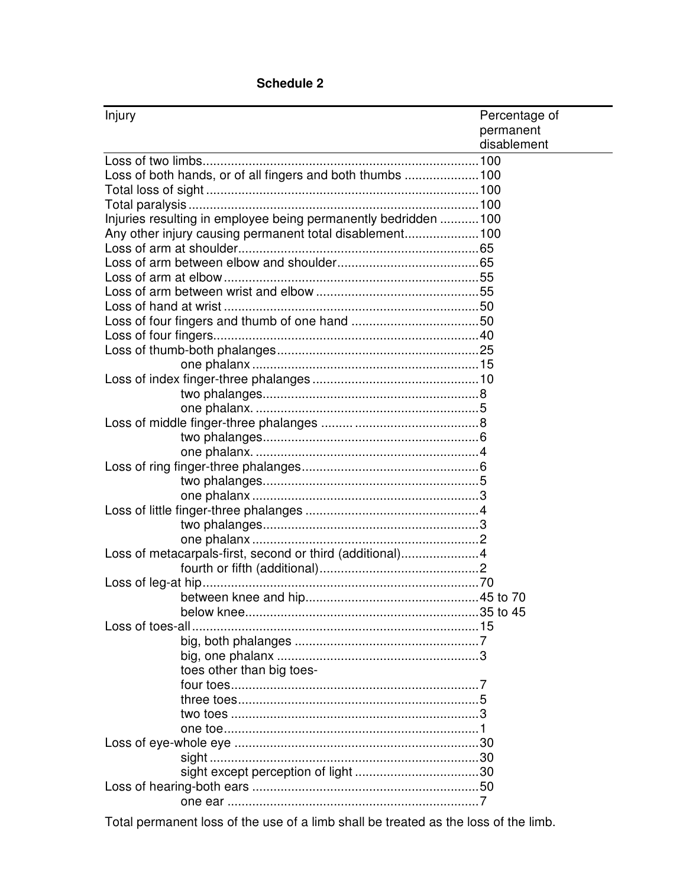| Injury                                                         | Percentage of |  |
|----------------------------------------------------------------|---------------|--|
|                                                                | permanent     |  |
| <u> 1989 - Johann Barn, amerikansk politiker (d. 1989)</u>     | disablement   |  |
|                                                                |               |  |
| Loss of both hands, or of all fingers and both thumbs  100     |               |  |
|                                                                |               |  |
|                                                                |               |  |
| Injuries resulting in employee being permanently bedridden 100 |               |  |
| Any other injury causing permanent total disablement100        |               |  |
|                                                                |               |  |
|                                                                |               |  |
|                                                                |               |  |
|                                                                |               |  |
|                                                                |               |  |
|                                                                |               |  |
|                                                                |               |  |
|                                                                |               |  |
|                                                                |               |  |
|                                                                |               |  |
|                                                                |               |  |
|                                                                |               |  |
|                                                                |               |  |
|                                                                |               |  |
|                                                                |               |  |
|                                                                |               |  |
|                                                                |               |  |
|                                                                |               |  |
|                                                                |               |  |
|                                                                |               |  |
|                                                                |               |  |
|                                                                |               |  |
| Loss of metacarpals-first, second or third (additional)4       |               |  |
|                                                                |               |  |
|                                                                |               |  |
|                                                                |               |  |
|                                                                |               |  |
| Loss of toes-all                                               |               |  |
|                                                                |               |  |
|                                                                |               |  |
| toes other than big toes-                                      |               |  |
|                                                                |               |  |
|                                                                |               |  |
|                                                                |               |  |
|                                                                |               |  |
|                                                                |               |  |
|                                                                |               |  |
|                                                                |               |  |
|                                                                |               |  |
|                                                                |               |  |

## **Schedule 2**

Total permanent loss of the use of a limb shall be treated as the loss of the limb.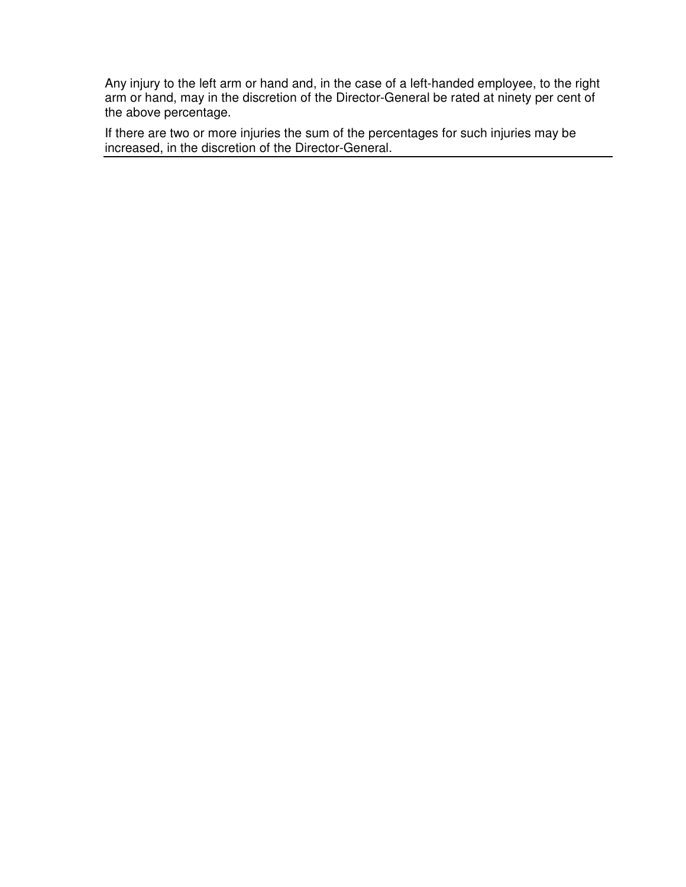Any injury to the left arm or hand and, in the case of a left-handed employee, to the right arm or hand, may in the discretion of the Director-General be rated at ninety per cent of the above percentage.

If there are two or more injuries the sum of the percentages for such injuries may be increased, in the discretion of the Director-General.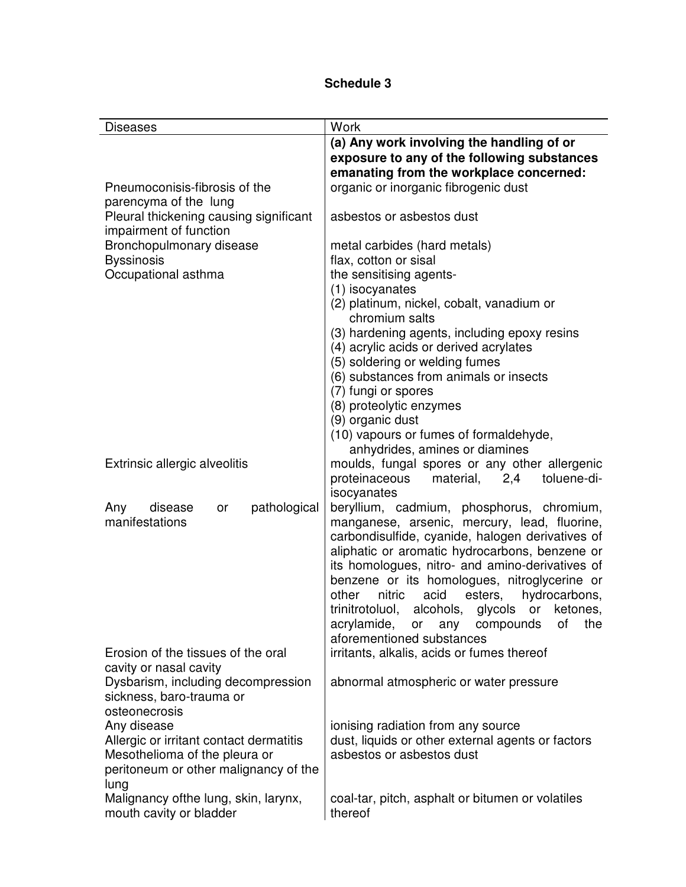| <b>Diseases</b>                                                                           | Work                                                                                      |  |
|-------------------------------------------------------------------------------------------|-------------------------------------------------------------------------------------------|--|
|                                                                                           | (a) Any work involving the handling of or                                                 |  |
|                                                                                           | exposure to any of the following substances                                               |  |
|                                                                                           | emanating from the workplace concerned:                                                   |  |
| Pneumoconisis-fibrosis of the                                                             | organic or inorganic fibrogenic dust                                                      |  |
| parencyma of the lung<br>Pleural thickening causing significant<br>impairment of function | asbestos or asbestos dust                                                                 |  |
| Bronchopulmonary disease                                                                  | metal carbides (hard metals)                                                              |  |
| <b>Byssinosis</b>                                                                         | flax, cotton or sisal                                                                     |  |
| Occupational asthma                                                                       | the sensitising agents-                                                                   |  |
|                                                                                           | (1) isocyanates                                                                           |  |
|                                                                                           | (2) platinum, nickel, cobalt, vanadium or                                                 |  |
|                                                                                           | chromium salts                                                                            |  |
|                                                                                           | (3) hardening agents, including epoxy resins                                              |  |
|                                                                                           | (4) acrylic acids or derived acrylates                                                    |  |
|                                                                                           | (5) soldering or welding fumes                                                            |  |
|                                                                                           | (6) substances from animals or insects                                                    |  |
|                                                                                           | (7) fungi or spores<br>(8) proteolytic enzymes                                            |  |
|                                                                                           | (9) organic dust                                                                          |  |
|                                                                                           | (10) vapours or fumes of formaldehyde,                                                    |  |
|                                                                                           | anhydrides, amines or diamines                                                            |  |
| Extrinsic allergic alveolitis                                                             | moulds, fungal spores or any other allergenic                                             |  |
|                                                                                           | proteinaceous<br>material,<br>2,4<br>toluene-di-                                          |  |
|                                                                                           | isocyanates                                                                               |  |
| pathological<br>Any<br>disease<br>or<br>manifestations                                    | beryllium, cadmium, phosphorus, chromium,<br>manganese, arsenic, mercury, lead, fluorine, |  |
|                                                                                           | carbondisulfide, cyanide, halogen derivatives of                                          |  |
|                                                                                           | aliphatic or aromatic hydrocarbons, benzene or                                            |  |
|                                                                                           | its homologues, nitro- and amino-derivatives of                                           |  |
|                                                                                           | benzene or its homologues, nitroglycerine or                                              |  |
|                                                                                           | other<br>nitric<br>acid<br>esters,<br>hydrocarbons,                                       |  |
|                                                                                           | trinitrotoluol,<br>alcohols,<br>glycols or<br>ketones,                                    |  |
|                                                                                           | acrylamide,<br>0f<br>or any compounds<br>the                                              |  |
| Erosion of the tissues of the oral                                                        | aforementioned substances<br>irritants, alkalis, acids or fumes thereof                   |  |
| cavity or nasal cavity                                                                    |                                                                                           |  |
| Dysbarism, including decompression                                                        | abnormal atmospheric or water pressure                                                    |  |
| sickness, baro-trauma or                                                                  |                                                                                           |  |
| osteonecrosis                                                                             |                                                                                           |  |
| Any disease                                                                               | ionising radiation from any source                                                        |  |
| Allergic or irritant contact dermatitis                                                   | dust, liquids or other external agents or factors                                         |  |
| Mesothelioma of the pleura or                                                             | asbestos or asbestos dust                                                                 |  |
| peritoneum or other malignancy of the                                                     |                                                                                           |  |
| lung                                                                                      |                                                                                           |  |
| Malignancy ofthe lung, skin, larynx,                                                      | coal-tar, pitch, asphalt or bitumen or volatiles                                          |  |
| mouth cavity or bladder                                                                   | thereof                                                                                   |  |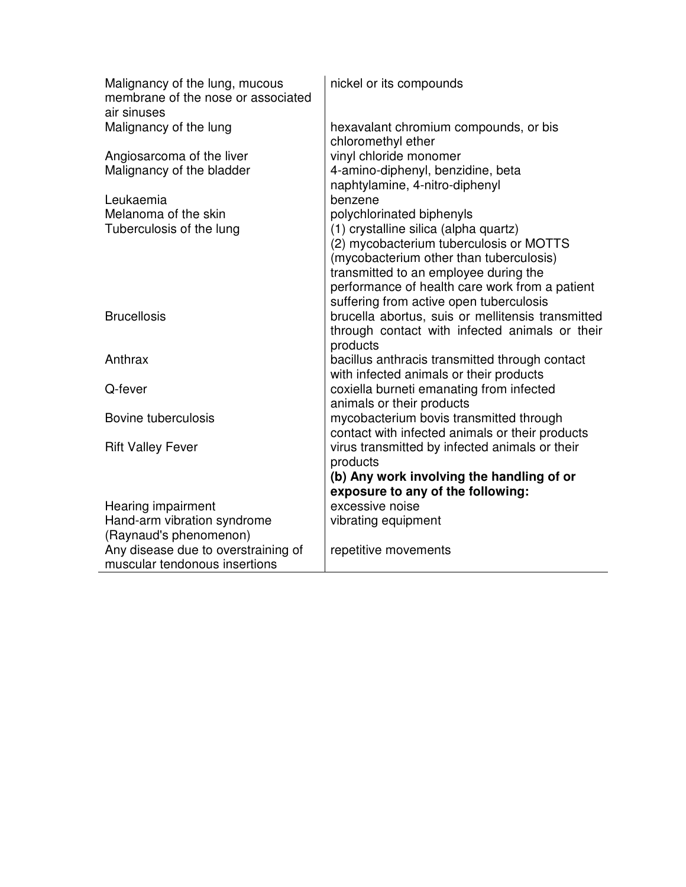| Malignancy of the lung, mucous<br>membrane of the nose or associated<br>air sinuses | nickel or its compounds                                                                      |
|-------------------------------------------------------------------------------------|----------------------------------------------------------------------------------------------|
| Malignancy of the lung                                                              | hexavalant chromium compounds, or bis<br>chloromethyl ether                                  |
| Angiosarcoma of the liver                                                           | vinyl chloride monomer                                                                       |
| Malignancy of the bladder                                                           | 4-amino-diphenyl, benzidine, beta                                                            |
| Leukaemia                                                                           | naphtylamine, 4-nitro-diphenyl<br>benzene                                                    |
| Melanoma of the skin                                                                | polychlorinated biphenyls                                                                    |
| Tuberculosis of the lung                                                            | (1) crystalline silica (alpha quartz)                                                        |
|                                                                                     | (2) mycobacterium tuberculosis or MOTTS                                                      |
|                                                                                     | (mycobacterium other than tuberculosis)                                                      |
|                                                                                     | transmitted to an employee during the                                                        |
|                                                                                     | performance of health care work from a patient                                               |
| <b>Brucellosis</b>                                                                  | suffering from active open tuberculosis<br>brucella abortus, suis or mellitensis transmitted |
|                                                                                     | through contact with infected animals or their                                               |
|                                                                                     | products                                                                                     |
| Anthrax                                                                             | bacillus anthracis transmitted through contact                                               |
|                                                                                     | with infected animals or their products                                                      |
| Q-fever                                                                             | coxiella burneti emanating from infected                                                     |
| Bovine tuberculosis                                                                 | animals or their products<br>mycobacterium bovis transmitted through                         |
|                                                                                     | contact with infected animals or their products                                              |
| <b>Rift Valley Fever</b>                                                            | virus transmitted by infected animals or their                                               |
|                                                                                     | products                                                                                     |
|                                                                                     | (b) Any work involving the handling of or                                                    |
|                                                                                     | exposure to any of the following:                                                            |
| Hearing impairment<br>Hand-arm vibration syndrome                                   | excessive noise                                                                              |
| (Raynaud's phenomenon)                                                              | vibrating equipment                                                                          |
| Any disease due to overstraining of                                                 | repetitive movements                                                                         |
| muscular tendonous insertions                                                       |                                                                                              |
|                                                                                     |                                                                                              |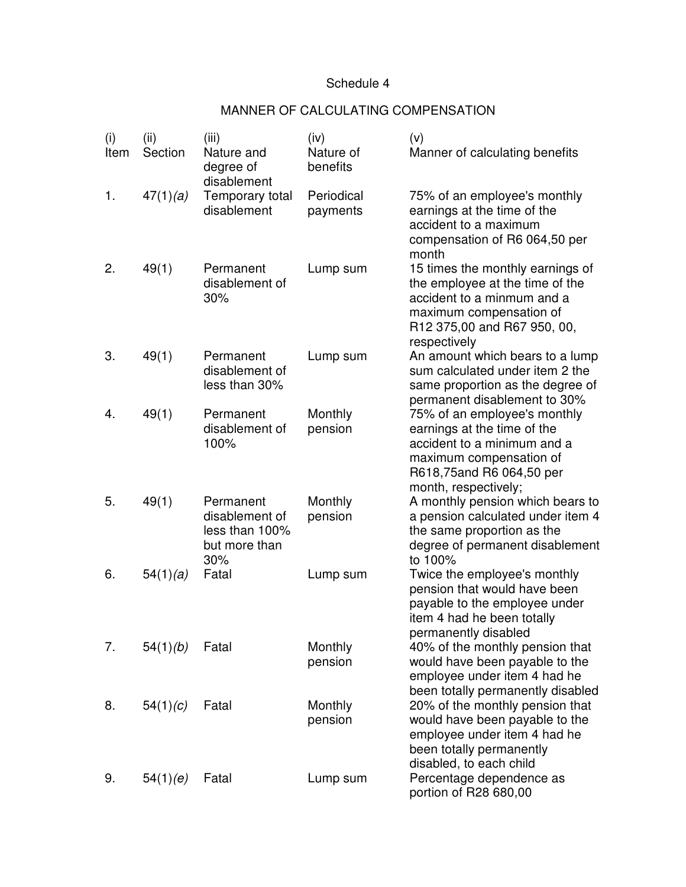## Schedule 4

## MANNER OF CALCULATING COMPENSATION

| (i)<br>Item | (ii)<br>Section | (iii)<br>Nature and<br>degree of<br>disablement                       | (iv)<br>Nature of<br>benefits | (v)<br>Manner of calculating benefits                                                                                                                                       |
|-------------|-----------------|-----------------------------------------------------------------------|-------------------------------|-----------------------------------------------------------------------------------------------------------------------------------------------------------------------------|
| 1.          | 47(1)(a)        | Temporary total<br>disablement                                        | Periodical<br>payments        | 75% of an employee's monthly<br>earnings at the time of the<br>accident to a maximum<br>compensation of R6 064,50 per<br>month                                              |
| 2.          | 49(1)           | Permanent<br>disablement of<br>30%                                    | Lump sum                      | 15 times the monthly earnings of<br>the employee at the time of the<br>accident to a minmum and a<br>maximum compensation of<br>R12 375,00 and R67 950, 00,<br>respectively |
| 3.          | 49(1)           | Permanent<br>disablement of<br>less than 30%                          | Lump sum                      | An amount which bears to a lump<br>sum calculated under item 2 the<br>same proportion as the degree of<br>permanent disablement to 30%                                      |
| 4.          | 49(1)           | Permanent<br>disablement of<br>100%                                   | Monthly<br>pension            | 75% of an employee's monthly<br>earnings at the time of the<br>accident to a minimum and a<br>maximum compensation of<br>R618,75and R6 064,50 per<br>month, respectively;   |
| 5.          | 49(1)           | Permanent<br>disablement of<br>less than 100%<br>but more than<br>30% | Monthly<br>pension            | A monthly pension which bears to<br>a pension calculated under item 4<br>the same proportion as the<br>degree of permanent disablement<br>to 100%                           |
| 6.          | 54(1)(a)        | Fatal                                                                 | Lump sum                      | Twice the employee's monthly<br>pension that would have been<br>payable to the employee under<br>item 4 had he been totally<br>permanently disabled                         |
| 7.          | 54(1)(b)        | Fatal                                                                 | Monthly<br>pension            | 40% of the monthly pension that<br>would have been payable to the<br>employee under item 4 had he<br>been totally permanently disabled                                      |
| 8.          | 54(1)(c)        | Fatal                                                                 | Monthly<br>pension            | 20% of the monthly pension that<br>would have been payable to the<br>employee under item 4 had he<br>been totally permanently<br>disabled, to each child                    |
| 9.          | 54(1)(e)        | Fatal                                                                 | Lump sum                      | Percentage dependence as<br>portion of R28 680,00                                                                                                                           |